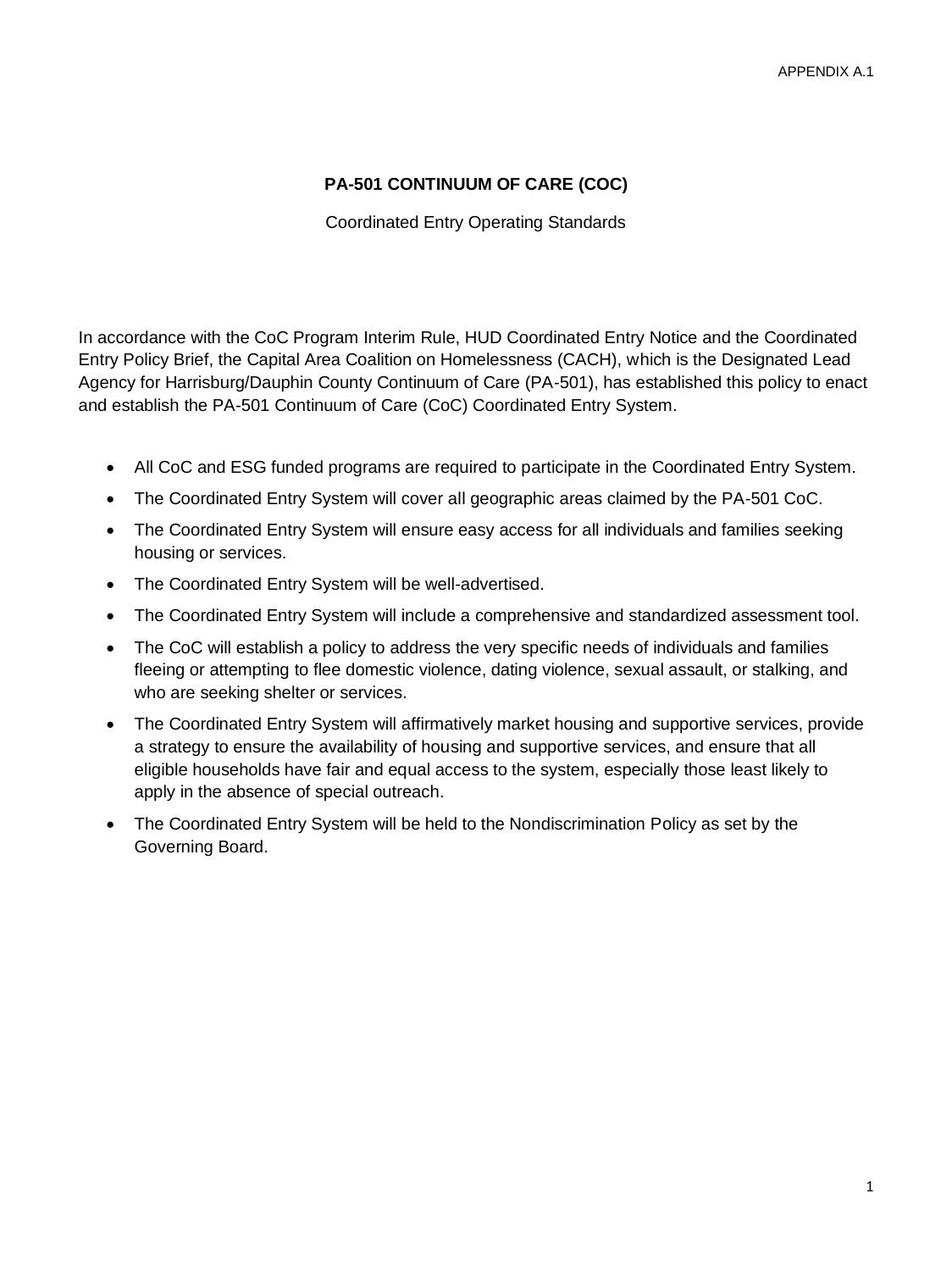## **PA-501 CONTINUUM OF CARE (COC)**

Coordinated Entry Operating Standards

In accordance with the CoC Program Interim Rule, HUD Coordinated Entry Notice and the Coordinated Entry Policy Brief, the Capital Area Coalition on Homelessness (CACH), which is the Designated Lead Agency for Harrisburg/Dauphin County Continuum of Care (PA-501), has established this policy to enact and establish the PA-501 Continuum of Care (CoC) Coordinated Entry System.

- All CoC and ESG funded programs are required to participate in the Coordinated Entry System.
- The Coordinated Entry System will cover all geographic areas claimed by the PA-501 CoC.
- The Coordinated Entry System will ensure easy access for all individuals and families seeking housing or services.
- The Coordinated Entry System will be well-advertised.
- The Coordinated Entry System will include a comprehensive and standardized assessment tool.
- The CoC will establish a policy to address the very specific needs of individuals and families fleeing or attempting to flee domestic violence, dating violence, sexual assault, or stalking, and who are seeking shelter or services.
- The Coordinated Entry System will affirmatively market housing and supportive services, provide a strategy to ensure the availability of housing and supportive services, and ensure that all eligible households have fair and equal access to the system, especially those least likely to apply in the absence of special outreach.
- The Coordinated Entry System will be held to the Nondiscrimination Policy as set by the Governing Board.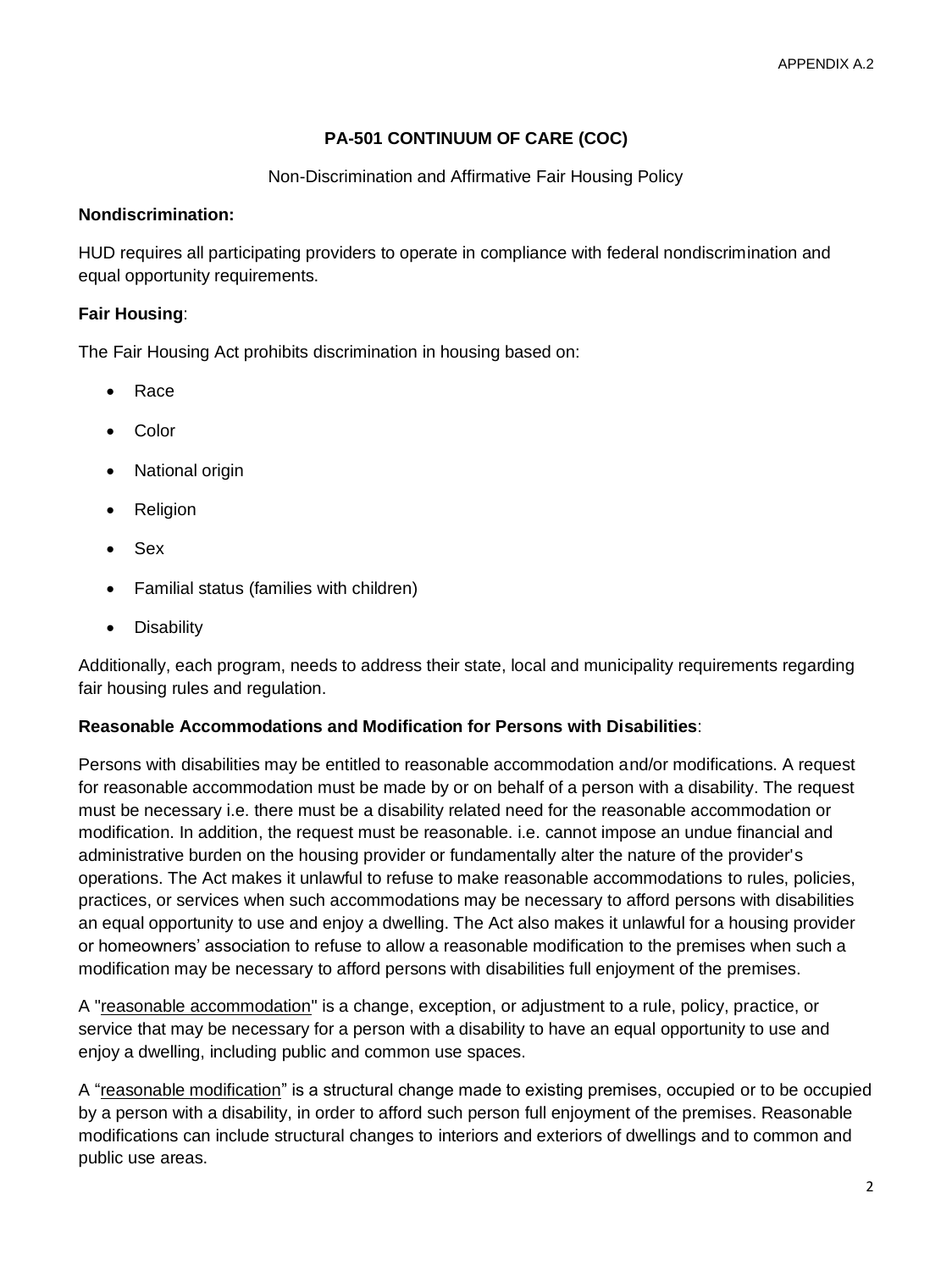# **PA-501 CONTINUUM OF CARE (COC)**

#### Non-Discrimination and Affirmative Fair Housing Policy

#### **Nondiscrimination:**

HUD requires all participating providers to operate in compliance with federal nondiscrimination and equal opportunity requirements.

#### **Fair Housing**:

The Fair Housing Act prohibits discrimination in housing based on:

- Race
- Color
- **National origin**
- Religion
- Sex
- Familial status (families with children)
- Disability

Additionally, each program, needs to address their state, local and municipality requirements regarding fair housing rules and regulation.

#### **Reasonable Accommodations and Modification for Persons with Disabilities**:

Persons with disabilities may be entitled to reasonable accommodation and/or modifications. A request for reasonable accommodation must be made by or on behalf of a person with a disability. The request must be necessary i.e. there must be a disability related need for the reasonable accommodation or modification. In addition, the request must be reasonable. i.e. cannot impose an undue financial and administrative burden on the housing provider or fundamentally alter the nature of the provider's operations. The Act makes it unlawful to refuse to make reasonable accommodations to rules, policies, practices, or services when such accommodations may be necessary to afford persons with disabilities an equal opportunity to use and enjoy a dwelling. The Act also makes it unlawful for a housing provider or homeowners' association to refuse to allow a reasonable modification to the premises when such a modification may be necessary to afford persons with disabilities full enjoyment of the premises.

A "reasonable accommodation" is a change, exception, or adjustment to a rule, policy, practice, or service that may be necessary for a person with a disability to have an equal opportunity to use and enjoy a dwelling, including public and common use spaces.

A "reasonable modification" is a structural change made to existing premises, occupied or to be occupied by a person with a disability, in order to afford such person full enjoyment of the premises. Reasonable modifications can include structural changes to interiors and exteriors of dwellings and to common and public use areas.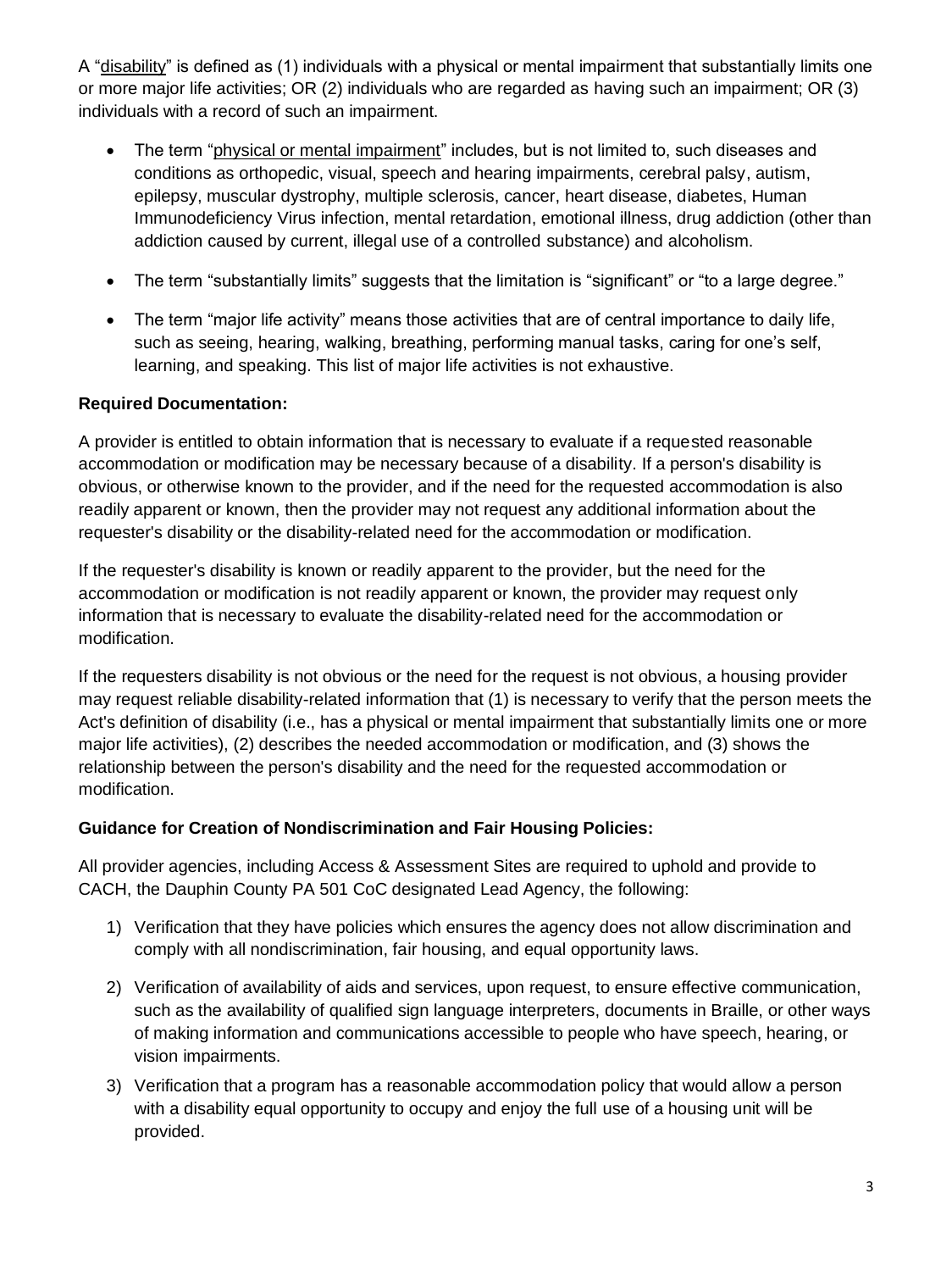A "disability" is defined as (1) individuals with a physical or mental impairment that substantially limits one or more major life activities; OR (2) individuals who are regarded as having such an impairment; OR (3) individuals with a record of such an impairment.

- The term "physical or mental impairment" includes, but is not limited to, such diseases and conditions as orthopedic, visual, speech and hearing impairments, cerebral palsy, autism, epilepsy, muscular dystrophy, multiple sclerosis, cancer, heart disease, diabetes, Human Immunodeficiency Virus infection, mental retardation, emotional illness, drug addiction (other than addiction caused by current, illegal use of a controlled substance) and alcoholism.
- The term "substantially limits" suggests that the limitation is "significant" or "to a large degree."
- The term "major life activity" means those activities that are of central importance to daily life, such as seeing, hearing, walking, breathing, performing manual tasks, caring for one's self, learning, and speaking. This list of major life activities is not exhaustive.

# **Required Documentation:**

A provider is entitled to obtain information that is necessary to evaluate if a requested reasonable accommodation or modification may be necessary because of a disability. If a person's disability is obvious, or otherwise known to the provider, and if the need for the requested accommodation is also readily apparent or known, then the provider may not request any additional information about the requester's disability or the disability-related need for the accommodation or modification.

If the requester's disability is known or readily apparent to the provider, but the need for the accommodation or modification is not readily apparent or known, the provider may request only information that is necessary to evaluate the disability-related need for the accommodation or modification.

If the requesters disability is not obvious or the need for the request is not obvious, a housing provider may request reliable disability-related information that (1) is necessary to verify that the person meets the Act's definition of disability (i.e., has a physical or mental impairment that substantially limits one or more major life activities), (2) describes the needed accommodation or modification, and (3) shows the relationship between the person's disability and the need for the requested accommodation or modification.

## **Guidance for Creation of Nondiscrimination and Fair Housing Policies:**

All provider agencies, including Access & Assessment Sites are required to uphold and provide to CACH, the Dauphin County PA 501 CoC designated Lead Agency, the following:

- 1) Verification that they have policies which ensures the agency does not allow discrimination and comply with all nondiscrimination, fair housing, and equal opportunity laws.
- 2) Verification of availability of aids and services, upon request, to ensure effective communication, such as the availability of qualified sign language interpreters, documents in Braille, or other ways of making information and communications accessible to people who have speech, hearing, or vision impairments.
- 3) Verification that a program has a reasonable accommodation policy that would allow a person with a disability equal opportunity to occupy and enjoy the full use of a housing unit will be provided.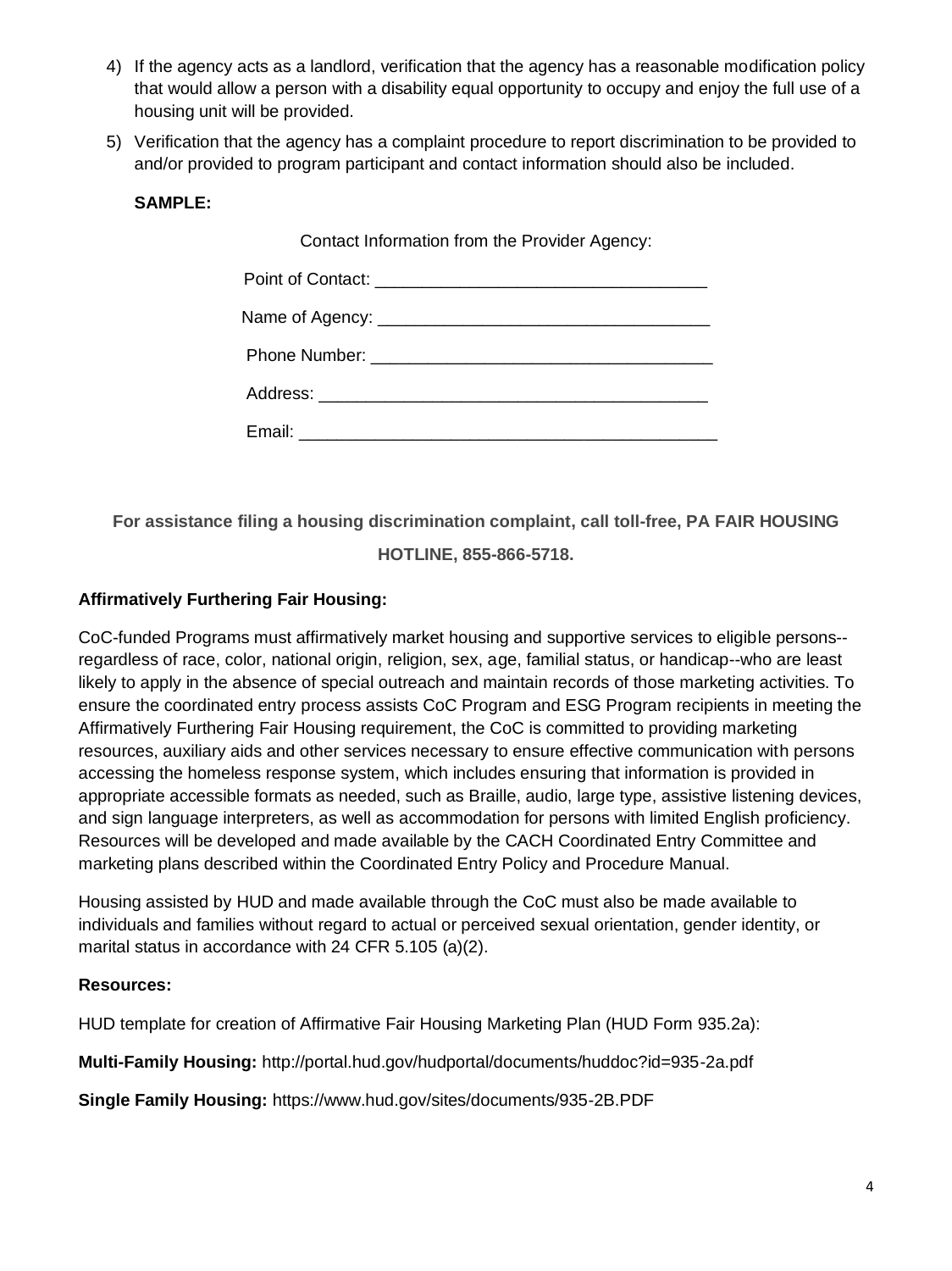- 4) If the agency acts as a landlord, verification that the agency has a reasonable modification policy that would allow a person with a disability equal opportunity to occupy and enjoy the full use of a housing unit will be provided.
- 5) Verification that the agency has a complaint procedure to report discrimination to be provided to and/or provided to program participant and contact information should also be included.

#### **SAMPLE:**

Contact Information from the Provider Agency:

**For assistance filing a housing discrimination complaint, call toll-free, PA FAIR HOUSING** 

**HOTLINE, 855-866-5718.**

## **Affirmatively Furthering Fair Housing:**

CoC-funded Programs must affirmatively market housing and supportive services to eligible persons- regardless of race, color, national origin, religion, sex, age, familial status, or handicap--who are least likely to apply in the absence of special outreach and maintain records of those marketing activities. To ensure the coordinated entry process assists CoC Program and ESG Program recipients in meeting the Affirmatively Furthering Fair Housing requirement, the CoC is committed to providing marketing resources, auxiliary aids and other services necessary to ensure effective communication with persons accessing the homeless response system, which includes ensuring that information is provided in appropriate accessible formats as needed, such as Braille, audio, large type, assistive listening devices, and sign language interpreters, as well as accommodation for persons with limited English proficiency. Resources will be developed and made available by the CACH Coordinated Entry Committee and marketing plans described within the Coordinated Entry Policy and Procedure Manual.

Housing assisted by HUD and made available through the CoC must also be made available to individuals and families without regard to actual or perceived sexual orientation, gender identity, or marital status in accordance with 24 CFR 5.105 (a)(2).

#### **Resources:**

HUD template for creation of Affirmative Fair Housing Marketing Plan (HUD Form 935.2a):

**Multi-Family Housing:** http://portal.hud.gov/hudportal/documents/huddoc?id=935-2a.pdf

**Single Family Housing:** https://www.hud.gov/sites/documents/935-2B.PDF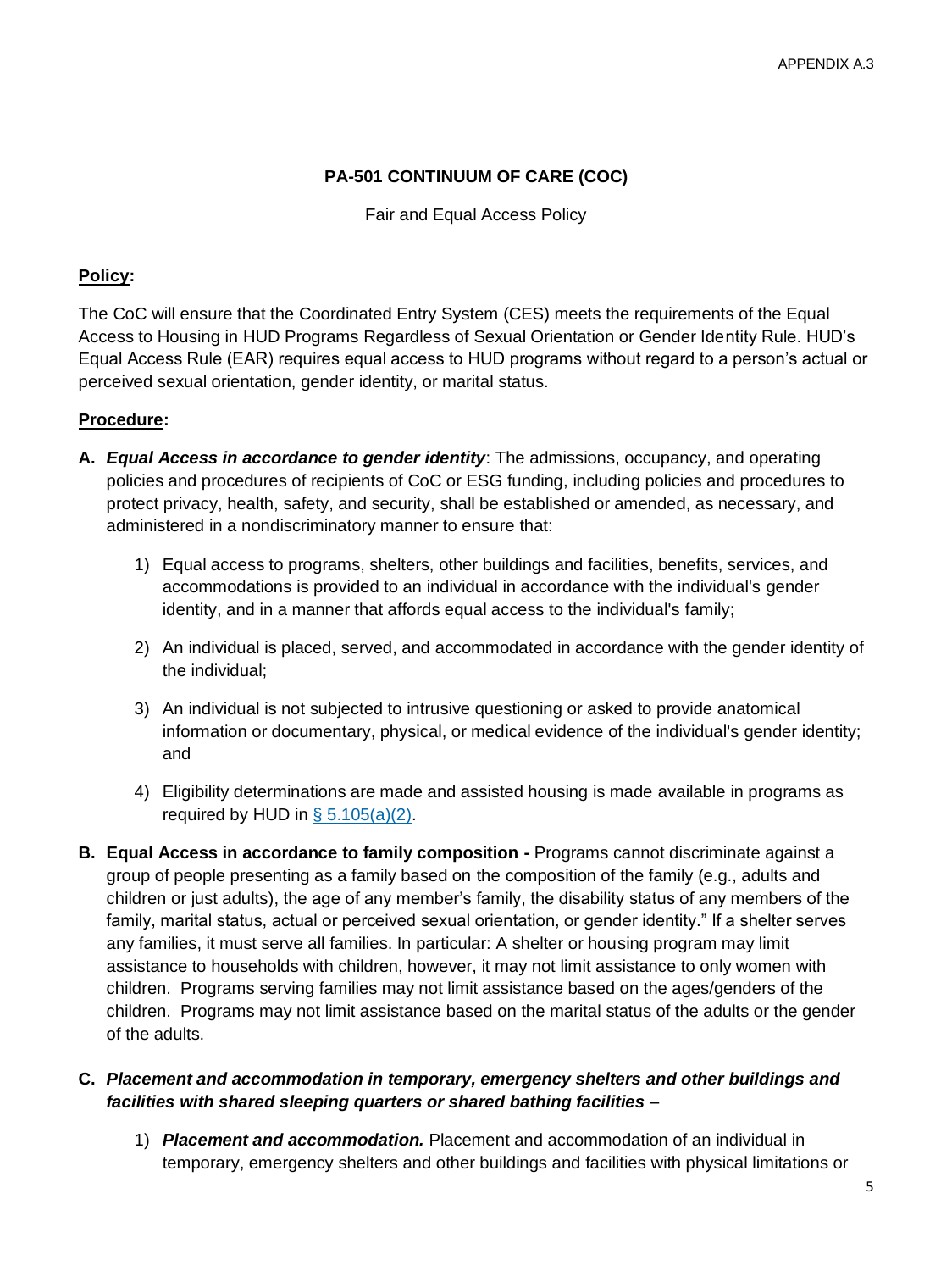## **PA-501 CONTINUUM OF CARE (COC)**

Fair and Equal Access Policy

#### **Policy:**

The CoC will ensure that the Coordinated Entry System (CES) meets the requirements of the Equal Access to Housing in HUD Programs Regardless of Sexual Orientation or Gender Identity Rule. HUD's Equal Access Rule (EAR) requires equal access to HUD programs without regard to a person's actual or perceived sexual orientation, gender identity, or marital status.

#### **Procedure:**

- **A.** *Equal Access in accordance to gender identity*: The admissions, occupancy, and operating policies and procedures of recipients of CoC or ESG funding, including policies and procedures to protect privacy, health, safety, and security, shall be established or amended, as necessary, and administered in a nondiscriminatory manner to ensure that:
	- 1) Equal access to programs, shelters, other buildings and facilities, benefits, services, and accommodations is provided to an individual in accordance with the individual's [gender](https://www.law.cornell.edu/cfr/text/24/5.106)  [identity,](https://www.law.cornell.edu/cfr/text/24/5.106) and in a manner that affords equal access to the individual's [family;](https://www.law.cornell.edu/cfr/text/24/5.106)
	- 2) An individual is placed, served, and accommodated in accordance with the [gender identity](https://www.law.cornell.edu/cfr/text/24/5.106) of the individual;
	- 3) An individual is not subjected to intrusive questioning or asked to provide anatomical information or documentary, physical, or medical evidence of the individual's [gender identity;](https://www.law.cornell.edu/cfr/text/24/5.106) and
	- 4) Eligibility determinations are made and assisted housing is made [available](https://www.law.cornell.edu/cfr/text/24/5.106) in programs as required by HUD in  $\S$  5.105(a)(2).
- **B. Equal Access in accordance to family composition -** Programs cannot discriminate against a group of people presenting as a family based on the composition of the family (e.g., adults and children or just adults), the age of any member's family, the disability status of any members of the family, marital status, actual or perceived sexual orientation, or gender identity." If a shelter serves any families, it must serve all families. In particular: A shelter or housing program may limit assistance to households with children, however, it may not limit assistance to only women with children. Programs serving families may not limit assistance based on the ages/genders of the children. Programs may not limit assistance based on the marital status of the adults or the gender of the adults.

#### **C.** *Placement and accommodation in temporary, emergency shelters and other buildings and facilities with shared sleeping quarters or shared bathing facilities* –

1) *Placement and accommodation.* Placement and accommodation of an individual in temporary, emergency shelters and other buildings and facilities with physical limitations or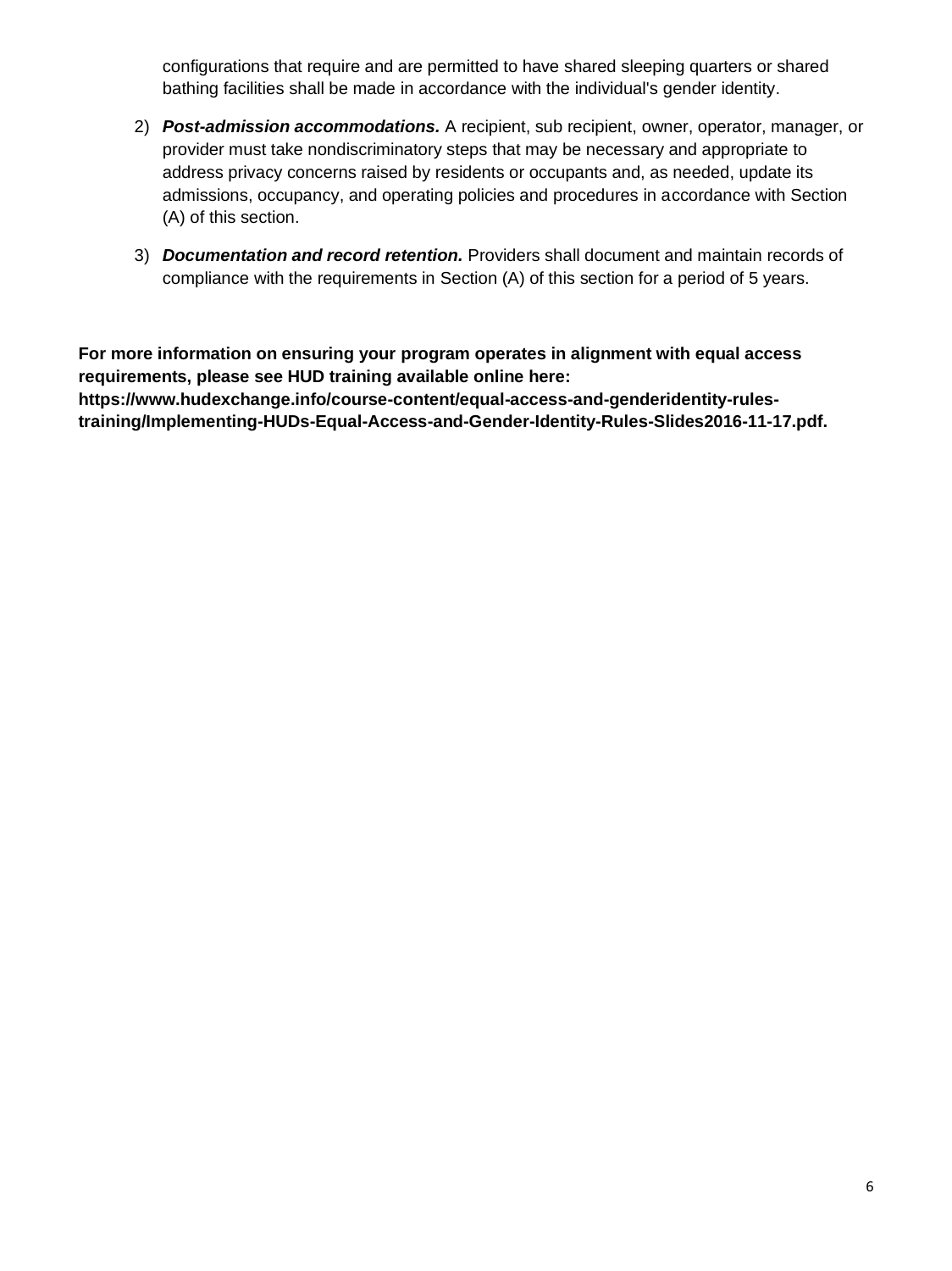configurations that require and are permitted to have shared sleeping quarters or shared bathing facilities shall be made in accordance with the individual's [gender identity.](https://www.law.cornell.edu/cfr/text/24/5.106)

- 2) *Post-admission accommodations.* A recipient, sub recipient, [owner,](https://www.law.cornell.edu/cfr/text/24/5.106) operator, manager, or provider must take nondiscriminatory steps that may be necessary and appropriate to address privacy concerns raised by residents or occupants and, as needed, update its admissions, occupancy, and operating policies and procedures in accordance with Section (A) of this section.
- 3) *Documentation and record retention.* Providers shall document and maintain records of compliance with the requirements in Section (A) of this section for a period of 5 years.

**For more information on ensuring your program operates in alignment with equal access requirements, please see HUD training available online here: https://www.hudexchange.info/course-content/equal-access-and-genderidentity-rulestraining/Implementing-HUDs-Equal-Access-and-Gender-Identity-Rules-Slides2016-11-17.pdf.**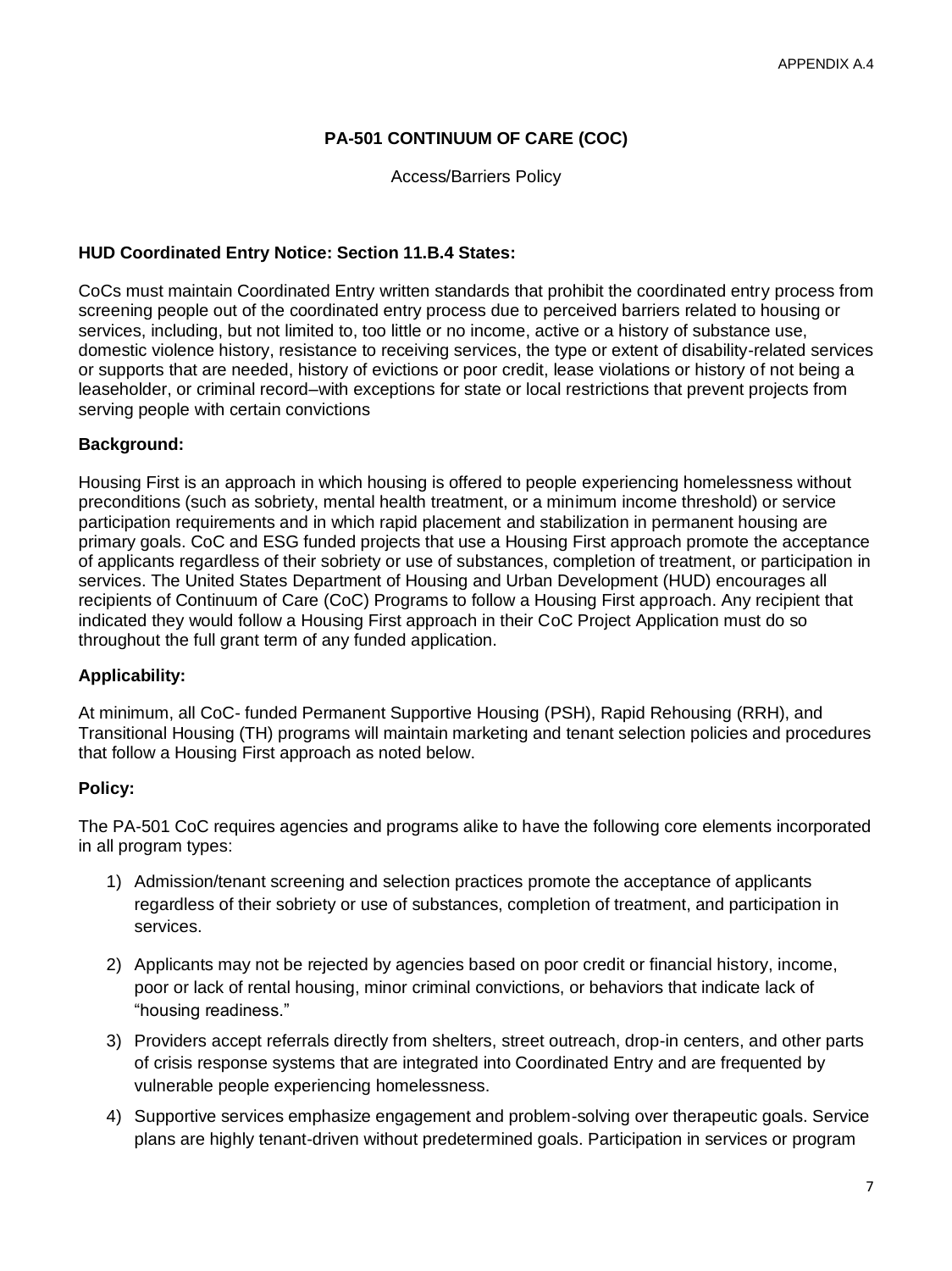## **PA-501 CONTINUUM OF CARE (COC)**

Access/Barriers Policy

#### **HUD Coordinated Entry Notice: Section 11.B.4 States:**

CoCs must maintain Coordinated Entry written standards that prohibit the coordinated entry process from screening people out of the coordinated entry process due to perceived barriers related to housing or services, including, but not limited to, too little or no income, active or a history of substance use, domestic violence history, resistance to receiving services, the type or extent of disability-related services or supports that are needed, history of evictions or poor credit, lease violations or history of not being a leaseholder, or criminal record–with exceptions for state or local restrictions that prevent projects from serving people with certain convictions

#### **Background:**

Housing First is an approach in which housing is offered to people experiencing homelessness without preconditions (such as sobriety, mental health treatment, or a minimum income threshold) or service participation requirements and in which rapid placement and stabilization in permanent housing are primary goals. CoC and ESG funded projects that use a Housing First approach promote the acceptance of applicants regardless of their sobriety or use of substances, completion of treatment, or participation in services. The United States Department of Housing and Urban Development (HUD) encourages all recipients of Continuum of Care (CoC) Programs to follow a Housing First approach. Any recipient that indicated they would follow a Housing First approach in their CoC Project Application must do so throughout the full grant term of any funded application.

#### **Applicability:**

At minimum, all CoC- funded Permanent Supportive Housing (PSH), Rapid Rehousing (RRH), and Transitional Housing (TH) programs will maintain marketing and tenant selection policies and procedures that follow a Housing First approach as noted below.

#### **Policy:**

The PA-501 CoC requires agencies and programs alike to have the following core elements incorporated in all program types:

- 1) Admission/tenant screening and selection practices promote the acceptance of applicants regardless of their sobriety or use of substances, completion of treatment, and participation in services.
- 2) Applicants may not be rejected by agencies based on poor credit or financial history, income, poor or lack of rental housing, minor criminal convictions, or behaviors that indicate lack of "housing readiness."
- 3) Providers accept referrals directly from shelters, street outreach, drop-in centers, and other parts of crisis response systems that are integrated into Coordinated Entry and are frequented by vulnerable people experiencing homelessness.
- 4) Supportive services emphasize engagement and problem-solving over therapeutic goals. Service plans are highly tenant-driven without predetermined goals. Participation in services or program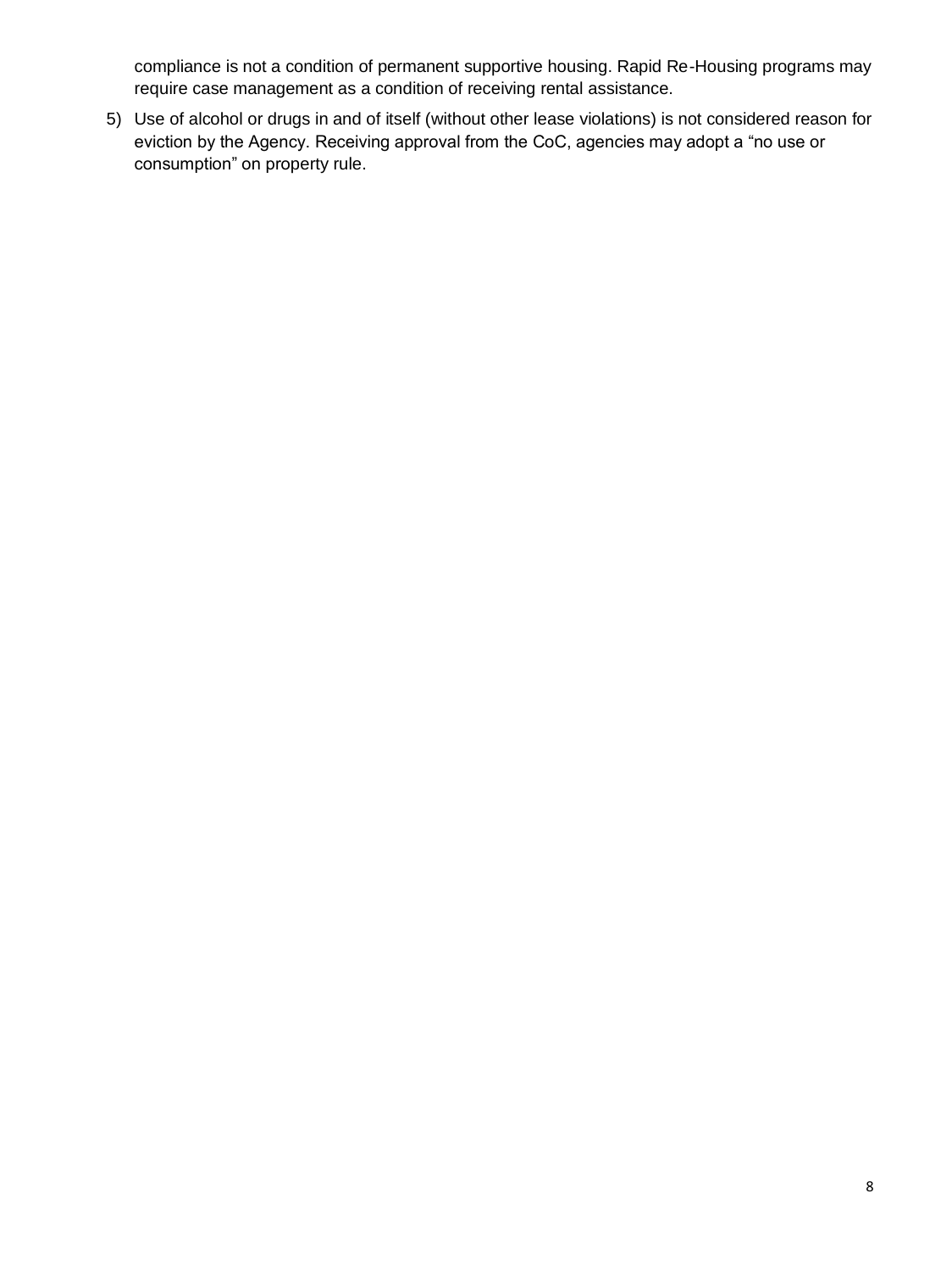compliance is not a condition of permanent supportive housing. Rapid Re-Housing programs may require case management as a condition of receiving rental assistance.

5) Use of alcohol or drugs in and of itself (without other lease violations) is not considered reason for eviction by the Agency. Receiving approval from the CoC, agencies may adopt a "no use or consumption" on property rule.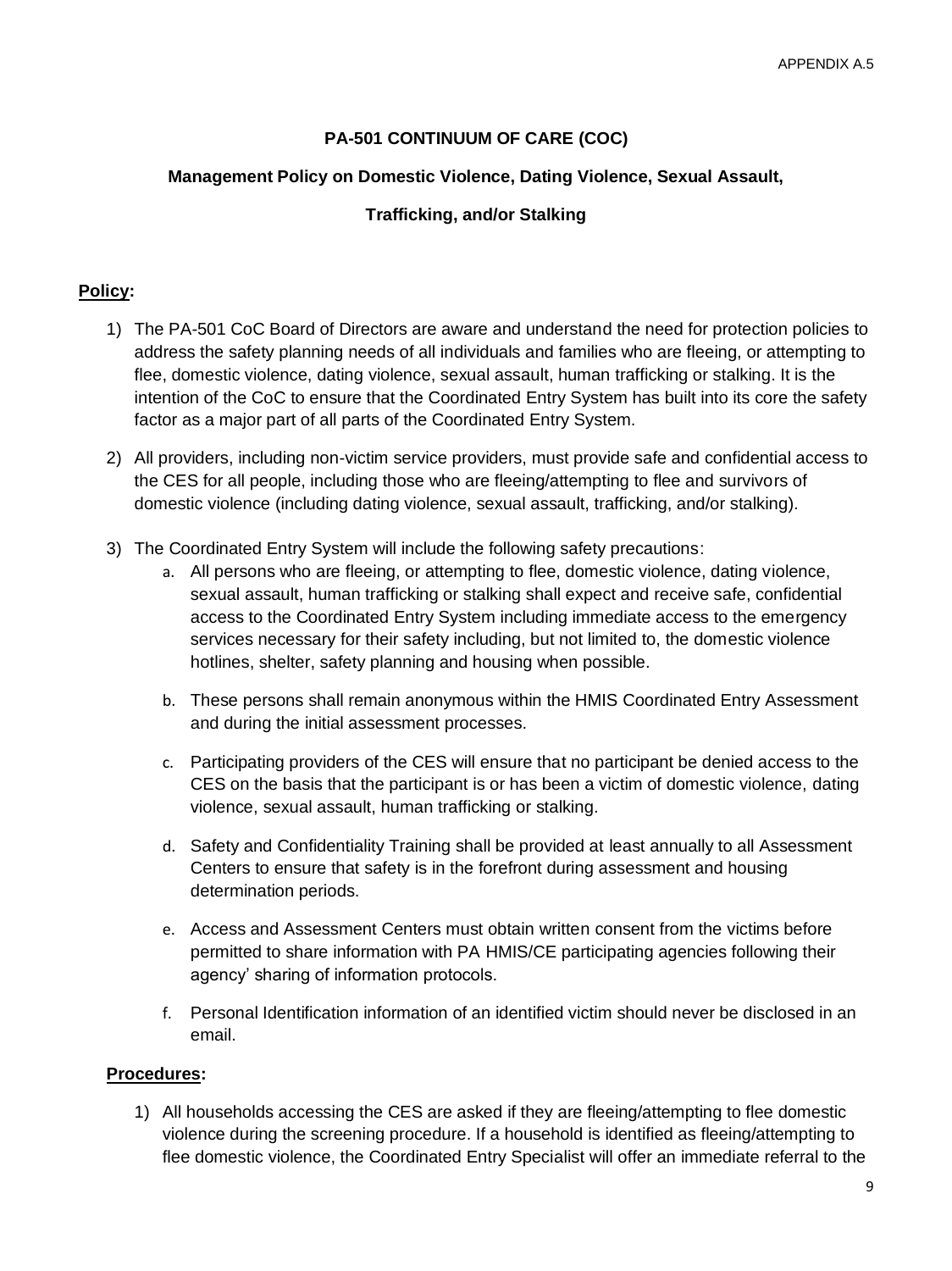## **PA-501 CONTINUUM OF CARE (COC)**

#### **Management Policy on Domestic Violence, Dating Violence, Sexual Assault,**

#### **Trafficking, and/or Stalking**

#### **Policy:**

- 1) The PA-501 CoC Board of Directors are aware and understand the need for protection policies to address the safety planning needs of all individuals and families who are fleeing, or attempting to flee, domestic violence, dating violence, sexual assault, human trafficking or stalking. It is the intention of the CoC to ensure that the Coordinated Entry System has built into its core the safety factor as a major part of all parts of the Coordinated Entry System.
- 2) All providers, including non-victim service providers, must provide safe and confidential access to the CES for all people, including those who are fleeing/attempting to flee and survivors of domestic violence (including dating violence, sexual assault, trafficking, and/or stalking).
- 3) The Coordinated Entry System will include the following safety precautions:
	- a. All persons who are fleeing, or attempting to flee, domestic violence, dating violence, sexual assault, human trafficking or stalking shall expect and receive safe, confidential access to the Coordinated Entry System including immediate access to the emergency services necessary for their safety including, but not limited to, the domestic violence hotlines, shelter, safety planning and housing when possible.
	- b. These persons shall remain anonymous within the HMIS Coordinated Entry Assessment and during the initial assessment processes.
	- c. Participating providers of the CES will ensure that no participant be denied access to the CES on the basis that the participant is or has been a victim of domestic violence, dating violence, sexual assault, human trafficking or stalking.
	- d. Safety and Confidentiality Training shall be provided at least annually to all Assessment Centers to ensure that safety is in the forefront during assessment and housing determination periods.
	- e. Access and Assessment Centers must obtain written consent from the victims before permitted to share information with PA HMIS/CE participating agencies following their agency' sharing of information protocols.
	- f. Personal Identification information of an identified victim should never be disclosed in an email.

#### **Procedures:**

1) All households accessing the CES are asked if they are fleeing/attempting to flee domestic violence during the screening procedure. If a household is identified as fleeing/attempting to flee domestic violence, the Coordinated Entry Specialist will offer an immediate referral to the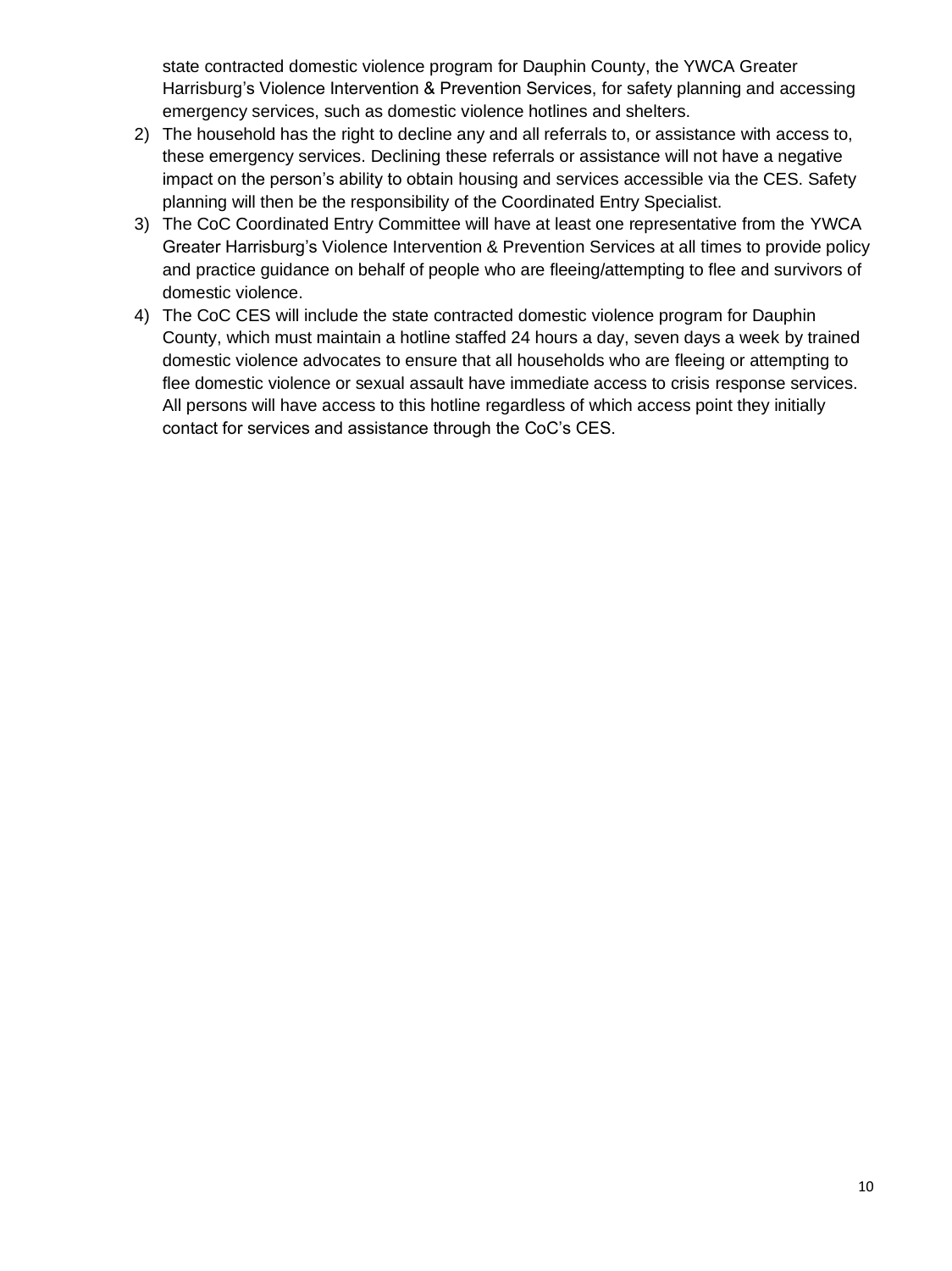state contracted domestic violence program for Dauphin County, the YWCA Greater Harrisburg's Violence Intervention & Prevention Services, for safety planning and accessing emergency services, such as domestic violence hotlines and shelters.

- 2) The household has the right to decline any and all referrals to, or assistance with access to, these emergency services. Declining these referrals or assistance will not have a negative impact on the person's ability to obtain housing and services accessible via the CES. Safety planning will then be the responsibility of the Coordinated Entry Specialist.
- 3) The CoC Coordinated Entry Committee will have at least one representative from the YWCA Greater Harrisburg's Violence Intervention & Prevention Services at all times to provide policy and practice guidance on behalf of people who are fleeing/attempting to flee and survivors of domestic violence.
- 4) The CoC CES will include the state contracted domestic violence program for Dauphin County, which must maintain a hotline staffed 24 hours a day, seven days a week by trained domestic violence advocates to ensure that all households who are fleeing or attempting to flee domestic violence or sexual assault have immediate access to crisis response services. All persons will have access to this hotline regardless of which access point they initially contact for services and assistance through the CoC's CES.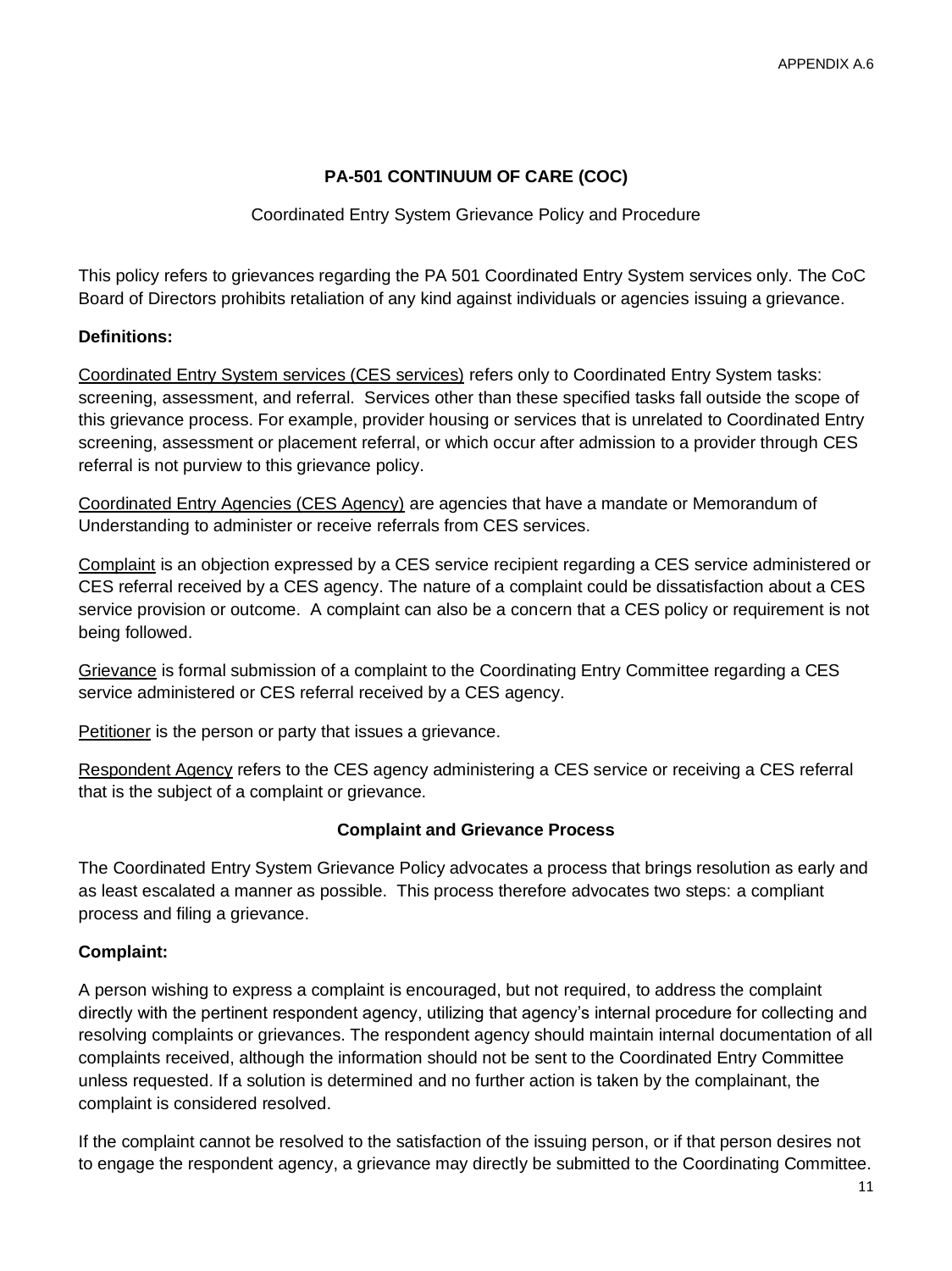## **PA-501 CONTINUUM OF CARE (COC)**

#### Coordinated Entry System Grievance Policy and Procedure

This policy refers to grievances regarding the PA 501 Coordinated Entry System services only. The CoC Board of Directors prohibits retaliation of any kind against individuals or agencies issuing a grievance.

#### **Definitions:**

Coordinated Entry System services (CES services) refers only to Coordinated Entry System tasks: screening, assessment, and referral. Services other than these specified tasks fall outside the scope of this grievance process. For example, provider housing or services that is unrelated to Coordinated Entry screening, assessment or placement referral, or which occur after admission to a provider through CES referral is not purview to this grievance policy.

Coordinated Entry Agencies (CES Agency) are agencies that have a mandate or Memorandum of Understanding to administer or receive referrals from CES services.

Complaint is an objection expressed by a CES service recipient regarding a CES service administered or CES referral received by a CES agency. The nature of a complaint could be dissatisfaction about a CES service provision or outcome. A complaint can also be a concern that a CES policy or requirement is not being followed.

Grievance is formal submission of a complaint to the Coordinating Entry Committee regarding a CES service administered or CES referral received by a CES agency.

Petitioner is the person or party that issues a grievance.

Respondent Agency refers to the CES agency administering a CES service or receiving a CES referral that is the subject of a complaint or grievance.

#### **Complaint and Grievance Process**

The Coordinated Entry System Grievance Policy advocates a process that brings resolution as early and as least escalated a manner as possible. This process therefore advocates two steps: a compliant process and filing a grievance.

#### **Complaint:**

A person wishing to express a complaint is encouraged, but not required, to address the complaint directly with the pertinent respondent agency, utilizing that agency's internal procedure for collecting and resolving complaints or grievances. The respondent agency should maintain internal documentation of all complaints received, although the information should not be sent to the Coordinated Entry Committee unless requested. If a solution is determined and no further action is taken by the complainant, the complaint is considered resolved.

If the complaint cannot be resolved to the satisfaction of the issuing person, or if that person desires not to engage the respondent agency, a grievance may directly be submitted to the Coordinating Committee.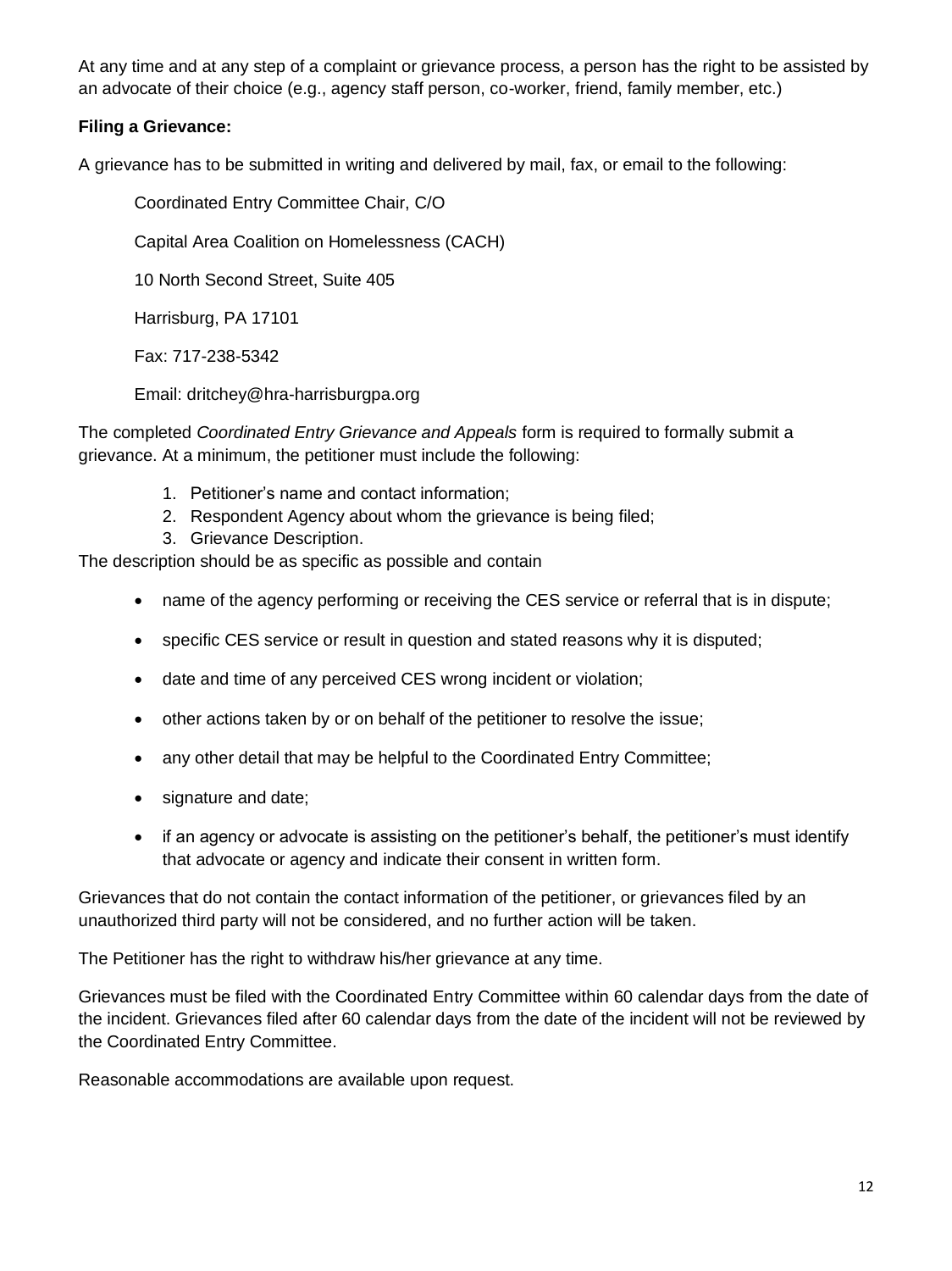At any time and at any step of a complaint or grievance process, a person has the right to be assisted by an advocate of their choice (e.g., agency staff person, co-worker, friend, family member, etc.)

## **Filing a Grievance:**

A grievance has to be submitted in writing and delivered by mail, fax, or email to the following:

Coordinated Entry Committee Chair, C/O

Capital Area Coalition on Homelessness (CACH)

10 North Second Street, Suite 405

Harrisburg, PA 17101

Fax: 717-238-5342

Email: dritchey@hra-harrisburgpa.org

The completed *Coordinated Entry Grievance and Appeals* form is required to formally submit a grievance. At a minimum, the petitioner must include the following:

- 1. Petitioner's name and contact information;
- 2. Respondent Agency about whom the grievance is being filed;
- 3. Grievance Description.

The description should be as specific as possible and contain

- name of the agency performing or receiving the CES service or referral that is in dispute;
- specific CES service or result in question and stated reasons why it is disputed;
- date and time of any perceived CES wrong incident or violation;
- other actions taken by or on behalf of the petitioner to resolve the issue;
- any other detail that may be helpful to the Coordinated Entry Committee;
- signature and date;
- if an agency or advocate is assisting on the petitioner's behalf, the petitioner's must identify that advocate or agency and indicate their consent in written form.

Grievances that do not contain the contact information of the petitioner, or grievances filed by an unauthorized third party will not be considered, and no further action will be taken.

The Petitioner has the right to withdraw his/her grievance at any time.

Grievances must be filed with the Coordinated Entry Committee within 60 calendar days from the date of the incident. Grievances filed after 60 calendar days from the date of the incident will not be reviewed by the Coordinated Entry Committee.

Reasonable accommodations are available upon request.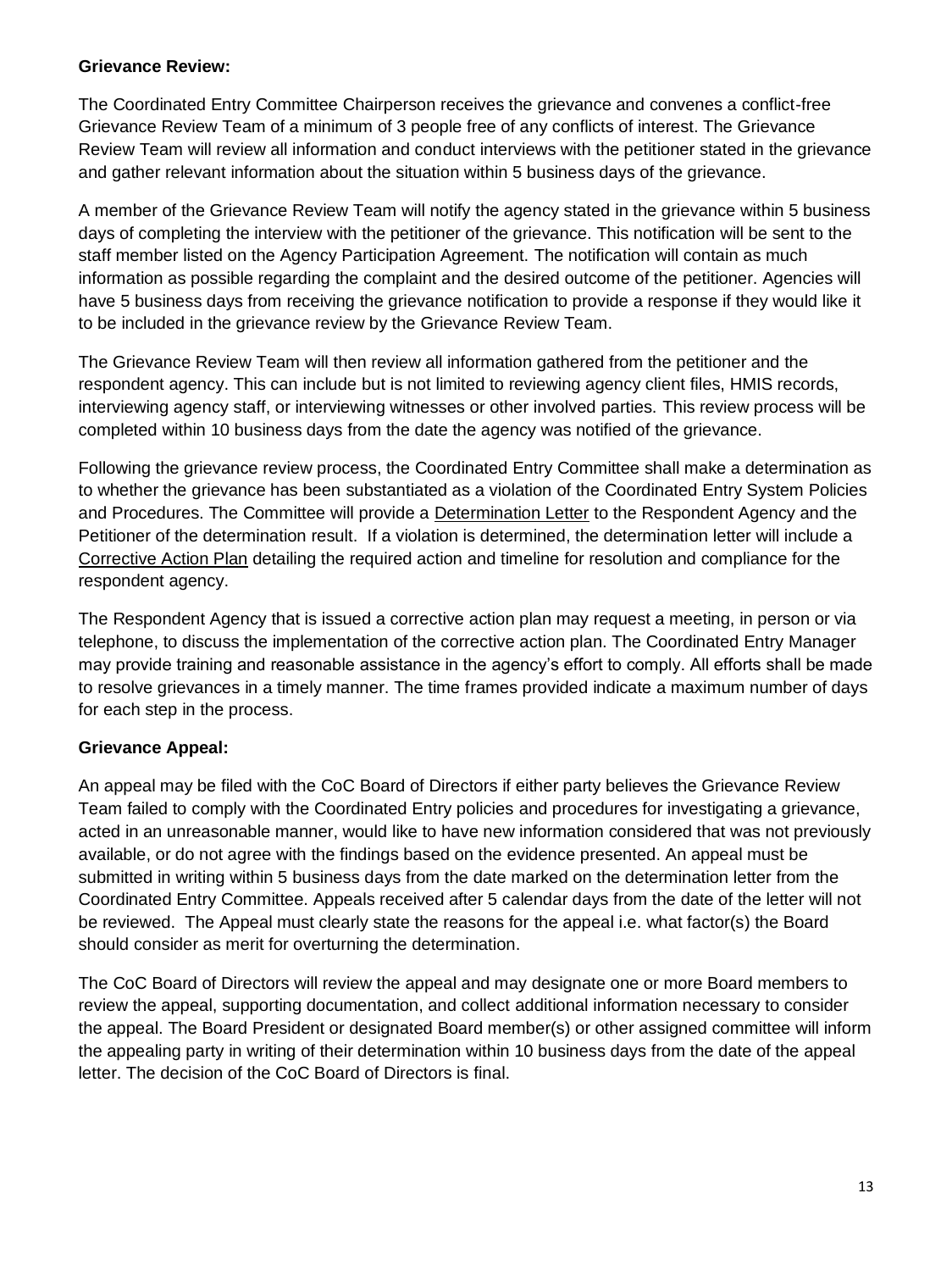#### **Grievance Review:**

The Coordinated Entry Committee Chairperson receives the grievance and convenes a conflict-free Grievance Review Team of a minimum of 3 people free of any conflicts of interest. The Grievance Review Team will review all information and conduct interviews with the petitioner stated in the grievance and gather relevant information about the situation within 5 business days of the grievance.

A member of the Grievance Review Team will notify the agency stated in the grievance within 5 business days of completing the interview with the petitioner of the grievance. This notification will be sent to the staff member listed on the Agency Participation Agreement. The notification will contain as much information as possible regarding the complaint and the desired outcome of the petitioner. Agencies will have 5 business days from receiving the grievance notification to provide a response if they would like it to be included in the grievance review by the Grievance Review Team.

The Grievance Review Team will then review all information gathered from the petitioner and the respondent agency. This can include but is not limited to reviewing agency client files, HMIS records, interviewing agency staff, or interviewing witnesses or other involved parties. This review process will be completed within 10 business days from the date the agency was notified of the grievance.

Following the grievance review process, the Coordinated Entry Committee shall make a determination as to whether the grievance has been substantiated as a violation of the Coordinated Entry System Policies and Procedures. The Committee will provide a Determination Letter to the Respondent Agency and the Petitioner of the determination result. If a violation is determined, the determination letter will include a Corrective Action Plan detailing the required action and timeline for resolution and compliance for the respondent agency.

The Respondent Agency that is issued a corrective action plan may request a meeting, in person or via telephone, to discuss the implementation of the corrective action plan. The Coordinated Entry Manager may provide training and reasonable assistance in the agency's effort to comply. All efforts shall be made to resolve grievances in a timely manner. The time frames provided indicate a maximum number of days for each step in the process.

#### **Grievance Appeal:**

An appeal may be filed with the CoC Board of Directors if either party believes the Grievance Review Team failed to comply with the Coordinated Entry policies and procedures for investigating a grievance, acted in an unreasonable manner, would like to have new information considered that was not previously available, or do not agree with the findings based on the evidence presented. An appeal must be submitted in writing within 5 business days from the date marked on the determination letter from the Coordinated Entry Committee. Appeals received after 5 calendar days from the date of the letter will not be reviewed. The Appeal must clearly state the reasons for the appeal i.e. what factor(s) the Board should consider as merit for overturning the determination.

The CoC Board of Directors will review the appeal and may designate one or more Board members to review the appeal, supporting documentation, and collect additional information necessary to consider the appeal. The Board President or designated Board member(s) or other assigned committee will inform the appealing party in writing of their determination within 10 business days from the date of the appeal letter. The decision of the CoC Board of Directors is final.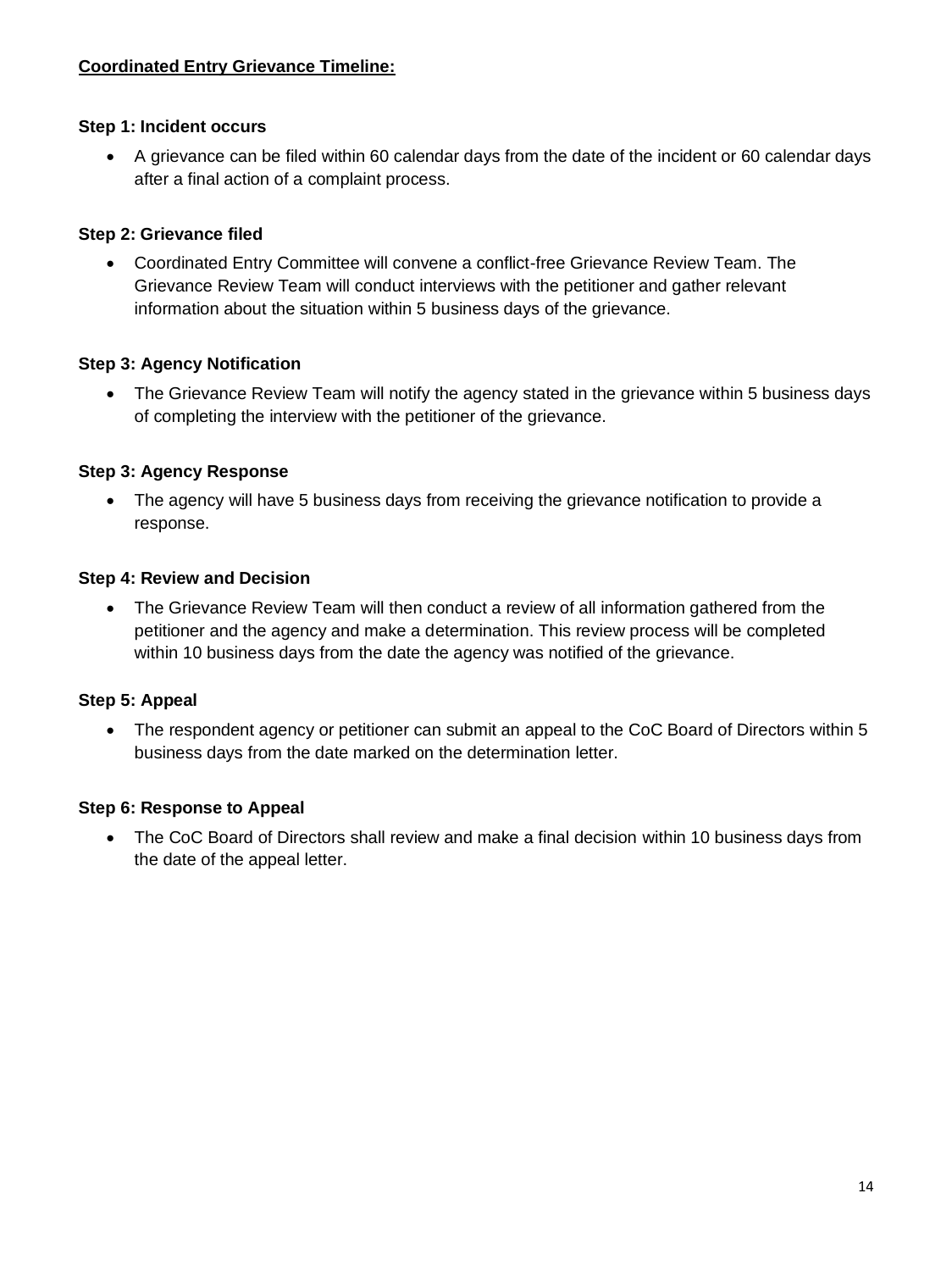#### **Step 1: Incident occurs**

• A grievance can be filed within 60 calendar days from the date of the incident or 60 calendar days after a final action of a complaint process.

## **Step 2: Grievance filed**

• Coordinated Entry Committee will convene a conflict-free Grievance Review Team. The Grievance Review Team will conduct interviews with the petitioner and gather relevant information about the situation within 5 business days of the grievance.

## **Step 3: Agency Notification**

• The Grievance Review Team will notify the agency stated in the grievance within 5 business days of completing the interview with the petitioner of the grievance.

## **Step 3: Agency Response**

• The agency will have 5 business days from receiving the grievance notification to provide a response.

#### **Step 4: Review and Decision**

• The Grievance Review Team will then conduct a review of all information gathered from the petitioner and the agency and make a determination. This review process will be completed within 10 business days from the date the agency was notified of the grievance.

## **Step 5: Appeal**

• The respondent agency or petitioner can submit an appeal to the CoC Board of Directors within 5 business days from the date marked on the determination letter.

#### **Step 6: Response to Appeal**

• The CoC Board of Directors shall review and make a final decision within 10 business days from the date of the appeal letter.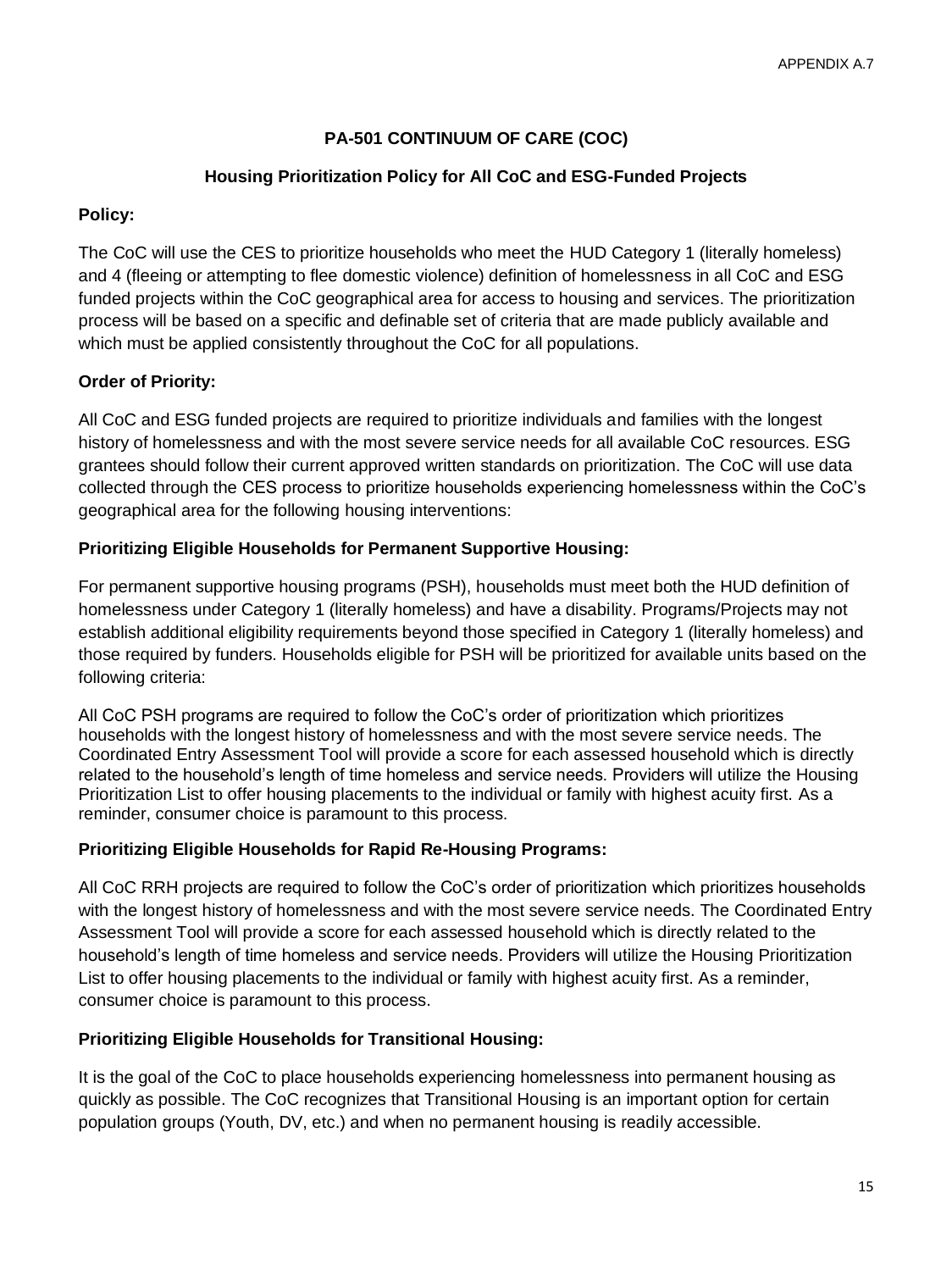# **PA-501 CONTINUUM OF CARE (COC)**

## **Housing Prioritization Policy for All CoC and ESG-Funded Projects**

## **Policy:**

The CoC will use the CES to prioritize households who meet the HUD Category 1 (literally homeless) and 4 (fleeing or attempting to flee domestic violence) definition of homelessness in all CoC and ESG funded projects within the CoC geographical area for access to housing and services. The prioritization process will be based on a specific and definable set of criteria that are made publicly available and which must be applied consistently throughout the CoC for all populations.

# **Order of Priority:**

All CoC and ESG funded projects are required to prioritize individuals and families with the longest history of homelessness and with the most severe service needs for all available CoC resources. ESG grantees should follow their current approved written standards on prioritization. The CoC will use data collected through the CES process to prioritize households experiencing homelessness within the CoC's geographical area for the following housing interventions:

## **Prioritizing Eligible Households for Permanent Supportive Housing:**

For permanent supportive housing programs (PSH), households must meet both the HUD definition of homelessness under Category 1 (literally homeless) and have a disability. Programs/Projects may not establish additional eligibility requirements beyond those specified in Category 1 (literally homeless) and those required by funders. Households eligible for PSH will be prioritized for available units based on the following criteria:

All CoC PSH programs are required to follow the CoC's order of prioritization which prioritizes households with the longest history of homelessness and with the most severe service needs. The Coordinated Entry Assessment Tool will provide a score for each assessed household which is directly related to the household's length of time homeless and service needs. Providers will utilize the Housing Prioritization List to offer housing placements to the individual or family with highest acuity first. As a reminder, consumer choice is paramount to this process.

## **Prioritizing Eligible Households for Rapid Re-Housing Programs:**

All CoC RRH projects are required to follow the CoC's order of prioritization which prioritizes households with the longest history of homelessness and with the most severe service needs. The Coordinated Entry Assessment Tool will provide a score for each assessed household which is directly related to the household's length of time homeless and service needs. Providers will utilize the Housing Prioritization List to offer housing placements to the individual or family with highest acuity first. As a reminder, consumer choice is paramount to this process.

## **Prioritizing Eligible Households for Transitional Housing:**

It is the goal of the CoC to place households experiencing homelessness into permanent housing as quickly as possible. The CoC recognizes that Transitional Housing is an important option for certain population groups (Youth, DV, etc.) and when no permanent housing is readily accessible.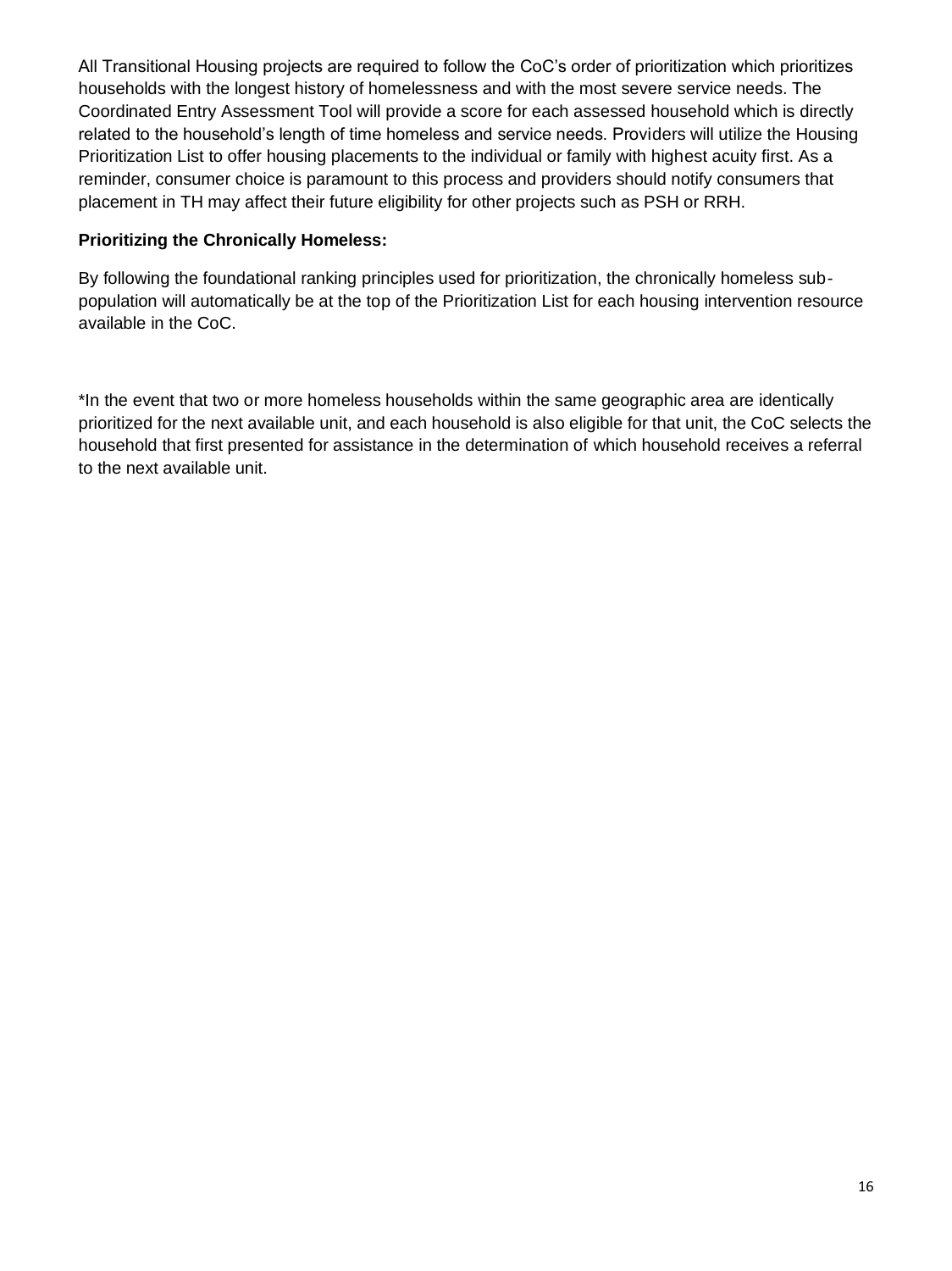All Transitional Housing projects are required to follow the CoC's order of prioritization which prioritizes households with the longest history of homelessness and with the most severe service needs. The Coordinated Entry Assessment Tool will provide a score for each assessed household which is directly related to the household's length of time homeless and service needs. Providers will utilize the Housing Prioritization List to offer housing placements to the individual or family with highest acuity first. As a reminder, consumer choice is paramount to this process and providers should notify consumers that placement in TH may affect their future eligibility for other projects such as PSH or RRH.

## **Prioritizing the Chronically Homeless:**

By following the foundational ranking principles used for prioritization, the chronically homeless subpopulation will automatically be at the top of the Prioritization List for each housing intervention resource available in the CoC.

\*In the event that two or more homeless households within the same geographic area are identically prioritized for the next available unit, and each household is also eligible for that unit, the CoC selects the household that first presented for assistance in the determination of which household receives a referral to the next available unit.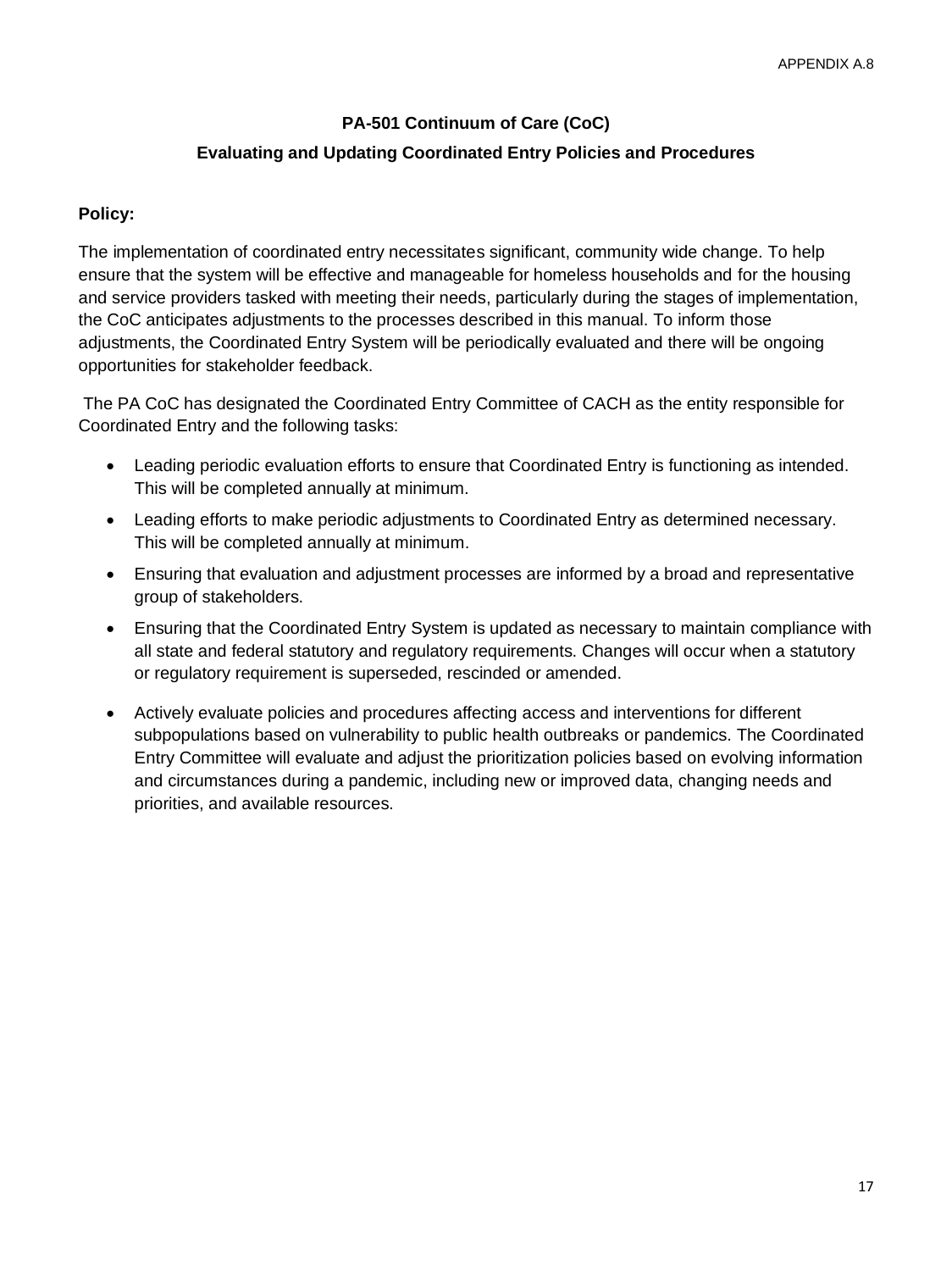# **PA-501 Continuum of Care (CoC) Evaluating and Updating Coordinated Entry Policies and Procedures**

#### **Policy:**

The implementation of coordinated entry necessitates significant, community wide change. To help ensure that the system will be effective and manageable for homeless households and for the housing and service providers tasked with meeting their needs, particularly during the stages of implementation, the CoC anticipates adjustments to the processes described in this manual. To inform those adjustments, the Coordinated Entry System will be periodically evaluated and there will be ongoing opportunities for stakeholder feedback.

The PA CoC has designated the Coordinated Entry Committee of CACH as the entity responsible for Coordinated Entry and the following tasks:

- Leading periodic evaluation efforts to ensure that Coordinated Entry is functioning as intended. This will be completed annually at minimum.
- Leading efforts to make periodic adjustments to Coordinated Entry as determined necessary. This will be completed annually at minimum.
- Ensuring that evaluation and adjustment processes are informed by a broad and representative group of stakeholders.
- Ensuring that the Coordinated Entry System is updated as necessary to maintain compliance with all state and federal statutory and regulatory requirements. Changes will occur when a statutory or regulatory requirement is superseded, rescinded or amended.
- Actively evaluate policies and procedures affecting access and interventions for different subpopulations based on vulnerability to public health outbreaks or pandemics. The Coordinated Entry Committee will evaluate and adjust the prioritization policies based on evolving information and circumstances during a pandemic, including new or improved data, changing needs and priorities, and available resources.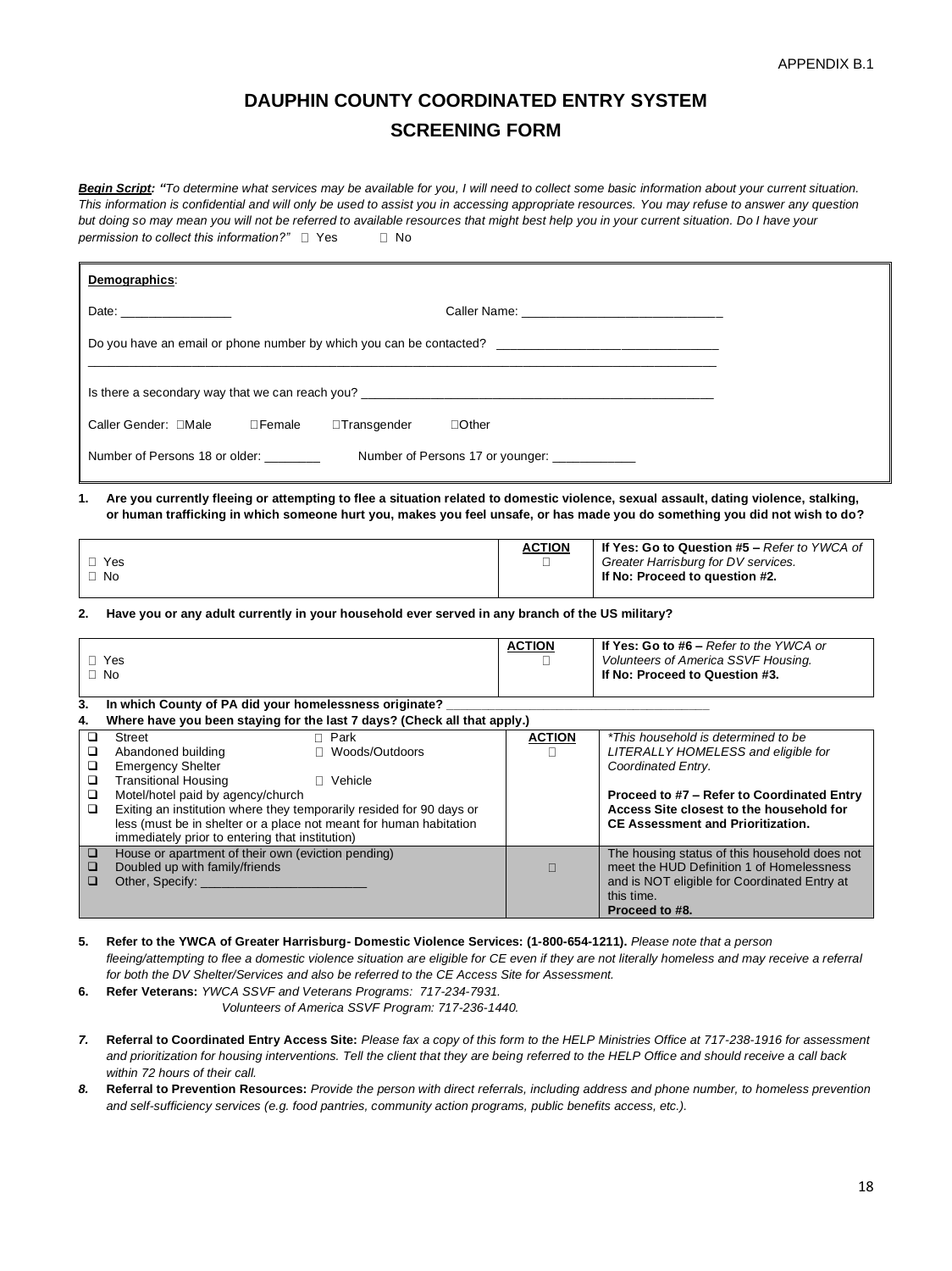# **DAUPHIN COUNTY COORDINATED ENTRY SYSTEM SCREENING FORM**

**Begin Script:** "To determine what services may be available for you, I will need to collect some basic information about your current situation. *This information is confidential and will only be used to assist you in accessing appropriate resources. You may refuse to answer any question but doing so may mean you will not be referred to available resources that might best help you in your current situation. Do I have your permission to collect this information?*"  $\Box$  Yes  $\Box$  No

| Demographics:                                                                                                                                                                                                                                                             |                    |                                                                                                                                                                            |
|---------------------------------------------------------------------------------------------------------------------------------------------------------------------------------------------------------------------------------------------------------------------------|--------------------|----------------------------------------------------------------------------------------------------------------------------------------------------------------------------|
| Date: __________________                                                                                                                                                                                                                                                  |                    | Caller Name: _________________________________                                                                                                                             |
| Do you have an email or phone number by which you can be contacted?                                                                                                                                                                                                       |                    |                                                                                                                                                                            |
| Is there a secondary way that we can reach you? Department of the contract of the contract of the contract of the contract of the contract of the contract of the contract of the contract of the contract of the contract of                                             |                    |                                                                                                                                                                            |
| <b>Transgender</b><br>$\Box$ Other                                                                                                                                                                                                                                        |                    |                                                                                                                                                                            |
| Number of Persons 18 or older:<br>Number of Persons 17 or younger: ____________                                                                                                                                                                                           |                    |                                                                                                                                                                            |
| Are you currently fleeing or attempting to flee a situation related to domestic violence, sexual assault, dating violence, stalking,<br>1.<br>or human trafficking in which someone hurt you, makes you feel unsafe, or has made you do something you did not wish to do? |                    |                                                                                                                                                                            |
| $\Box$ Yes<br>$\Box$ No                                                                                                                                                                                                                                                   | <b>ACTION</b><br>п | If Yes: Go to Question #5 - Refer to YWCA of<br>Greater Harrisburg for DV services.<br>If No: Proceed to question #2.                                                      |
| Have you or any adult currently in your household ever served in any branch of the US military?<br>2.                                                                                                                                                                     |                    |                                                                                                                                                                            |
| $\Box$ Yes<br>$\Box$ No                                                                                                                                                                                                                                                   | <b>ACTION</b><br>П | If Yes: Go to #6 - Refer to the YWCA or<br>Volunteers of America SSVF Housing.<br>If No: Proceed to Question #3.                                                           |
| In which County of PA did your homelessness originate? _<br>3.<br>Where have you been staying for the last 7 days? (Check all that apply.)<br>4.                                                                                                                          |                    |                                                                                                                                                                            |
| $\Box$ Park<br>$\Box$<br><b>Street</b><br>Abandoned building<br>□ Woods/Outdoors<br>□<br><b>Emergency Shelter</b><br>o<br><b>Transitional Housing</b><br>□ Vehicle<br>o.                                                                                                  | <b>ACTION</b><br>п | *This household is determined to be<br>LITERALLY HOMELESS and eligible for<br>Coordinated Entry.                                                                           |
| Motel/hotel paid by agency/church<br>$\Box$<br>Exiting an institution where they temporarily resided for 90 days or<br>□<br>less (must be in shelter or a place not meant for human habitation<br>immediately prior to entering that institution)                         |                    | Proceed to #7 - Refer to Coordinated Entry<br>Access Site closest to the household for<br><b>CE Assessment and Prioritization.</b>                                         |
| House or apartment of their own (eviction pending)<br>□<br>Doubled up with family/friends<br>o.<br>Other, Specify: __________________<br>□                                                                                                                                | $\Box$             | The housing status of this household does not<br>meet the HUD Definition 1 of Homelessness<br>and is NOT eligible for Coordinated Entry at<br>this time.<br>Proceed to #8. |

**5. Refer to the YWCA of Greater Harrisburg- Domestic Violence Services: (1-800-654-1211).** *Please note that a person fleeing/attempting to flee a domestic violence situation are eligible for CE even if they are not literally homeless and may receive a referral for both the DV Shelter/Services and also be referred to the CE Access Site for Assessment.*

**6. Refer Veterans:** *YWCA SSVF and Veterans Programs: 717-234-7931.* 

 *Volunteers of America SSVF Program: 717-236-1440.*

- *7.* **Referral to Coordinated Entry Access Site:** *Please fax a copy of this form to the HELP Ministries Office at 717-238-1916 for assessment and prioritization for housing interventions. Tell the client that they are being referred to the HELP Office and should receive a call back within 72 hours of their call.*
- *8.* **Referral to Prevention Resources:** *Provide the person with direct referrals, including address and phone number, to homeless prevention and self-sufficiency services (e.g. food pantries, community action programs, public benefits access, etc.).*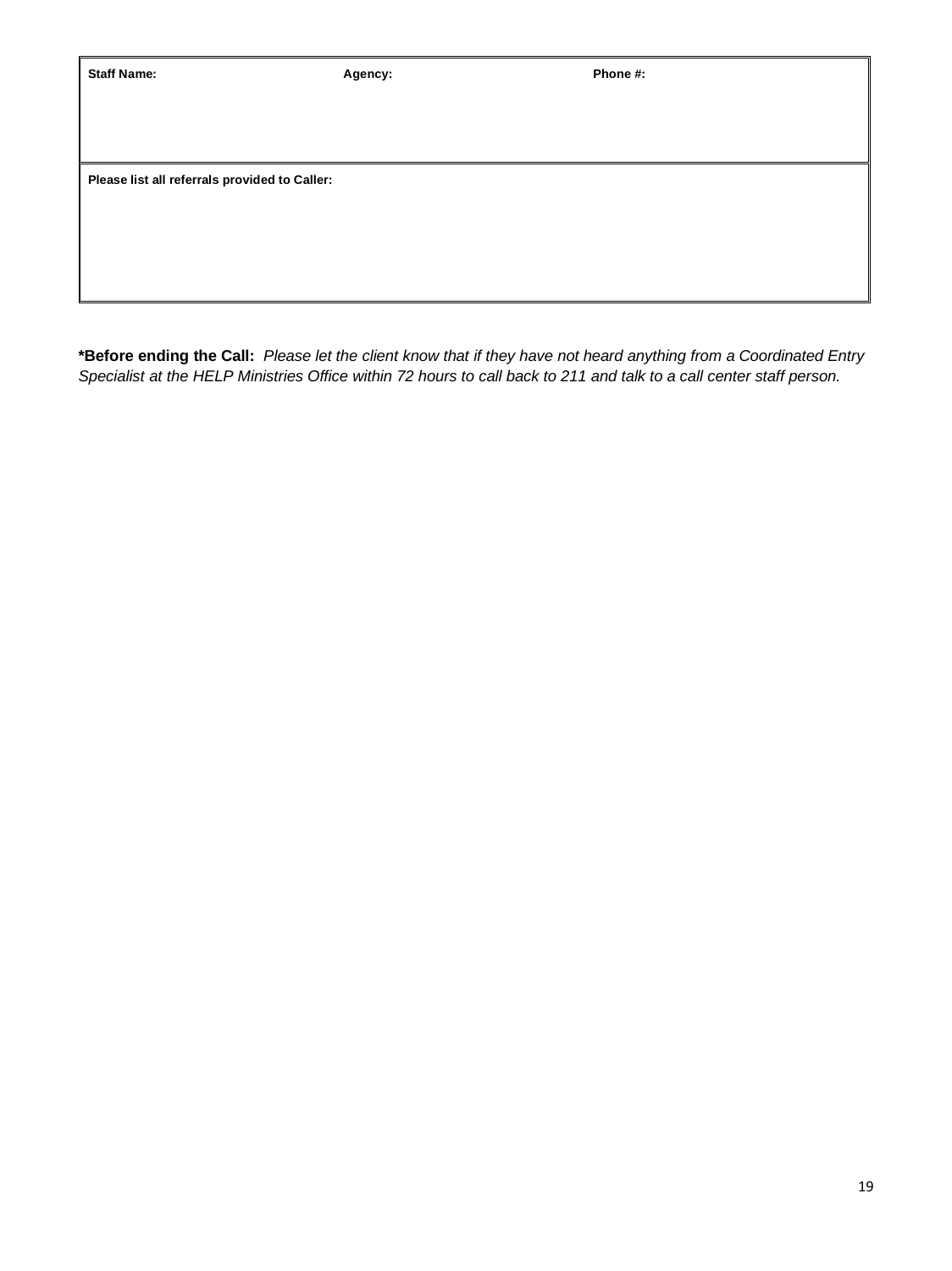Agency: **Agency:** Phone #:

**Please list all referrals provided to Caller:**

**\*Before ending the Call:** *Please let the client know that if they have not heard anything from a Coordinated Entry Specialist at the HELP Ministries Office within 72 hours to call back to 211 and talk to a call center staff person.*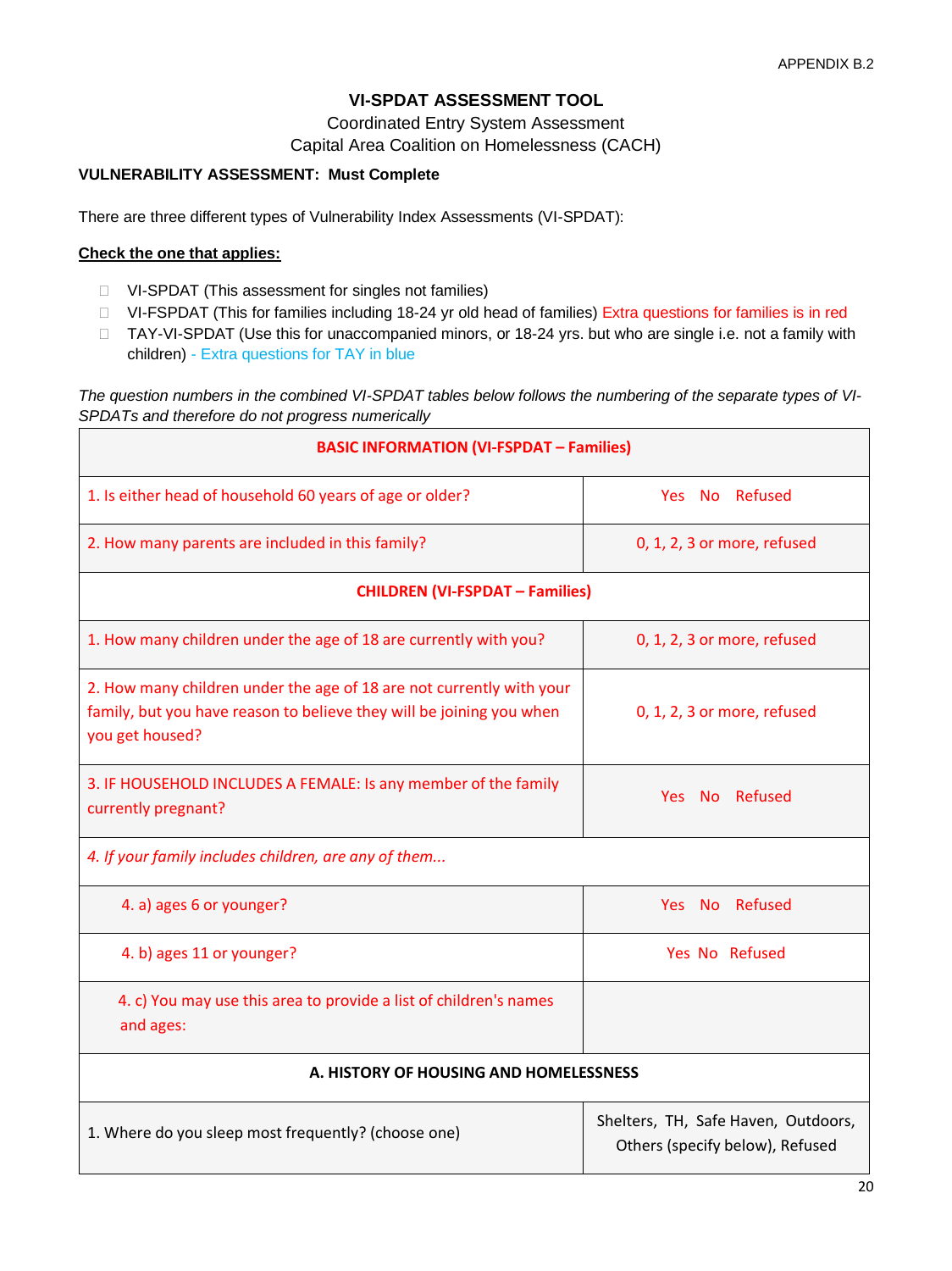## **VI-SPDAT ASSESSMENT TOOL**

Coordinated Entry System Assessment

Capital Area Coalition on Homelessness (CACH)

#### **VULNERABILITY ASSESSMENT: Must Complete**

There are three different types of Vulnerability Index Assessments (VI-SPDAT):

#### **Check the one that applies:**

- VI-SPDAT (This assessment for singles not families)
- □ VI-FSPDAT (This for families including 18-24 yr old head of families) Extra questions for families is in red
- □ TAY-VI-SPDAT (Use this for unaccompanied minors, or 18-24 yrs. but who are single i.e. not a family with children) - Extra questions for TAY in blue

*The question numbers in the combined VI-SPDAT tables below follows the numbering of the separate types of VI-SPDATs and therefore do not progress numerically*

| <b>BASIC INFORMATION (VI-FSPDAT - Families)</b>                                                                                                                 |                                                                        |
|-----------------------------------------------------------------------------------------------------------------------------------------------------------------|------------------------------------------------------------------------|
| 1. Is either head of household 60 years of age or older?                                                                                                        | Yes No Refused                                                         |
| 2. How many parents are included in this family?                                                                                                                | 0, 1, 2, 3 or more, refused                                            |
| <b>CHILDREN (VI-FSPDAT - Families)</b>                                                                                                                          |                                                                        |
| 1. How many children under the age of 18 are currently with you?                                                                                                | 0, 1, 2, 3 or more, refused                                            |
| 2. How many children under the age of 18 are not currently with your<br>family, but you have reason to believe they will be joining you when<br>you get housed? | 0, 1, 2, 3 or more, refused                                            |
| 3. IF HOUSEHOLD INCLUDES A FEMALE: Is any member of the family<br>currently pregnant?                                                                           | Yes No Refused                                                         |
| 4. If your family includes children, are any of them                                                                                                            |                                                                        |
| 4. a) ages 6 or younger?                                                                                                                                        | Yes No Refused                                                         |
| 4. b) ages 11 or younger?                                                                                                                                       | Yes No Refused                                                         |
| 4. c) You may use this area to provide a list of children's names<br>and ages:                                                                                  |                                                                        |
| A. HISTORY OF HOUSING AND HOMELESSNESS                                                                                                                          |                                                                        |
| 1. Where do you sleep most frequently? (choose one)                                                                                                             | Shelters, TH, Safe Haven, Outdoors,<br>Others (specify below), Refused |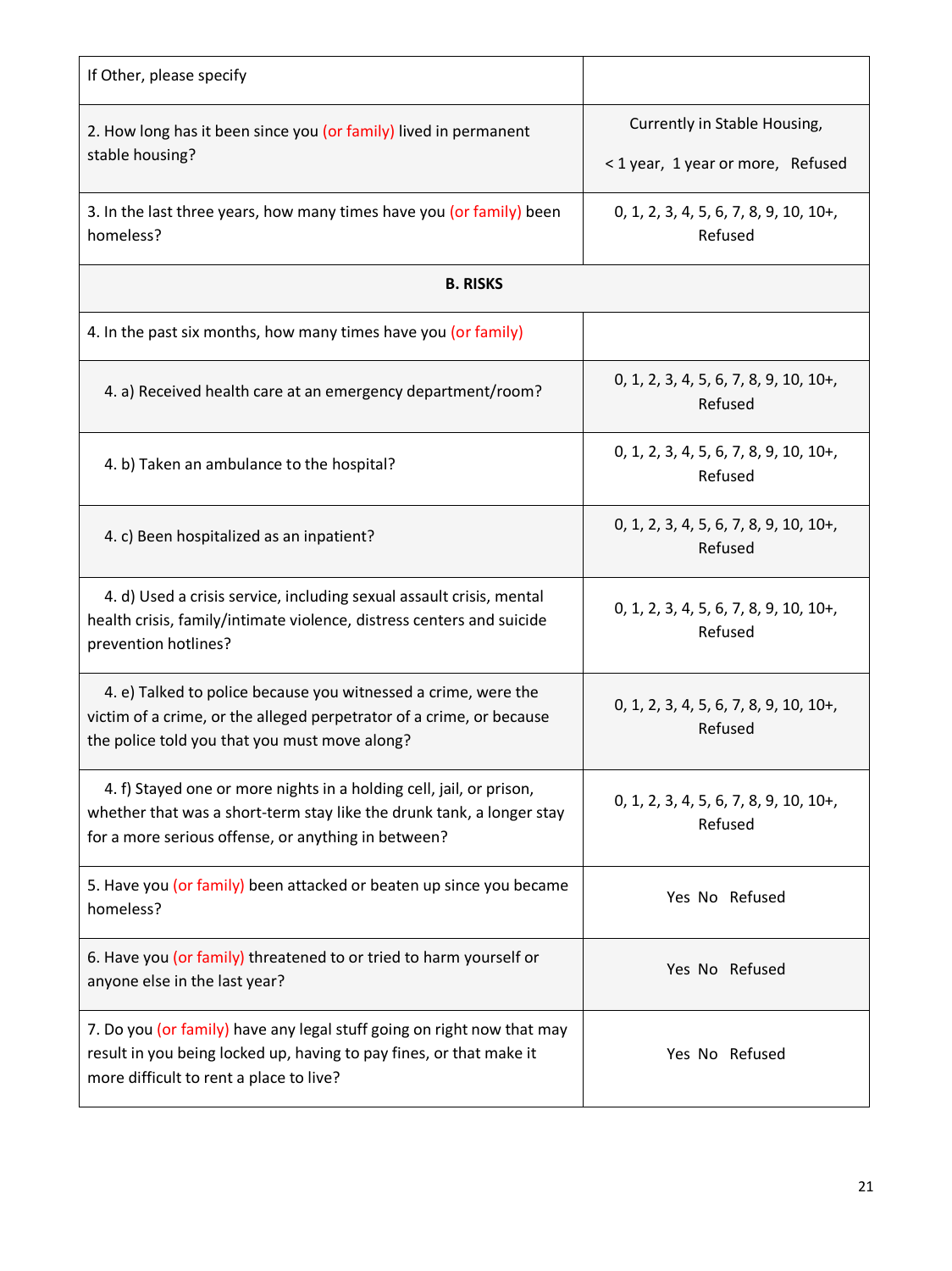| If Other, please specify                                                                                                                                                                            |                                                                   |
|-----------------------------------------------------------------------------------------------------------------------------------------------------------------------------------------------------|-------------------------------------------------------------------|
| 2. How long has it been since you (or family) lived in permanent<br>stable housing?                                                                                                                 | Currently in Stable Housing,<br>< 1 year, 1 year or more, Refused |
| 3. In the last three years, how many times have you (or family) been<br>homeless?                                                                                                                   | $0, 1, 2, 3, 4, 5, 6, 7, 8, 9, 10, 10+,$<br>Refused               |
| <b>B. RISKS</b>                                                                                                                                                                                     |                                                                   |
| 4. In the past six months, how many times have you (or family)                                                                                                                                      |                                                                   |
| 4. a) Received health care at an emergency department/room?                                                                                                                                         | $0, 1, 2, 3, 4, 5, 6, 7, 8, 9, 10, 10+,$<br>Refused               |
| 4. b) Taken an ambulance to the hospital?                                                                                                                                                           | 0, 1, 2, 3, 4, 5, 6, 7, 8, 9, 10, 10+,<br>Refused                 |
| 4. c) Been hospitalized as an inpatient?                                                                                                                                                            | 0, 1, 2, 3, 4, 5, 6, 7, 8, 9, 10, 10+,<br>Refused                 |
| 4. d) Used a crisis service, including sexual assault crisis, mental<br>health crisis, family/intimate violence, distress centers and suicide<br>prevention hotlines?                               | $0, 1, 2, 3, 4, 5, 6, 7, 8, 9, 10, 10+,$<br>Refused               |
| 4. e) Talked to police because you witnessed a crime, were the<br>victim of a crime, or the alleged perpetrator of a crime, or because<br>the police told you that you must move along?             | $0, 1, 2, 3, 4, 5, 6, 7, 8, 9, 10, 10+,$<br>Refused               |
| 4. f) Stayed one or more nights in a holding cell, jail, or prison,<br>whether that was a short-term stay like the drunk tank, a longer stay<br>for a more serious offense, or anything in between? | $0, 1, 2, 3, 4, 5, 6, 7, 8, 9, 10, 10+,$<br>Refused               |
| 5. Have you (or family) been attacked or beaten up since you became<br>homeless?                                                                                                                    | Yes No Refused                                                    |
| 6. Have you (or family) threatened to or tried to harm yourself or<br>anyone else in the last year?                                                                                                 | Yes No Refused                                                    |
| 7. Do you (or family) have any legal stuff going on right now that may<br>result in you being locked up, having to pay fines, or that make it<br>more difficult to rent a place to live?            | Yes No Refused                                                    |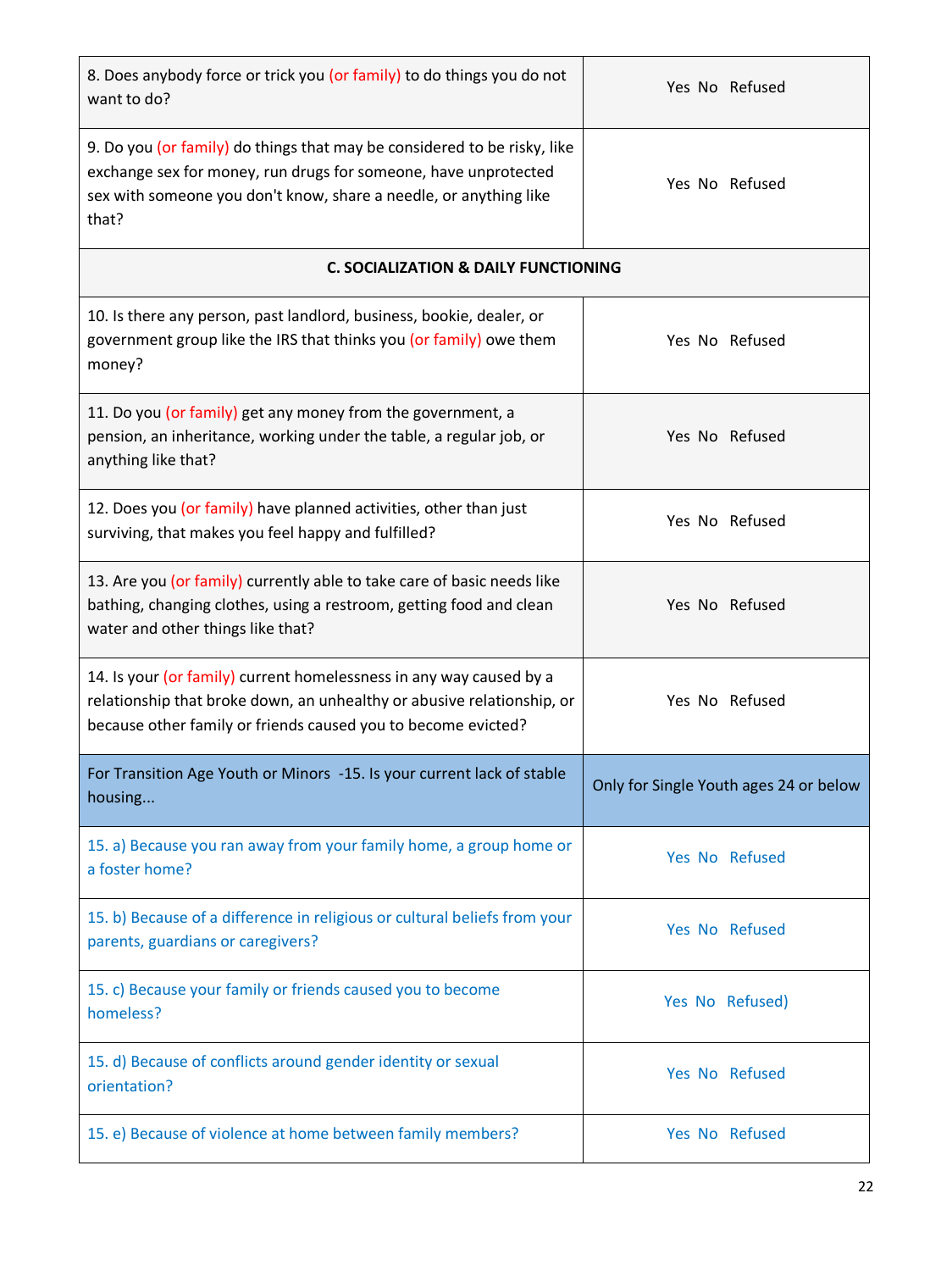| 8. Does anybody force or trick you (or family) to do things you do not<br>want to do?                                                                                                                                     | Yes No Refused                         |
|---------------------------------------------------------------------------------------------------------------------------------------------------------------------------------------------------------------------------|----------------------------------------|
| 9. Do you (or family) do things that may be considered to be risky, like<br>exchange sex for money, run drugs for someone, have unprotected<br>sex with someone you don't know, share a needle, or anything like<br>that? | Yes No Refused                         |
| <b>C. SOCIALIZATION &amp; DAILY FUNCTIONING</b>                                                                                                                                                                           |                                        |
| 10. Is there any person, past landlord, business, bookie, dealer, or<br>government group like the IRS that thinks you (or family) owe them<br>money?                                                                      | Yes No Refused                         |
| 11. Do you (or family) get any money from the government, a<br>pension, an inheritance, working under the table, a regular job, or<br>anything like that?                                                                 | Yes No Refused                         |
| 12. Does you (or family) have planned activities, other than just<br>surviving, that makes you feel happy and fulfilled?                                                                                                  | Yes No Refused                         |
| 13. Are you (or family) currently able to take care of basic needs like<br>bathing, changing clothes, using a restroom, getting food and clean<br>water and other things like that?                                       | Yes No Refused                         |
| 14. Is your (or family) current homelessness in any way caused by a<br>relationship that broke down, an unhealthy or abusive relationship, or<br>because other family or friends caused you to become evicted?            | Yes No Refused                         |
| For Transition Age Youth or Minors -15. Is your current lack of stable<br>housing                                                                                                                                         | Only for Single Youth ages 24 or below |
| 15. a) Because you ran away from your family home, a group home or<br>a foster home?                                                                                                                                      | Yes No Refused                         |
| 15. b) Because of a difference in religious or cultural beliefs from your<br>parents, guardians or caregivers?                                                                                                            | Yes No Refused                         |
| 15. c) Because your family or friends caused you to become<br>homeless?                                                                                                                                                   | Yes No Refused)                        |
| 15. d) Because of conflicts around gender identity or sexual<br>orientation?                                                                                                                                              | Yes No Refused                         |
| 15. e) Because of violence at home between family members?                                                                                                                                                                | Yes No Refused                         |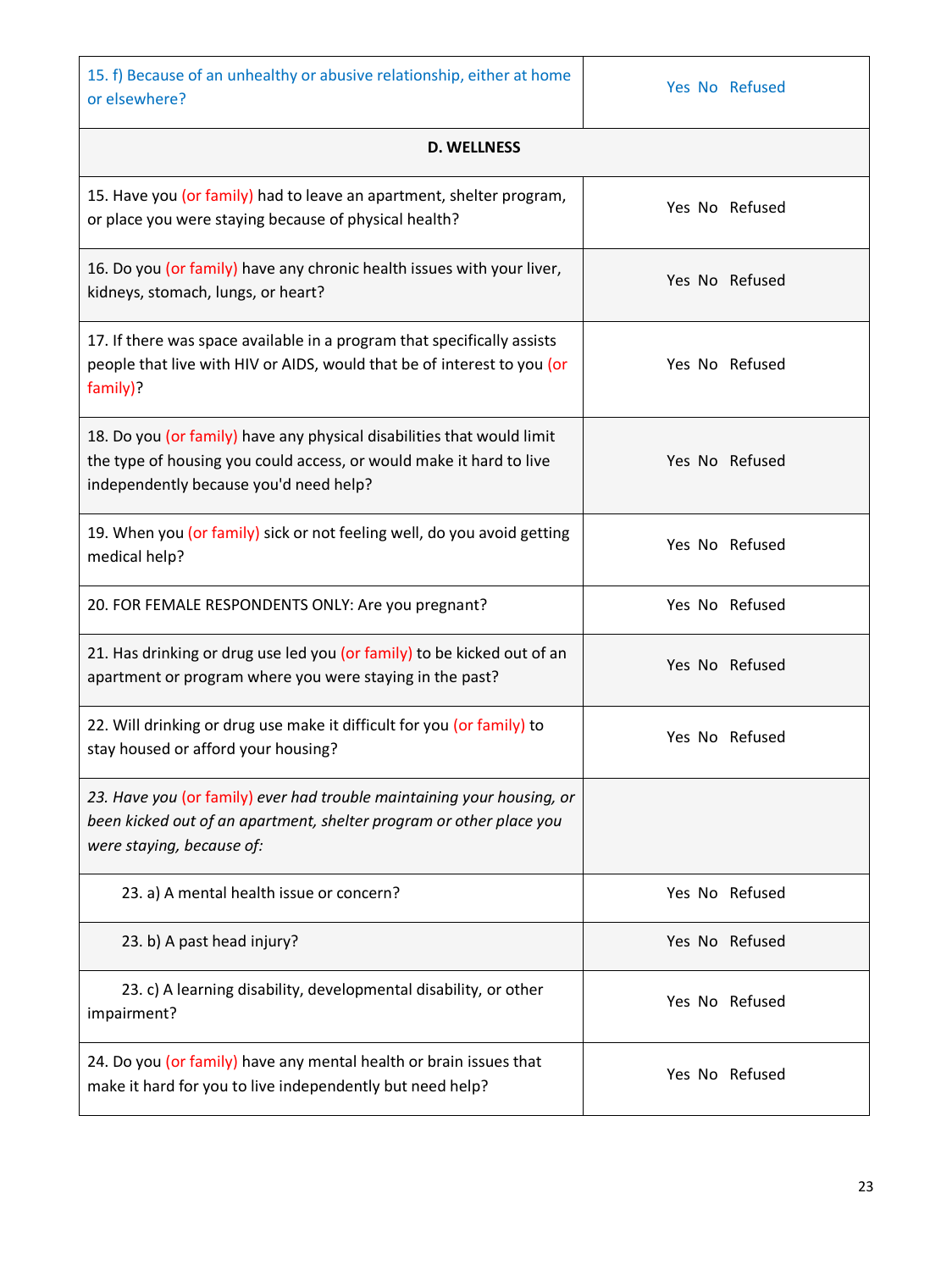| 15. f) Because of an unhealthy or abusive relationship, either at home                                                                                                                  |                |  |  |  |  |
|-----------------------------------------------------------------------------------------------------------------------------------------------------------------------------------------|----------------|--|--|--|--|
| or elsewhere?                                                                                                                                                                           | Yes No Refused |  |  |  |  |
| <b>D. WELLNESS</b>                                                                                                                                                                      |                |  |  |  |  |
| 15. Have you (or family) had to leave an apartment, shelter program,<br>or place you were staying because of physical health?                                                           | Yes No Refused |  |  |  |  |
| 16. Do you (or family) have any chronic health issues with your liver,<br>kidneys, stomach, lungs, or heart?                                                                            | Yes No Refused |  |  |  |  |
| 17. If there was space available in a program that specifically assists<br>people that live with HIV or AIDS, would that be of interest to you (or<br>family)?                          | Yes No Refused |  |  |  |  |
| 18. Do you (or family) have any physical disabilities that would limit<br>the type of housing you could access, or would make it hard to live<br>independently because you'd need help? | Yes No Refused |  |  |  |  |
| 19. When you (or family) sick or not feeling well, do you avoid getting<br>medical help?                                                                                                | Yes No Refused |  |  |  |  |
| 20. FOR FEMALE RESPONDENTS ONLY: Are you pregnant?                                                                                                                                      | Yes No Refused |  |  |  |  |
| 21. Has drinking or drug use led you (or family) to be kicked out of an<br>apartment or program where you were staying in the past?                                                     | Yes No Refused |  |  |  |  |
| 22. Will drinking or drug use make it difficult for you (or family) to<br>stay housed or afford your housing?                                                                           | Yes No Refused |  |  |  |  |
| 23. Have you (or family) ever had trouble maintaining your housing, or<br>been kicked out of an apartment, shelter program or other place you<br>were staying, because of:              |                |  |  |  |  |
| 23. a) A mental health issue or concern?                                                                                                                                                | Yes No Refused |  |  |  |  |
| 23. b) A past head injury?                                                                                                                                                              | Yes No Refused |  |  |  |  |
| 23. c) A learning disability, developmental disability, or other<br>impairment?                                                                                                         | Yes No Refused |  |  |  |  |
| 24. Do you (or family) have any mental health or brain issues that<br>make it hard for you to live independently but need help?                                                         | Yes No Refused |  |  |  |  |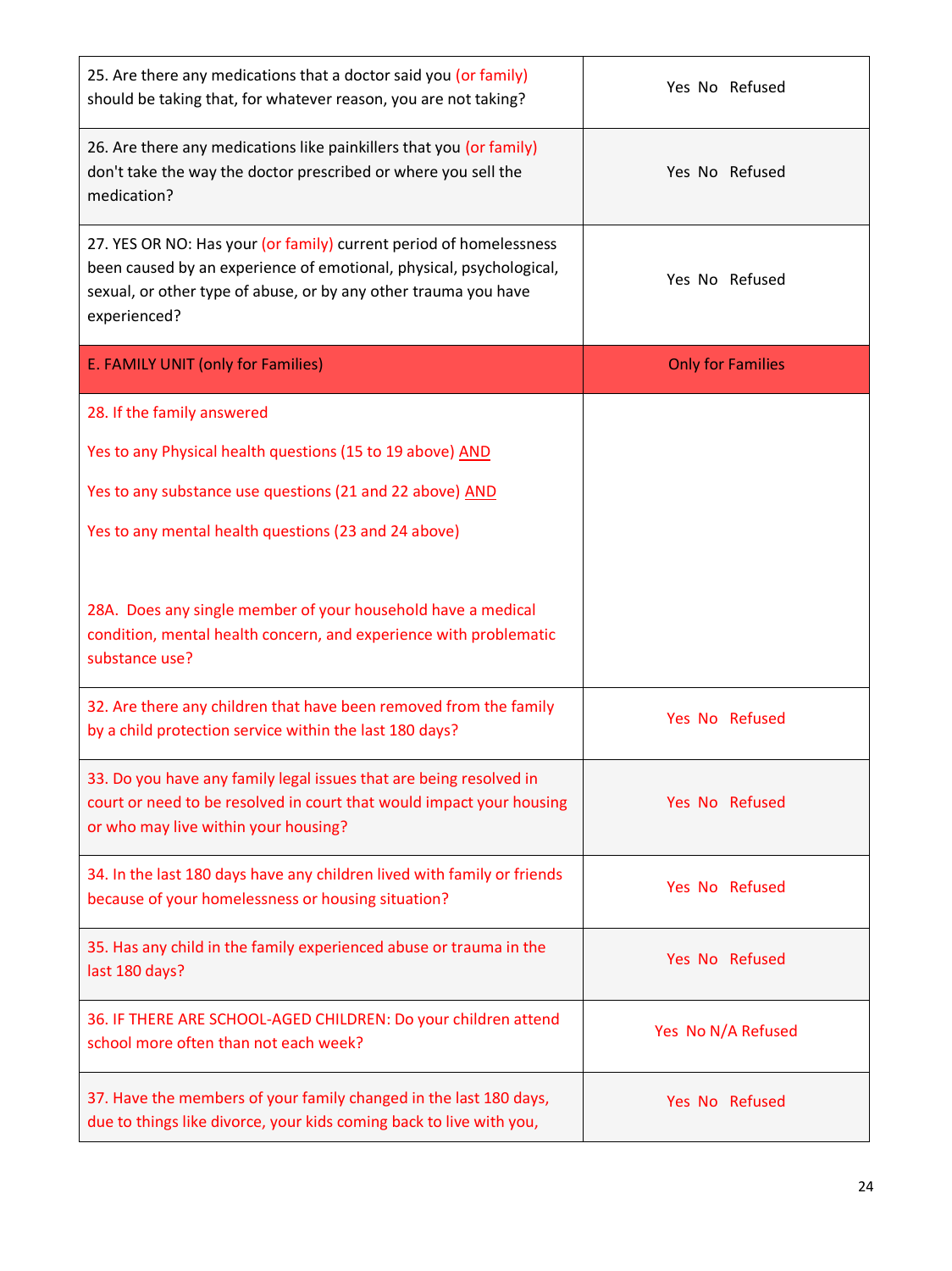| 25. Are there any medications that a doctor said you (or family)<br>should be taking that, for whatever reason, you are not taking?                                                                                          | Yes No Refused           |
|------------------------------------------------------------------------------------------------------------------------------------------------------------------------------------------------------------------------------|--------------------------|
| 26. Are there any medications like painkillers that you (or family)<br>don't take the way the doctor prescribed or where you sell the<br>medication?                                                                         | Yes No Refused           |
| 27. YES OR NO: Has your (or family) current period of homelessness<br>been caused by an experience of emotional, physical, psychological,<br>sexual, or other type of abuse, or by any other trauma you have<br>experienced? | Yes No Refused           |
| E. FAMILY UNIT (only for Families)                                                                                                                                                                                           | <b>Only for Families</b> |
| 28. If the family answered                                                                                                                                                                                                   |                          |
| Yes to any Physical health questions (15 to 19 above) AND                                                                                                                                                                    |                          |
| Yes to any substance use questions (21 and 22 above) AND                                                                                                                                                                     |                          |
| Yes to any mental health questions (23 and 24 above)                                                                                                                                                                         |                          |
| 28A. Does any single member of your household have a medical<br>condition, mental health concern, and experience with problematic<br>substance use?                                                                          |                          |
| 32. Are there any children that have been removed from the family<br>by a child protection service within the last 180 days?                                                                                                 | Yes No Refused           |
| 33. Do you have any family legal issues that are being resolved in<br>court or need to be resolved in court that would impact your housing<br>or who may live within your housing?                                           | Yes No Refused           |
| 34. In the last 180 days have any children lived with family or friends<br>because of your homelessness or housing situation?                                                                                                | Yes No Refused           |
| 35. Has any child in the family experienced abuse or trauma in the<br>last 180 days?                                                                                                                                         | Yes No Refused           |
| 36. IF THERE ARE SCHOOL-AGED CHILDREN: Do your children attend<br>school more often than not each week?                                                                                                                      | Yes No N/A Refused       |
| 37. Have the members of your family changed in the last 180 days,<br>due to things like divorce, your kids coming back to live with you,                                                                                     | Yes No Refused           |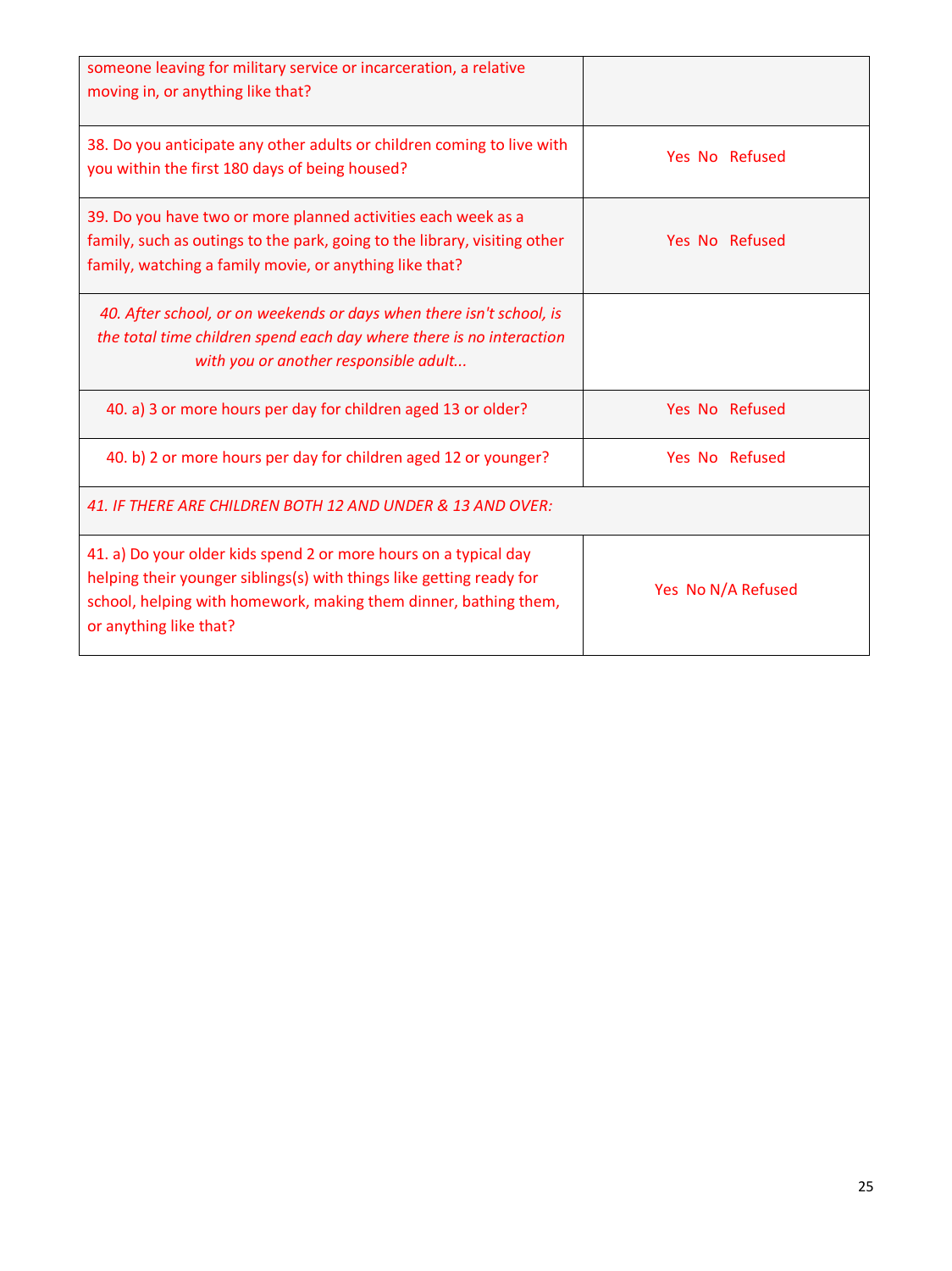| someone leaving for military service or incarceration, a relative<br>moving in, or anything like that?                                                                                                                                 |                    |
|----------------------------------------------------------------------------------------------------------------------------------------------------------------------------------------------------------------------------------------|--------------------|
| 38. Do you anticipate any other adults or children coming to live with<br>you within the first 180 days of being housed?                                                                                                               | Yes No Refused     |
| 39. Do you have two or more planned activities each week as a<br>family, such as outings to the park, going to the library, visiting other<br>family, watching a family movie, or anything like that?                                  | Yes No Refused     |
| 40. After school, or on weekends or days when there isn't school, is<br>the total time children spend each day where there is no interaction<br>with you or another responsible adult                                                  |                    |
| 40. a) 3 or more hours per day for children aged 13 or older?                                                                                                                                                                          | Yes No Refused     |
| 40. b) 2 or more hours per day for children aged 12 or younger?                                                                                                                                                                        | Yes No Refused     |
| 41. IF THERE ARE CHILDREN BOTH 12 AND UNDER & 13 AND OVER:                                                                                                                                                                             |                    |
| 41. a) Do your older kids spend 2 or more hours on a typical day<br>helping their younger siblings(s) with things like getting ready for<br>school, helping with homework, making them dinner, bathing them,<br>or anything like that? | Yes No N/A Refused |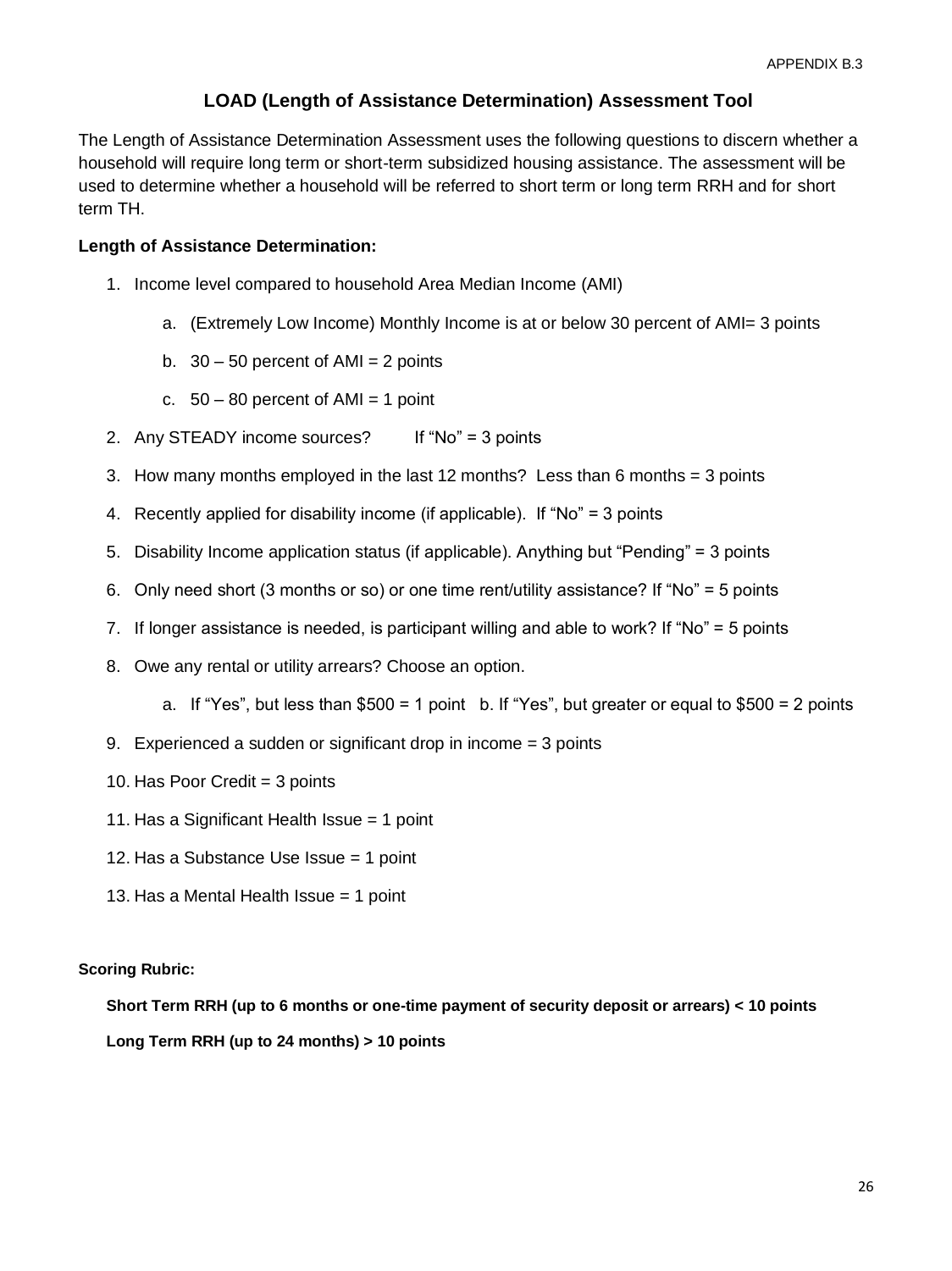## **LOAD (Length of Assistance Determination) Assessment Tool**

The Length of Assistance Determination Assessment uses the following questions to discern whether a household will require long term or short-term subsidized housing assistance. The assessment will be used to determine whether a household will be referred to short term or long term RRH and for short term TH.

#### **Length of Assistance Determination:**

- 1. Income level compared to household Area Median Income (AMI)
	- a. (Extremely Low Income) Monthly Income is at or below 30 percent of AMI= 3 points
	- b.  $30 50$  percent of AMI = 2 points
	- c.  $50 80$  percent of AMI = 1 point
- 2. Any STEADY income sources? If "No" = 3 points
- 3. How many months employed in the last 12 months? Less than 6 months = 3 points
- 4. Recently applied for disability income (if applicable). If "No" = 3 points
- 5. Disability Income application status (if applicable). Anything but "Pending" = 3 points
- 6. Only need short (3 months or so) or one time rent/utility assistance? If "No" = 5 points
- 7. If longer assistance is needed, is participant willing and able to work? If "No" = 5 points
- 8. Owe any rental or utility arrears? Choose an option.
	- a. If "Yes", but less than  $$500 = 1$  point b. If "Yes", but greater or equal to  $$500 = 2$  points
- 9. Experienced a sudden or significant drop in income = 3 points
- 10. Has Poor Credit = 3 points
- 11. Has a Significant Health Issue = 1 point
- 12. Has a Substance Use Issue = 1 point
- 13. Has a Mental Health Issue = 1 point

#### **Scoring Rubric:**

**Short Term RRH (up to 6 months or one-time payment of security deposit or arrears) < 10 points Long Term RRH (up to 24 months) > 10 points**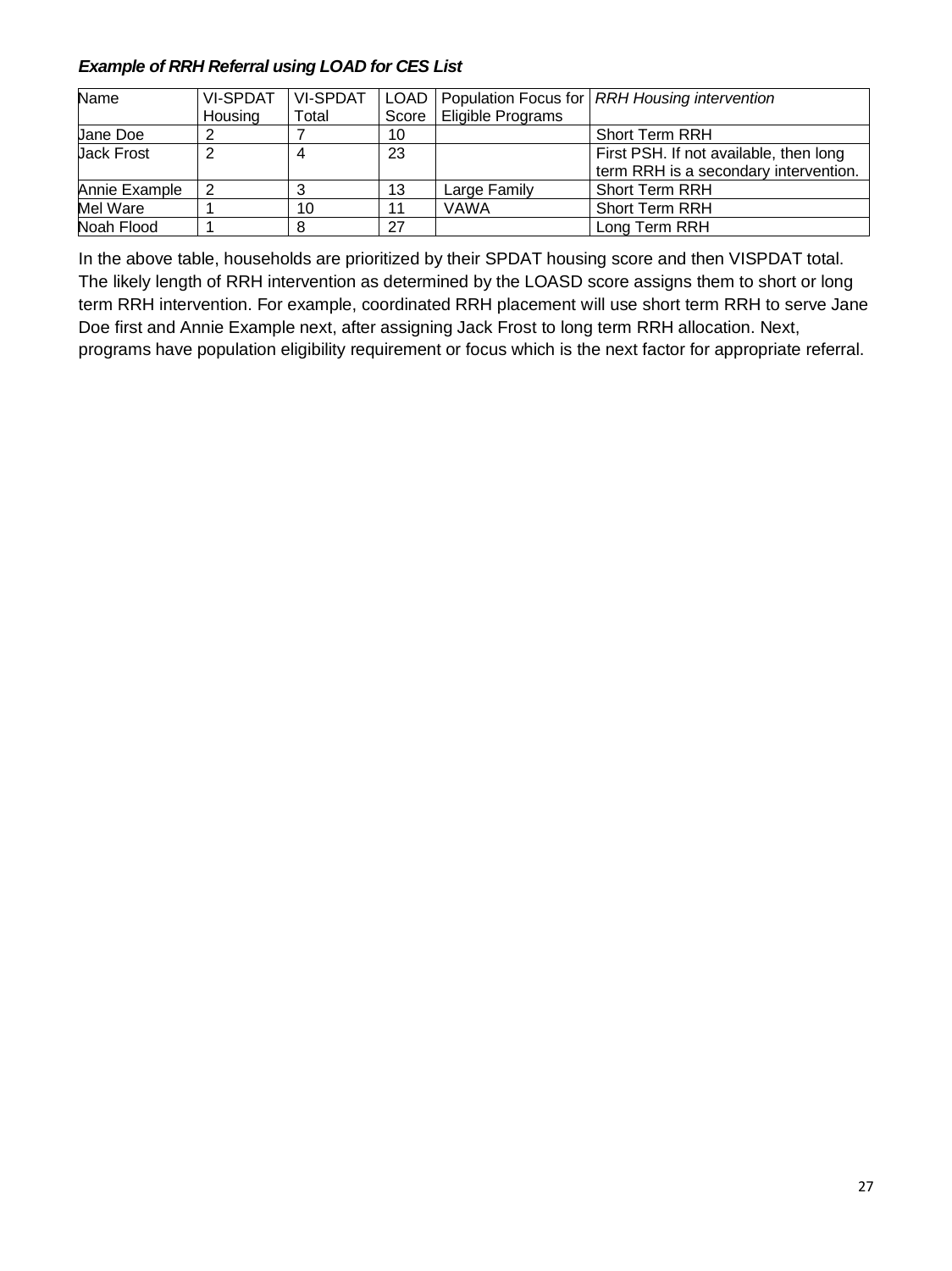#### *Example of RRH Referral using LOAD for CES List*

| Name              | <b>VI-SPDAT</b> | <b>VI-SPDAT</b> | LOAD  |                   | Population Focus for   RRH Housing intervention                                 |
|-------------------|-----------------|-----------------|-------|-------------------|---------------------------------------------------------------------------------|
|                   | Housing         | Total           | Score | Eligible Programs |                                                                                 |
| <b>Jane Doe</b>   |                 |                 | 10    |                   | <b>Short Term RRH</b>                                                           |
| <b>Jack Frost</b> |                 |                 | 23    |                   | First PSH. If not available, then long<br>term RRH is a secondary intervention. |
| Annie Example     | -2              |                 | 13    | Large Family      | <b>Short Term RRH</b>                                                           |
| Mel Ware          |                 | 10              | 11    | <b>VAWA</b>       | <b>Short Term RRH</b>                                                           |
| Noah Flood        |                 |                 | 27    |                   | Long Term RRH                                                                   |

In the above table, households are prioritized by their SPDAT housing score and then VISPDAT total. The likely length of RRH intervention as determined by the LOASD score assigns them to short or long term RRH intervention. For example, coordinated RRH placement will use short term RRH to serve Jane Doe first and Annie Example next, after assigning Jack Frost to long term RRH allocation. Next, programs have population eligibility requirement or focus which is the next factor for appropriate referral.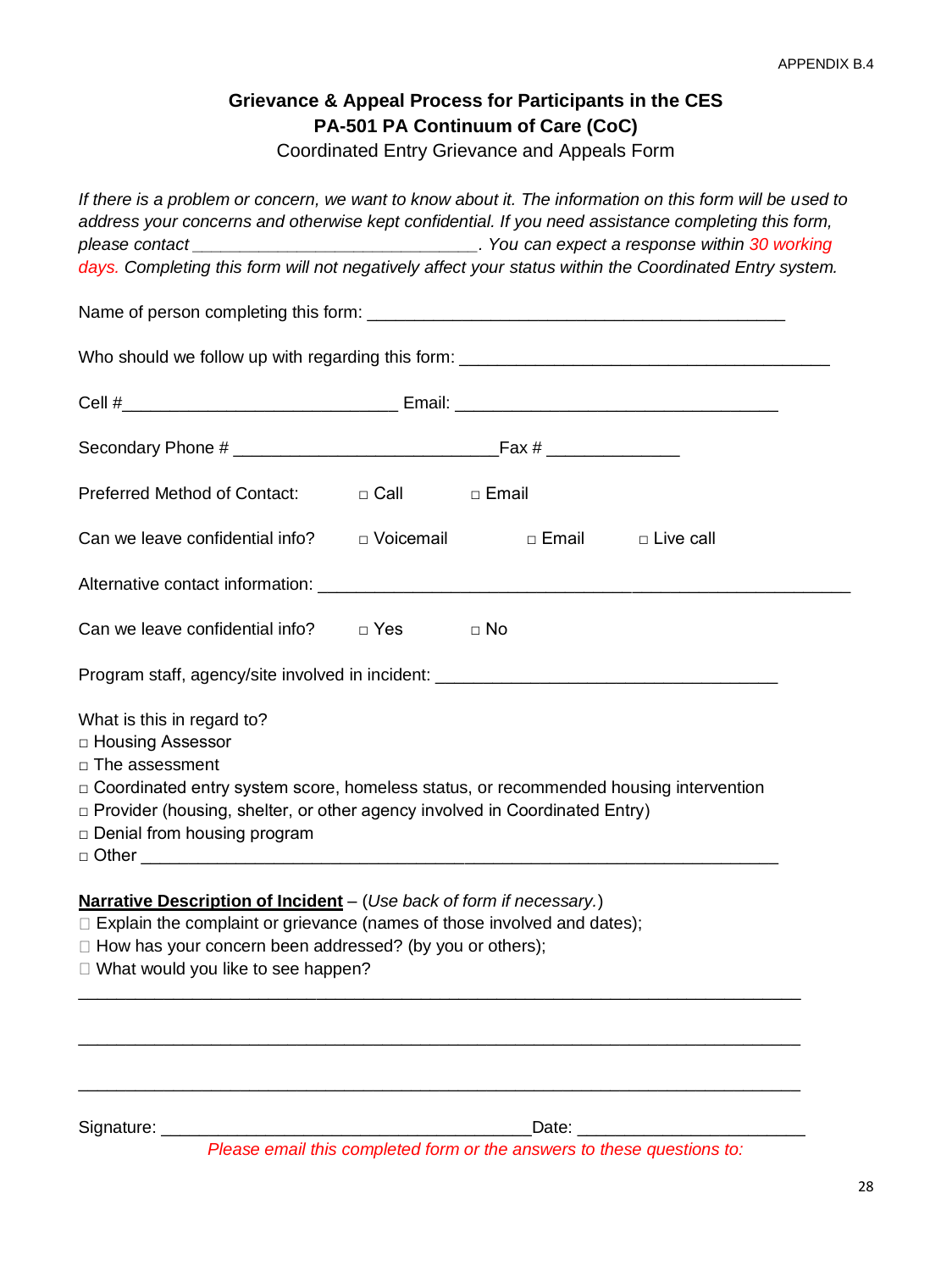# **Grievance & Appeal Process for Participants in the CES PA-501 PA Continuum of Care (CoC)**

Coordinated Entry Grievance and Appeals Form

| If there is a problem or concern, we want to know about it. The information on this form will be used to<br>address your concerns and otherwise kept confidential. If you need assistance completing this form,                                                                                |           |                     |  |
|------------------------------------------------------------------------------------------------------------------------------------------------------------------------------------------------------------------------------------------------------------------------------------------------|-----------|---------------------|--|
| days. Completing this form will not negatively affect your status within the Coordinated Entry system.                                                                                                                                                                                         |           |                     |  |
|                                                                                                                                                                                                                                                                                                |           |                     |  |
|                                                                                                                                                                                                                                                                                                |           |                     |  |
|                                                                                                                                                                                                                                                                                                |           |                     |  |
|                                                                                                                                                                                                                                                                                                |           |                     |  |
| Preferred Method of Contact: $\Box$ Call $\Box$ Email                                                                                                                                                                                                                                          |           |                     |  |
| Can we leave confidential info? $\Box$ Voicemail                                                                                                                                                                                                                                               |           | □ Email □ Live call |  |
|                                                                                                                                                                                                                                                                                                |           |                     |  |
| Can we leave confidential info? $\Box$ Yes                                                                                                                                                                                                                                                     | $\Box$ No |                     |  |
| Program staff, agency/site involved in incident: ________________________________                                                                                                                                                                                                              |           |                     |  |
| What is this in regard to?<br>□ Housing Assessor<br>$\Box$ The assessment<br>□ Coordinated entry system score, homeless status, or recommended housing intervention<br>$\Box$ Provider (housing, shelter, or other agency involved in Coordinated Entry)<br>$\Box$ Denial from housing program |           |                     |  |
| Narrative Description of Incident - (Use back of form if necessary.)<br>$\Box$ Explain the complaint or grievance (names of those involved and dates);<br>□ How has your concern been addressed? (by you or others);<br>□ What would you like to see happen?                                   |           |                     |  |
| Signature: __                                                                                                                                                                                                                                                                                  | Date: _   |                     |  |

*Please email this completed form or the answers to these questions to:*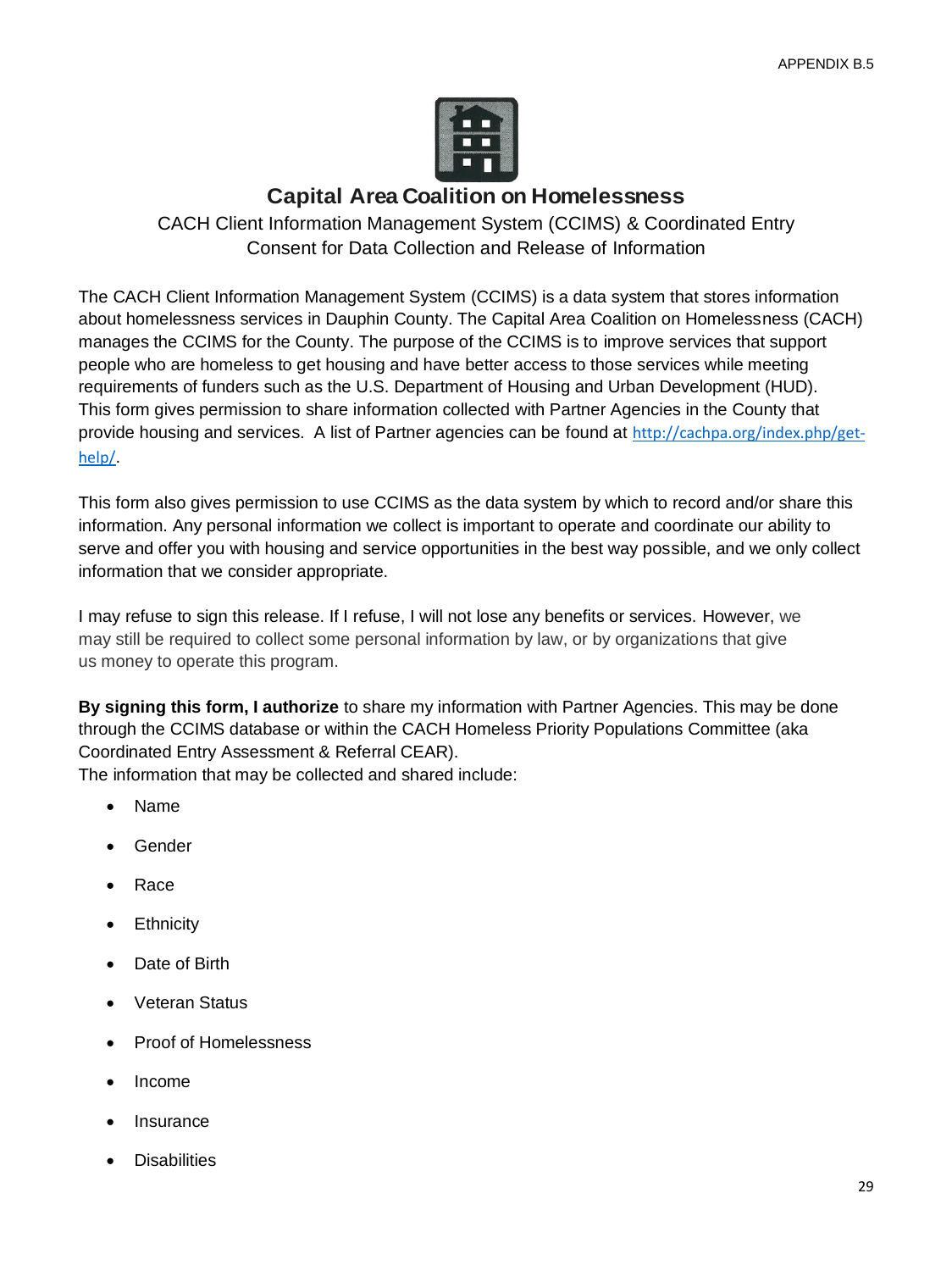

# **Capital Area Coalition on Homelessness**

CACH Client Information Management System (CCIMS) & Coordinated Entry Consent for Data Collection and Release of Information

The CACH Client Information Management System (CCIMS) is a data system that stores information about homelessness services in Dauphin County. The Capital Area Coalition on Homelessness (CACH) manages the CCIMS for the County. The purpose of the CCIMS is to improve services that support people who are homeless to get housing and have better access to those services while meeting requirements of funders such as the U.S. Department of Housing and Urban Development (HUD). This form gives permission to share information collected with Partner Agencies in the County that provide housing and services. A list of Partner agencies can be found at [http://cachpa.org/index.php/get](http://cachpa.org/index.php/get-help/)[help/](http://cachpa.org/index.php/get-help/).

This form also gives permission to use CCIMS as the data system by which to record and/or share this information. Any personal information we collect is important to operate and coordinate our ability to serve and offer you with housing and service opportunities in the best way possible, and we only collect information that we consider appropriate.

I may refuse to sign this release. If I refuse, I will not lose any benefits or services. However, we may still be required to collect some personal information by law, or by organizations that give us money to operate this program.

**By signing this form, I authorize** to share my information with Partner Agencies. This may be done through the CCIMS database or within the CACH Homeless Priority Populations Committee (aka Coordinated Entry Assessment & Referral CEAR).

The information that may be collected and shared include:

- Name
- Gender
- Race
- **Ethnicity**
- Date of Birth
- Veteran Status
- Proof of Homelessness
- Income
- **Insurance**
- **Disabilities**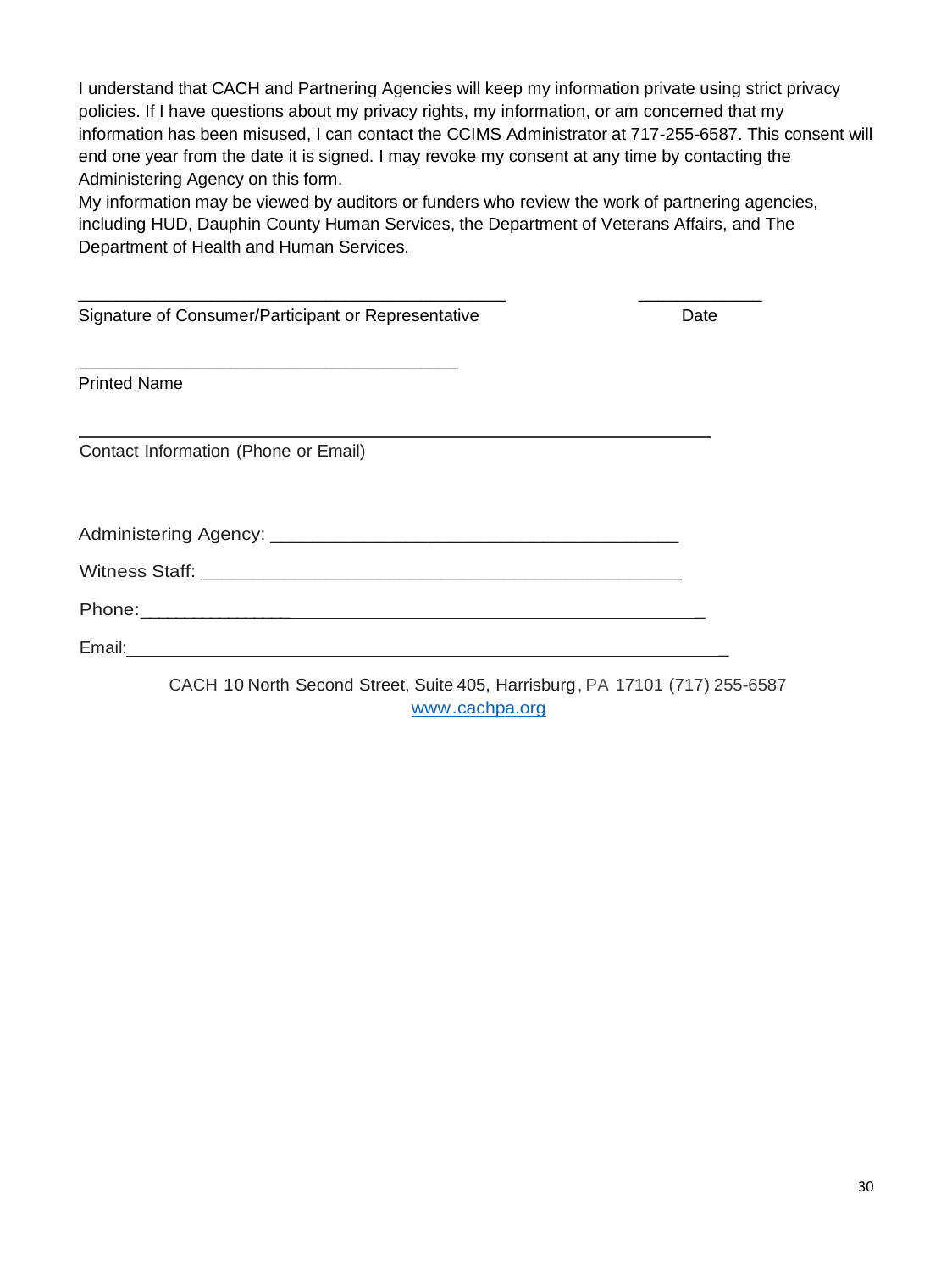I understand that CACH and Partnering Agencies will keep my information private using strict privacy policies. If I have questions about my privacy rights, my information, or am concerned that my information has been misused, I can contact the CCIMS Administrator at 717-255-6587. This consent will end one year from the date it is signed. I may revoke my consent at any time by contacting the Administering Agency on this form.

My information may be viewed by auditors or funders who review the work of partnering agencies, including HUD, Dauphin County Human Services, the Department of Veterans Affairs, and The Department of Health and Human Services.

| Signature of Consumer/Participant or Representative                         | Date |
|-----------------------------------------------------------------------------|------|
| <b>Printed Name</b>                                                         |      |
| Contact Information (Phone or Email)                                        |      |
|                                                                             |      |
|                                                                             |      |
|                                                                             |      |
|                                                                             |      |
| CACH 10 North Second Street, Suite 405, Harrisburg, PA 17101 (717) 255-6587 |      |

[www.cachpa.org](http://www.cachpa.org/)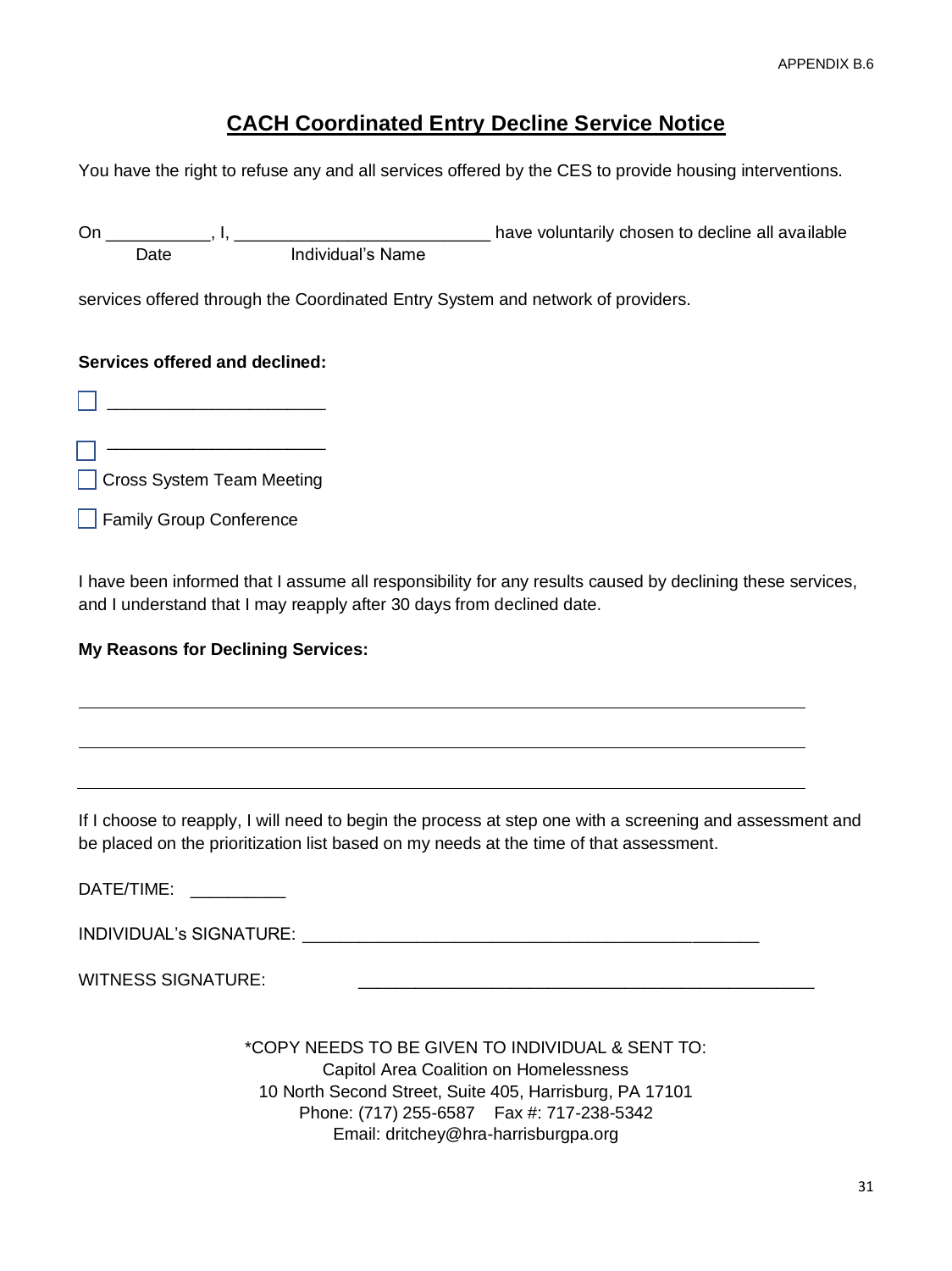# **CACH Coordinated Entry Decline Service Notice**

You have the right to refuse any and all services offered by the CES to provide housing interventions.

| On                             | Date                      | Individual's Name                                                               | have voluntarily chosen to decline all available |  |  |
|--------------------------------|---------------------------|---------------------------------------------------------------------------------|--------------------------------------------------|--|--|
|                                |                           | services offered through the Coordinated Entry System and network of providers. |                                                  |  |  |
| Services offered and declined: |                           |                                                                                 |                                                  |  |  |
|                                |                           |                                                                                 |                                                  |  |  |
|                                |                           |                                                                                 |                                                  |  |  |
|                                | Cross System Team Meeting |                                                                                 |                                                  |  |  |
|                                | Family Group Conference   |                                                                                 |                                                  |  |  |

I have been informed that I assume all responsibility for any results caused by declining these services, and I understand that I may reapply after 30 days from declined date.

#### **My Reasons for Declining Services:**

If I choose to reapply, I will need to begin the process at step one with a screening and assessment and be placed on the prioritization list based on my needs at the time of that assessment.

DATE/TIME: \_\_\_\_\_\_\_\_\_\_

INDIVIDUAL's SIGNATURE: \_\_\_\_\_\_\_\_\_\_\_\_\_\_\_\_\_\_\_\_\_\_\_\_\_\_\_\_\_\_\_\_\_\_\_\_\_\_\_\_\_\_\_\_\_\_\_\_

WITNESS SIGNATURE:

\*COPY NEEDS TO BE GIVEN TO INDIVIDUAL & SENT TO: Capitol Area Coalition on Homelessness 10 North Second Street, Suite 405, Harrisburg, PA 17101 Phone: (717) 255-6587 Fax #: 717-238-5342 Email: dritchey@hra-harrisburgpa.org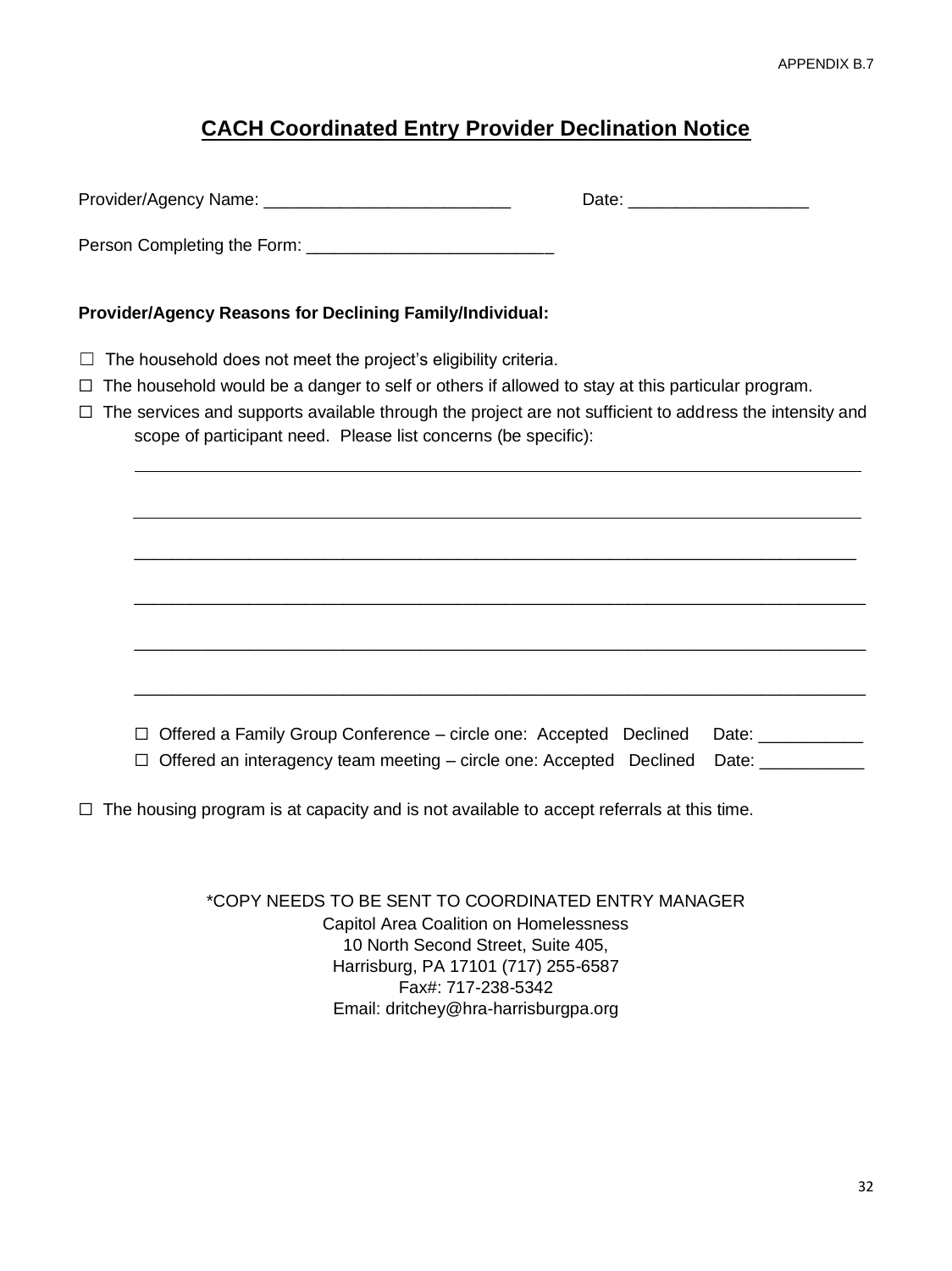# **CACH Coordinated Entry Provider Declination Notice**

|                                                                                                                                                                                     | Date: ________________________ |
|-------------------------------------------------------------------------------------------------------------------------------------------------------------------------------------|--------------------------------|
|                                                                                                                                                                                     |                                |
| Provider/Agency Reasons for Declining Family/Individual:                                                                                                                            |                                |
| The household does not meet the project's eligibility criteria.<br>Ш                                                                                                                |                                |
| The household would be a danger to self or others if allowed to stay at this particular program.<br>$\Box$                                                                          |                                |
| The services and supports available through the project are not sufficient to address the intensity and<br>$\Box$<br>scope of participant need. Please list concerns (be specific): |                                |
|                                                                                                                                                                                     |                                |
|                                                                                                                                                                                     |                                |
|                                                                                                                                                                                     |                                |
|                                                                                                                                                                                     |                                |
|                                                                                                                                                                                     |                                |
|                                                                                                                                                                                     |                                |
|                                                                                                                                                                                     |                                |
|                                                                                                                                                                                     |                                |
|                                                                                                                                                                                     |                                |
| Offered a Family Group Conference – circle one: Accepted Declined                                                                                                                   | Date: ____________             |
| Offered an interagency team meeting – circle one: Accepted Declined<br>$\Box$                                                                                                       | Date: _____________            |
|                                                                                                                                                                                     |                                |

☐ The housing program is at capacity and is not available to accept referrals at this time.

\*COPY NEEDS TO BE SENT TO COORDINATED ENTRY MANAGER Capitol Area Coalition on Homelessness 10 North Second Street, Suite 405, Harrisburg, PA 17101 (717) 255-6587 Fax#: 717-238-5342 Email: dritchey@hra-harrisburgpa.org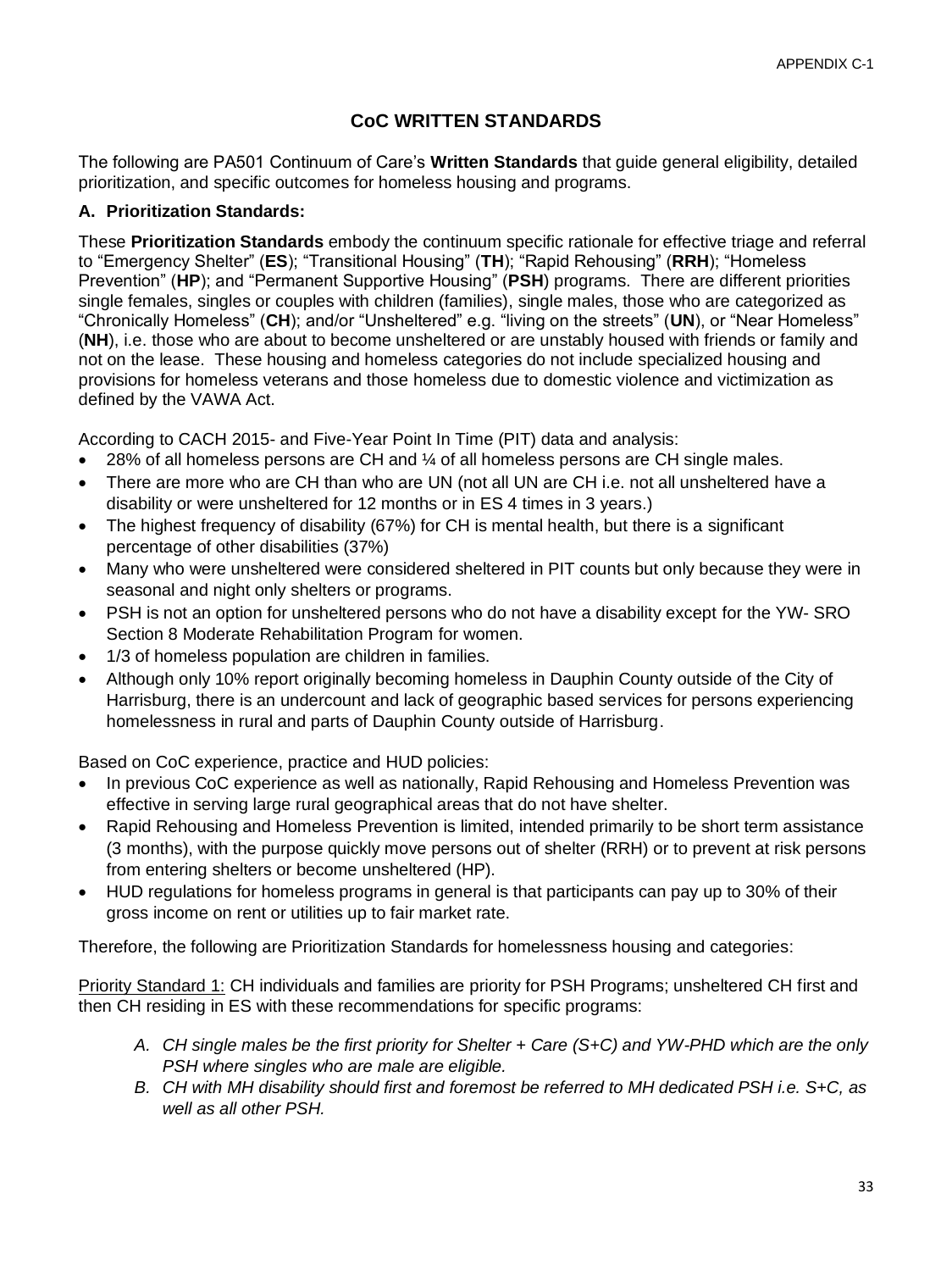# **CoC WRITTEN STANDARDS**

The following are PA501 Continuum of Care's **Written Standards** that guide general eligibility, detailed prioritization, and specific outcomes for homeless housing and programs.

#### **A. Prioritization Standards:**

These **Prioritization Standards** embody the continuum specific rationale for effective triage and referral to "Emergency Shelter" (**ES**); "Transitional Housing" (**TH**); "Rapid Rehousing" (**RRH**); "Homeless Prevention" (**HP**); and "Permanent Supportive Housing" (**PSH**) programs. There are different priorities single females, singles or couples with children (families), single males, those who are categorized as "Chronically Homeless" (**CH**); and/or "Unsheltered" e.g. "living on the streets" (**UN**), or "Near Homeless" (**NH**), i.e. those who are about to become unsheltered or are unstably housed with friends or family and not on the lease. These housing and homeless categories do not include specialized housing and provisions for homeless veterans and those homeless due to domestic violence and victimization as defined by the VAWA Act.

According to CACH 2015- and Five-Year Point In Time (PIT) data and analysis:

- 28% of all homeless persons are CH and ¼ of all homeless persons are CH single males.
- There are more who are CH than who are UN (not all UN are CH i.e. not all unsheltered have a disability or were unsheltered for 12 months or in ES 4 times in 3 years.)
- The highest frequency of disability (67%) for CH is mental health, but there is a significant percentage of other disabilities (37%)
- Many who were unsheltered were considered sheltered in PIT counts but only because they were in seasonal and night only shelters or programs.
- PSH is not an option for unsheltered persons who do not have a disability except for the YW- SRO Section 8 Moderate Rehabilitation Program for women.
- 1/3 of homeless population are children in families.
- Although only 10% report originally becoming homeless in Dauphin County outside of the City of Harrisburg, there is an undercount and lack of geographic based services for persons experiencing homelessness in rural and parts of Dauphin County outside of Harrisburg.

Based on CoC experience, practice and HUD policies:

- In previous CoC experience as well as nationally, Rapid Rehousing and Homeless Prevention was effective in serving large rural geographical areas that do not have shelter.
- Rapid Rehousing and Homeless Prevention is limited, intended primarily to be short term assistance (3 months), with the purpose quickly move persons out of shelter (RRH) or to prevent at risk persons from entering shelters or become unsheltered (HP).
- HUD regulations for homeless programs in general is that participants can pay up to 30% of their gross income on rent or utilities up to fair market rate.

Therefore, the following are Prioritization Standards for homelessness housing and categories:

Priority Standard 1: CH individuals and families are priority for PSH Programs; unsheltered CH first and then CH residing in ES with these recommendations for specific programs:

- *A. CH single males be the first priority for Shelter + Care (S+C) and YW-PHD which are the only PSH where singles who are male are eligible.*
- *B. CH with MH disability should first and foremost be referred to MH dedicated PSH i.e. S+C, as well as all other PSH.*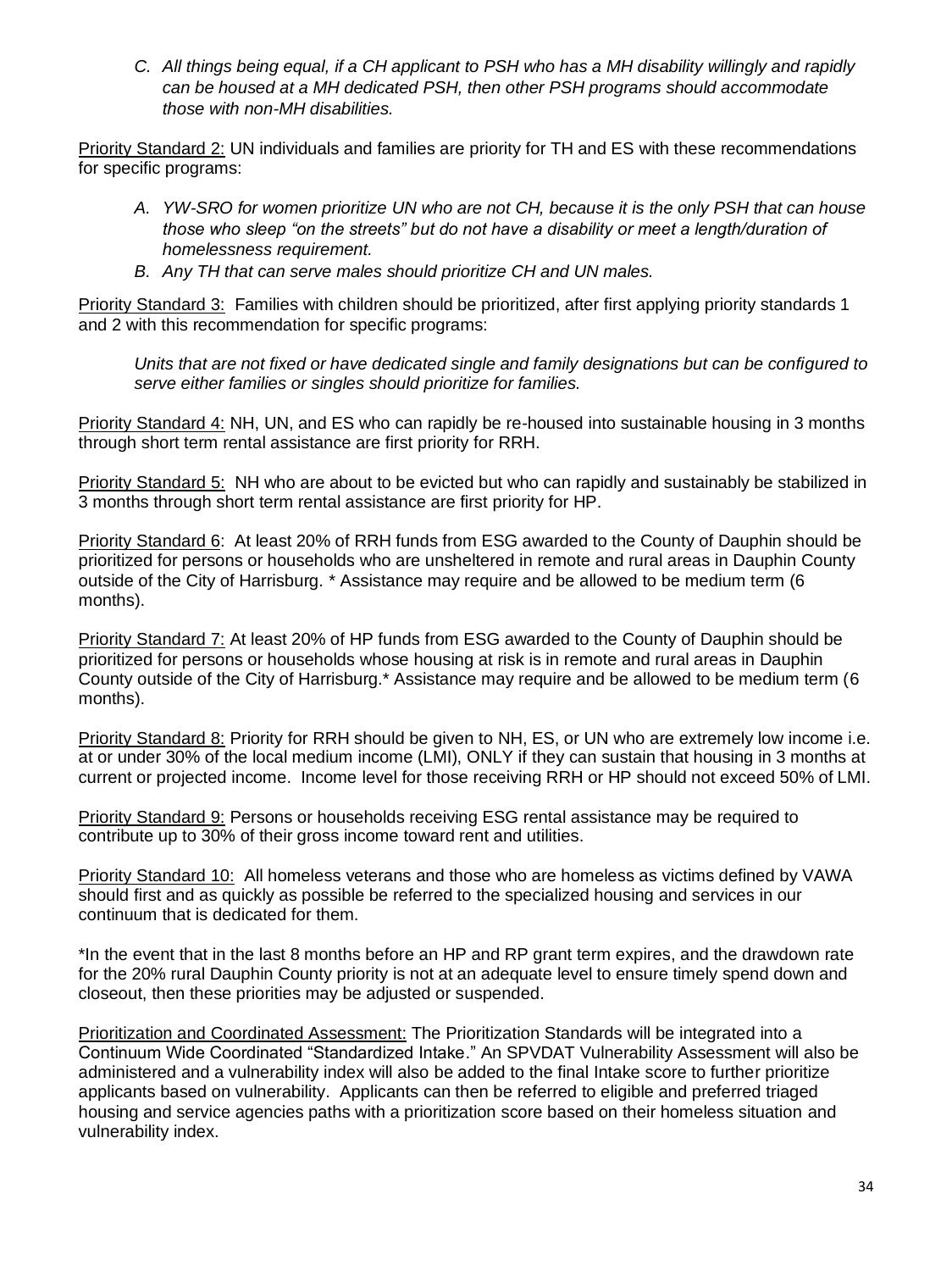*C. All things being equal, if a CH applicant to PSH who has a MH disability willingly and rapidly can be housed at a MH dedicated PSH, then other PSH programs should accommodate those with non-MH disabilities.*

Priority Standard 2: UN individuals and families are priority for TH and ES with these recommendations for specific programs:

- *A. YW-SRO for women prioritize UN who are not CH, because it is the only PSH that can house those who sleep "on the streets" but do not have a disability or meet a length/duration of homelessness requirement.*
- *B. Any TH that can serve males should prioritize CH and UN males.*

Priority Standard 3: Families with children should be prioritized, after first applying priority standards 1 and 2 with this recommendation for specific programs:

*Units that are not fixed or have dedicated single and family designations but can be configured to serve either families or singles should prioritize for families.*

Priority Standard 4: NH, UN, and ES who can rapidly be re-housed into sustainable housing in 3 months through short term rental assistance are first priority for RRH.

Priority Standard 5: NH who are about to be evicted but who can rapidly and sustainably be stabilized in 3 months through short term rental assistance are first priority for HP.

Priority Standard 6: At least 20% of RRH funds from ESG awarded to the County of Dauphin should be prioritized for persons or households who are unsheltered in remote and rural areas in Dauphin County outside of the City of Harrisburg. \* Assistance may require and be allowed to be medium term (6 months).

Priority Standard 7: At least 20% of HP funds from ESG awarded to the County of Dauphin should be prioritized for persons or households whose housing at risk is in remote and rural areas in Dauphin County outside of the City of Harrisburg.\* Assistance may require and be allowed to be medium term (6 months).

Priority Standard 8: Priority for RRH should be given to NH, ES, or UN who are extremely low income i.e. at or under 30% of the local medium income (LMI), ONLY if they can sustain that housing in 3 months at current or projected income. Income level for those receiving RRH or HP should not exceed 50% of LMI.

Priority Standard 9: Persons or households receiving ESG rental assistance may be required to contribute up to 30% of their gross income toward rent and utilities.

Priority Standard 10: All homeless veterans and those who are homeless as victims defined by VAWA should first and as quickly as possible be referred to the specialized housing and services in our continuum that is dedicated for them.

\*In the event that in the last 8 months before an HP and RP grant term expires, and the drawdown rate for the 20% rural Dauphin County priority is not at an adequate level to ensure timely spend down and closeout, then these priorities may be adjusted or suspended.

Prioritization and Coordinated Assessment: The Prioritization Standards will be integrated into a Continuum Wide Coordinated "Standardized Intake." An SPVDAT Vulnerability Assessment will also be administered and a vulnerability index will also be added to the final Intake score to further prioritize applicants based on vulnerability. Applicants can then be referred to eligible and preferred triaged housing and service agencies paths with a prioritization score based on their homeless situation and vulnerability index.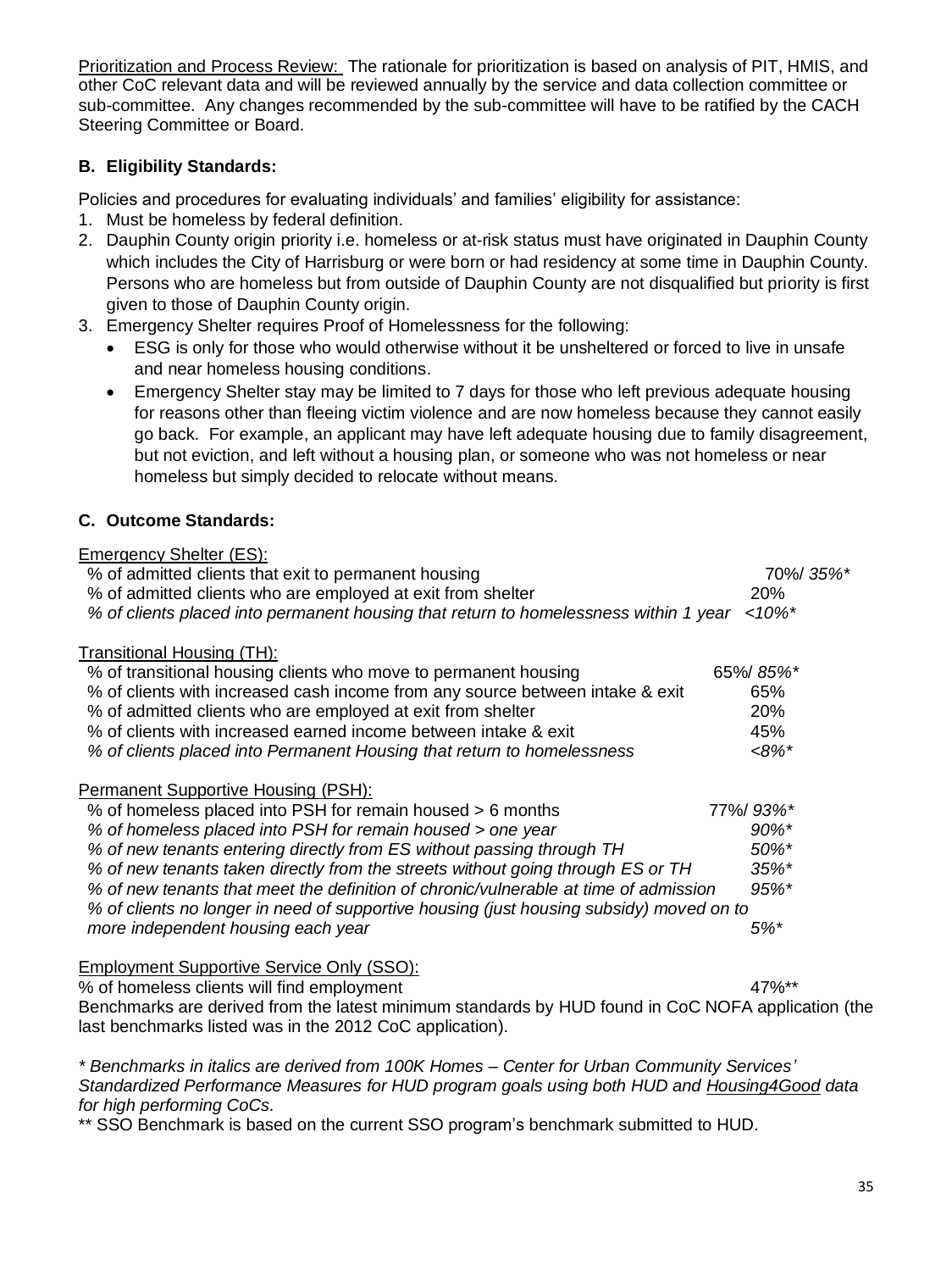Prioritization and Process Review: The rationale for prioritization is based on analysis of PIT, HMIS, and other CoC relevant data and will be reviewed annually by the service and data collection committee or sub-committee. Any changes recommended by the sub-committee will have to be ratified by the CACH Steering Committee or Board.

## **B. Eligibility Standards:**

Policies and procedures for evaluating individuals' and families' eligibility for assistance:

- 1. Must be homeless by federal definition.
- 2. Dauphin County origin priority i.e. homeless or at-risk status must have originated in Dauphin County which includes the City of Harrisburg or were born or had residency at some time in Dauphin County. Persons who are homeless but from outside of Dauphin County are not disqualified but priority is first given to those of Dauphin County origin.
- 3. Emergency Shelter requires Proof of Homelessness for the following:
	- ESG is only for those who would otherwise without it be unsheltered or forced to live in unsafe and near homeless housing conditions.
	- Emergency Shelter stay may be limited to 7 days for those who left previous adequate housing for reasons other than fleeing victim violence and are now homeless because they cannot easily go back. For example, an applicant may have left adequate housing due to family disagreement, but not eviction, and left without a housing plan, or someone who was not homeless or near homeless but simply decided to relocate without means.

## **C. Outcome Standards:**

| Emergency Shelter (ES):                                                                 |           |
|-----------------------------------------------------------------------------------------|-----------|
| % of admitted clients that exit to permanent housing                                    | 70%/35%*  |
| % of admitted clients who are employed at exit from shelter                             | 20%       |
| % of clients placed into permanent housing that return to homelessness within 1 year    | $<10\%$ * |
| Transitional Housing (TH):                                                              |           |
| % of transitional housing clients who move to permanent housing                         | 65%/85%*  |
| % of clients with increased cash income from any source between intake & exit           | 65%       |
| % of admitted clients who are employed at exit from shelter                             | 20%       |
| % of clients with increased earned income between intake & exit                         | 45%       |
| % of clients placed into Permanent Housing that return to homelessness                  | $<8\%$ *  |
| <b>Permanent Supportive Housing (PSH):</b>                                              |           |
| % of homeless placed into PSH for remain housed > 6 months                              | 77%/93%*  |
| % of homeless placed into PSH for remain housed > one year                              | 90%*      |
| % of new tenants entering directly from ES without passing through TH                   | 50%*      |
| % of new tenants taken directly from the streets without going through ES or TH         | 35%*      |
| % of new tenants that meet the definition of chronic/vulnerable at time of admission    | 95%*      |
| % of clients no longer in need of supportive housing (just housing subsidy) moved on to |           |
| more independent housing each year                                                      | $5%$ *    |
| <b>Employment Supportive Service Only (SSO):</b>                                        |           |

% of homeless clients will find employment 47%\*\* 47%\*\*

Benchmarks are derived from the latest minimum standards by HUD found in CoC NOFA application (the last benchmarks listed was in the 2012 CoC application).

*\* Benchmarks in italics are derived from 100K Homes – Center for Urban Community Services' Standardized Performance Measures for HUD program goals using both HUD and Housing4Good data for high performing CoCs.* 

\*\* SSO Benchmark is based on the current SSO program's benchmark submitted to HUD.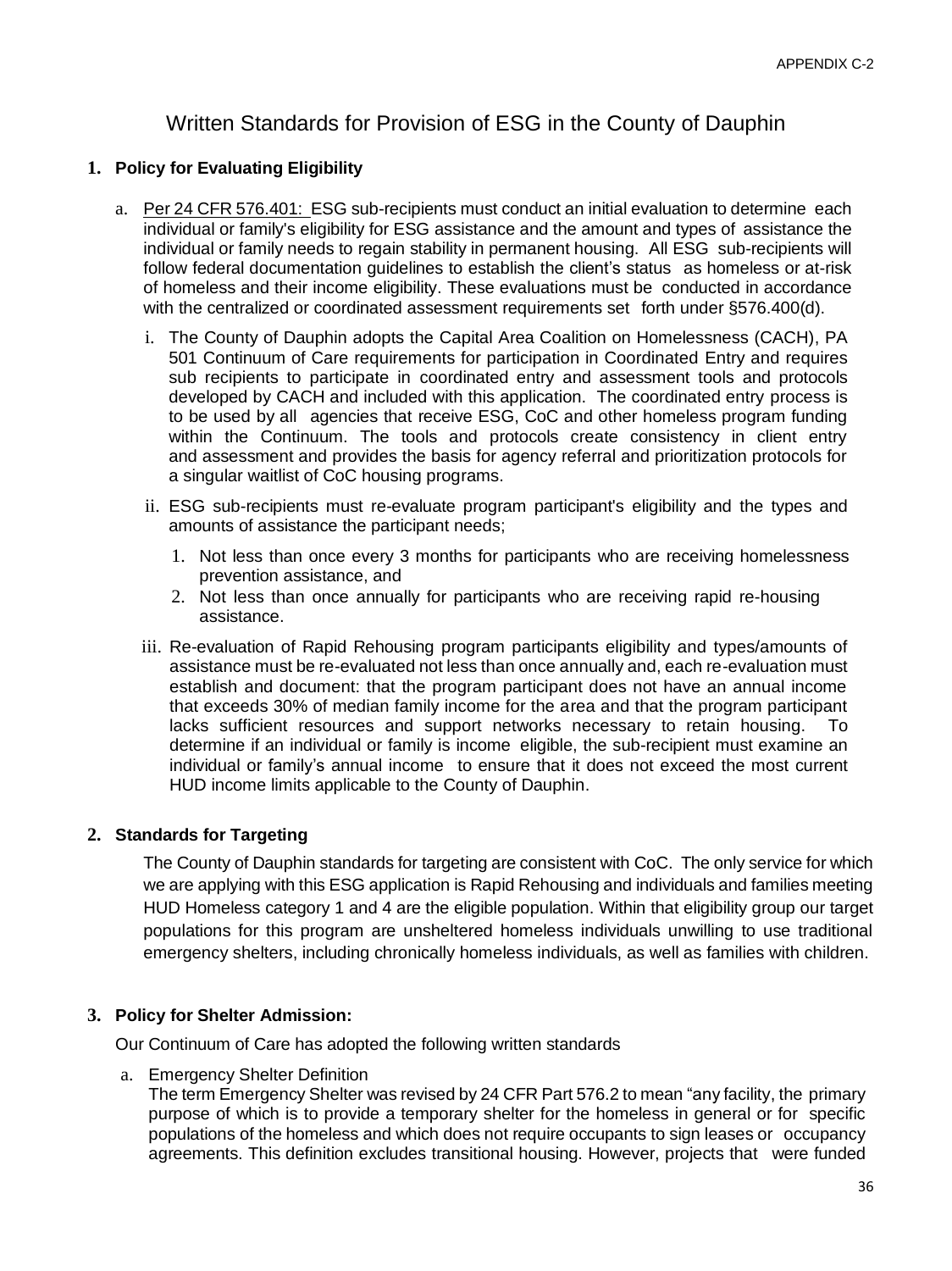# Written Standards for Provision of ESG in the County of Dauphin

#### **1. Policy for Evaluating Eligibility**

- a. Per 24 CFR 576.401: ESG sub-recipients must conduct an initial evaluation to determine each individual or family's eligibility for ESG assistance and the amount and types of assistance the individual or family needs to regain stability in permanent housing. All ESG sub-recipients will follow federal documentation guidelines to establish the client's status as homeless or at-risk of homeless and their income eligibility. These evaluations must be conducted in accordance with the centralized or coordinated assessment requirements set forth under §576.400(d).
	- i. The County of Dauphin adopts the Capital Area Coalition on Homelessness (CACH), PA 501 Continuum of Care requirements for participation in Coordinated Entry and requires sub recipients to participate in coordinated entry and assessment tools and protocols developed by CACH and included with this application. The coordinated entry process is to be used by all agencies that receive ESG, CoC and other homeless program funding within the Continuum. The tools and protocols create consistency in client entry and assessment and provides the basis for agency referral and prioritization protocols for a singular waitlist of CoC housing programs.
	- ii. ESG sub-recipients must re-evaluate program participant's eligibility and the types and amounts of assistance the participant needs;
		- 1. Not less than once every 3 months for participants who are receiving homelessness prevention assistance, and
		- 2. Not less than once annually for participants who are receiving rapid re-housing assistance.
	- iii. Re-evaluation of Rapid Rehousing program participants eligibility and types/amounts of assistance must be re-evaluated not less than once annually and, each re-evaluation must establish and document: that the program participant does not have an annual income that exceeds 30% of median family income for the area and that the program participant lacks sufficient resources and support networks necessary to retain housing. To determine if an individual or family is income eligible, the sub-recipient must examine an individual or family's annual income to ensure that it does not exceed the most current HUD income limits applicable to the County of Dauphin.

#### **2. Standards for Targeting**

The County of Dauphin standards for targeting are consistent with CoC. The only service for which we are applying with this ESG application is Rapid Rehousing and individuals and families meeting HUD Homeless category 1 and 4 are the eligible population. Within that eligibility group our target populations for this program are unsheltered homeless individuals unwilling to use traditional emergency shelters, including chronically homeless individuals, as well as families with children.

#### **3. Policy for Shelter Admission:**

Our Continuum of Care has adopted the following written standards

a. Emergency Shelter Definition

The term Emergency Shelter was revised by 24 CFR Part 576.2 to mean "any facility, the primary purpose of which is to provide a temporary shelter for the homeless in general or for specific populations of the homeless and which does not require occupants to sign leases or occupancy agreements. This definition excludes transitional housing. However, projects that were funded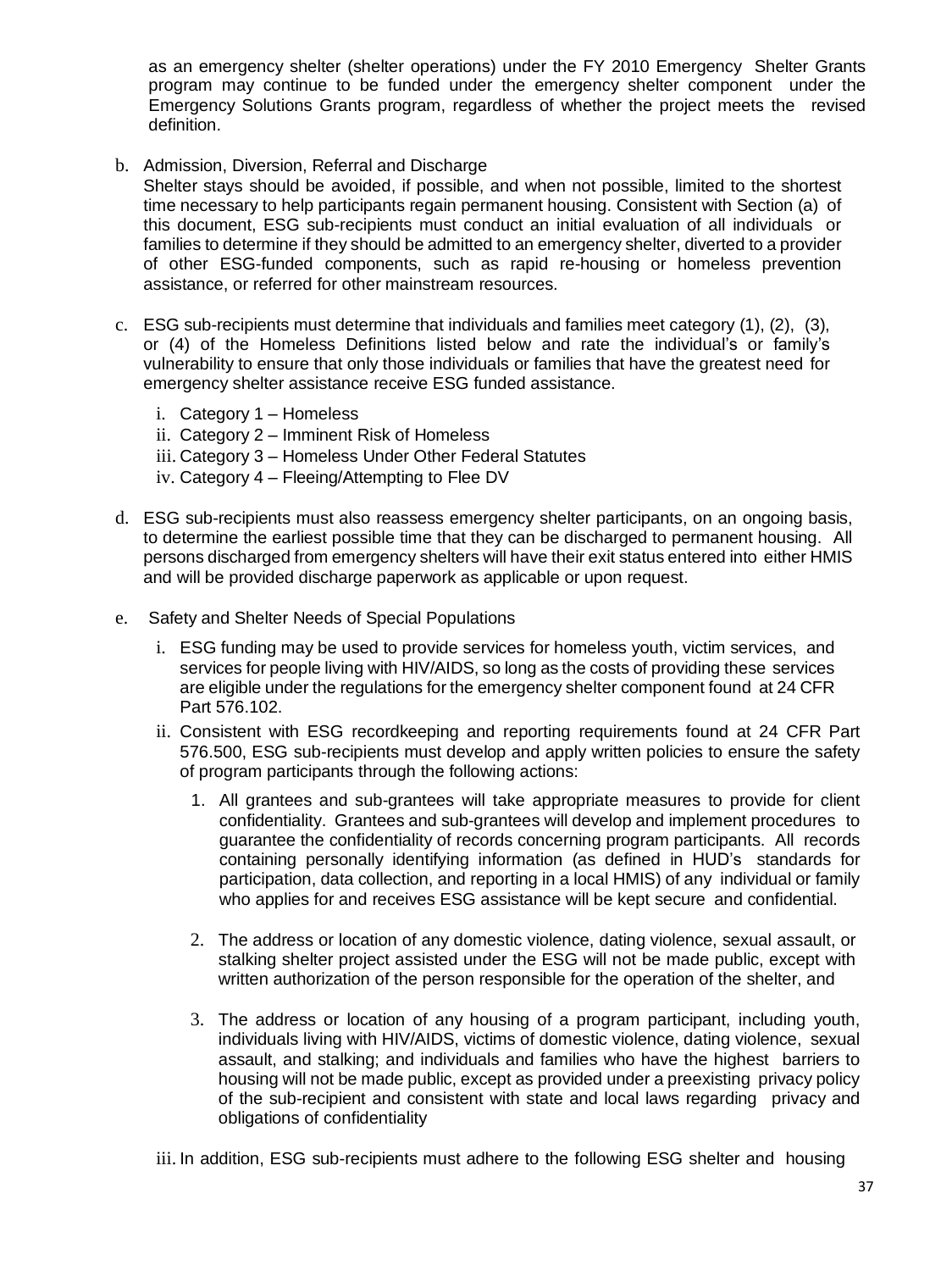as an emergency shelter (shelter operations) under the FY 2010 Emergency Shelter Grants program may continue to be funded under the emergency shelter component under the Emergency Solutions Grants program, regardless of whether the project meets the revised definition.

b. Admission, Diversion, Referral and Discharge

Shelter stays should be avoided, if possible, and when not possible, limited to the shortest time necessary to help participants regain permanent housing. Consistent with Section (a) of this document, ESG sub-recipients must conduct an initial evaluation of all individuals or families to determine if they should be admitted to an emergency shelter, diverted to a provider of other ESG-funded components, such as rapid re-housing or homeless prevention assistance, or referred for other mainstream resources.

- c. ESG sub-recipients must determine that individuals and families meet category (1), (2), (3), or (4) of the Homeless Definitions listed below and rate the individual's or family's vulnerability to ensure that only those individuals or families that have the greatest need for emergency shelter assistance receive ESG funded assistance.
	- i. Category 1 Homeless
	- ii. Category 2 Imminent Risk of Homeless
	- iii. Category 3 Homeless Under Other Federal Statutes
	- iv. Category 4 Fleeing/Attempting to Flee DV
- d. ESG sub-recipients must also reassess emergency shelter participants, on an ongoing basis, to determine the earliest possible time that they can be discharged to permanent housing. All persons discharged from emergency shelters will have their exit status entered into either HMIS and will be provided discharge paperwork as applicable or upon request.
- e. Safety and Shelter Needs of Special Populations
	- i. ESG funding may be used to provide services for homeless youth, victim services, and services for people living with HIV/AIDS, so long as the costs of providing these services are eligible under the regulations for the emergency shelter component found at 24 CFR Part 576.102.
	- ii. Consistent with ESG recordkeeping and reporting requirements found at 24 CFR Part 576.500, ESG sub-recipients must develop and apply written policies to ensure the safety of program participants through the following actions:
		- 1. All grantees and sub-grantees will take appropriate measures to provide for client confidentiality. Grantees and sub-grantees will develop and implement procedures to guarantee the confidentiality of records concerning program participants. All records containing personally identifying information (as defined in HUD's standards for participation, data collection, and reporting in a local HMIS) of any individual or family who applies for and receives ESG assistance will be kept secure and confidential.
		- 2. The address or location of any domestic violence, dating violence, sexual assault, or stalking shelter project assisted under the ESG will not be made public, except with written authorization of the person responsible for the operation of the shelter, and
		- 3. The address or location of any housing of a program participant, including youth, individuals living with HIV/AIDS, victims of domestic violence, dating violence, sexual assault, and stalking; and individuals and families who have the highest barriers to housing will not be made public, except as provided under a preexisting privacy policy of the sub-recipient and consistent with state and local laws regarding privacy and obligations of confidentiality

iii. In addition, ESG sub-recipients must adhere to the following ESG shelter and housing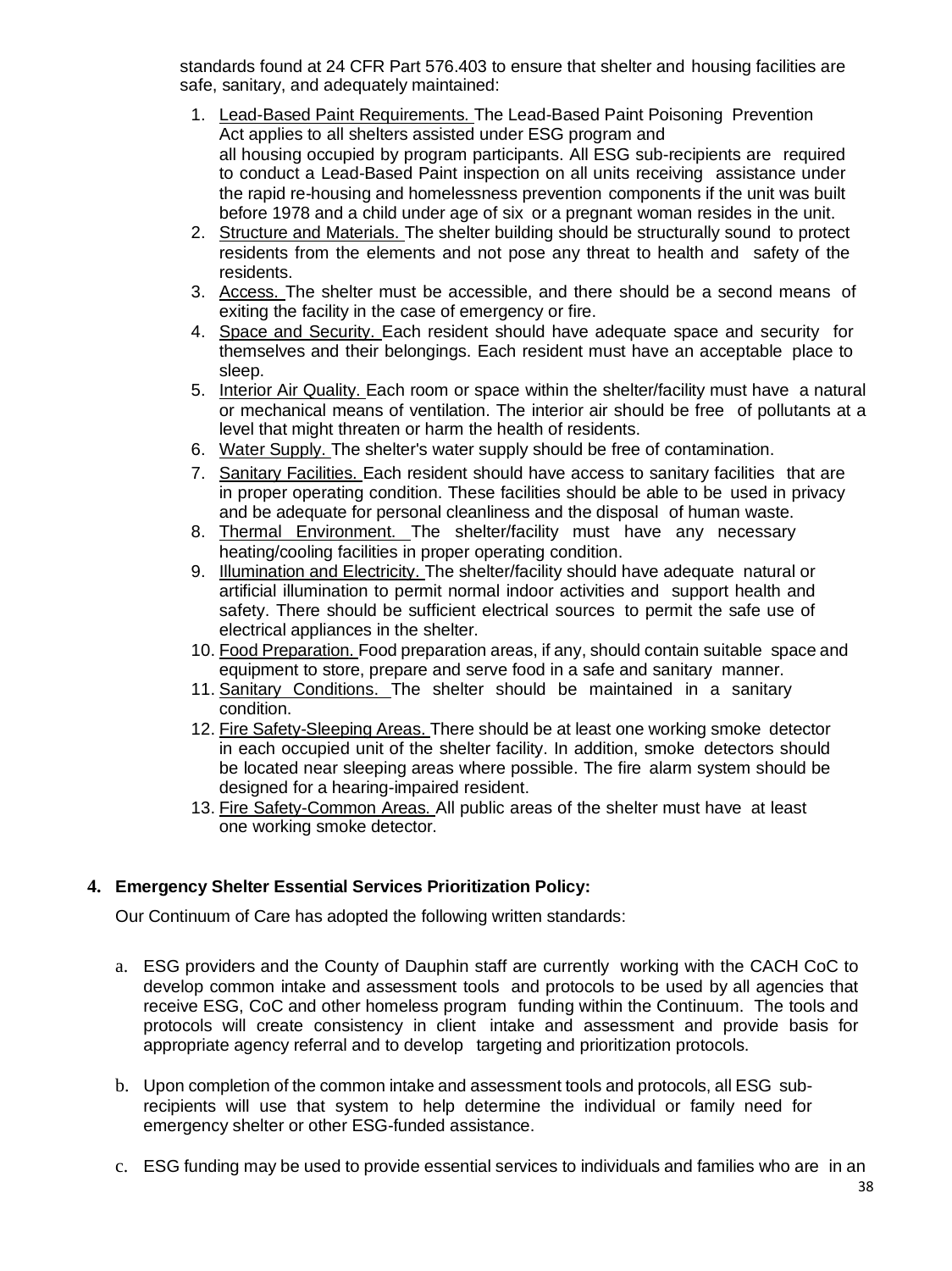standards found at 24 CFR Part 576.403 to ensure that shelter and housing facilities are safe, sanitary, and adequately maintained:

- 1. Lead-Based Paint Requirements. The Lead-Based Paint Poisoning Prevention Act applies to all shelters assisted under ESG program and all housing occupied by program participants. All ESG sub-recipients are required to conduct a Lead-Based Paint inspection on all units receiving assistance under the rapid re-housing and homelessness prevention components if the unit was built before 1978 and a child under age of six or a pregnant woman resides in the unit.
- 2. Structure and Materials. The shelter building should be structurally sound to protect residents from the elements and not pose any threat to health and safety of the residents.
- 3. Access. The shelter must be accessible, and there should be a second means of exiting the facility in the case of emergency or fire.
- 4. Space and Security. Each resident should have adequate space and security for themselves and their belongings. Each resident must have an acceptable place to sleep.
- 5. Interior Air Quality. Each room or space within the shelter/facility must have a natural or mechanical means of ventilation. The interior air should be free of pollutants at a level that might threaten or harm the health of residents.
- 6. Water Supply. The shelter's water supply should be free of contamination.
- 7. Sanitary Facilities. Each resident should have access to sanitary facilities that are in proper operating condition. These facilities should be able to be used in privacy and be adequate for personal cleanliness and the disposal of human waste.
- 8. Thermal Environment. The shelter/facility must have any necessary heating/cooling facilities in proper operating condition.
- 9. Illumination and Electricity. The shelter/facility should have adequate natural or artificial illumination to permit normal indoor activities and support health and safety. There should be sufficient electrical sources to permit the safe use of electrical appliances in the shelter.
- 10. Food Preparation. Food preparation areas, if any, should contain suitable space and equipment to store, prepare and serve food in a safe and sanitary manner.
- 11. Sanitary Conditions. The shelter should be maintained in a sanitary condition.
- 12. Fire Safety-Sleeping Areas. There should be at least one working smoke detector in each occupied unit of the shelter facility. In addition, smoke detectors should be located near sleeping areas where possible. The fire alarm system should be designed for a hearing-impaired resident.
- 13. Fire Safety-Common Areas. All public areas of the shelter must have at least one working smoke detector.

#### **4. Emergency Shelter Essential Services Prioritization Policy:**

Our Continuum of Care has adopted the following written standards:

- a. ESG providers and the County of Dauphin staff are currently working with the CACH CoC to develop common intake and assessment tools and protocols to be used by all agencies that receive ESG, CoC and other homeless program funding within the Continuum. The tools and protocols will create consistency in client intake and assessment and provide basis for appropriate agency referral and to develop targeting and prioritization protocols.
- b. Upon completion of the common intake and assessment tools and protocols, all ESG subrecipients will use that system to help determine the individual or family need for emergency shelter or other ESG-funded assistance.
- c. ESG funding may be used to provide essential services to individuals and families who are in an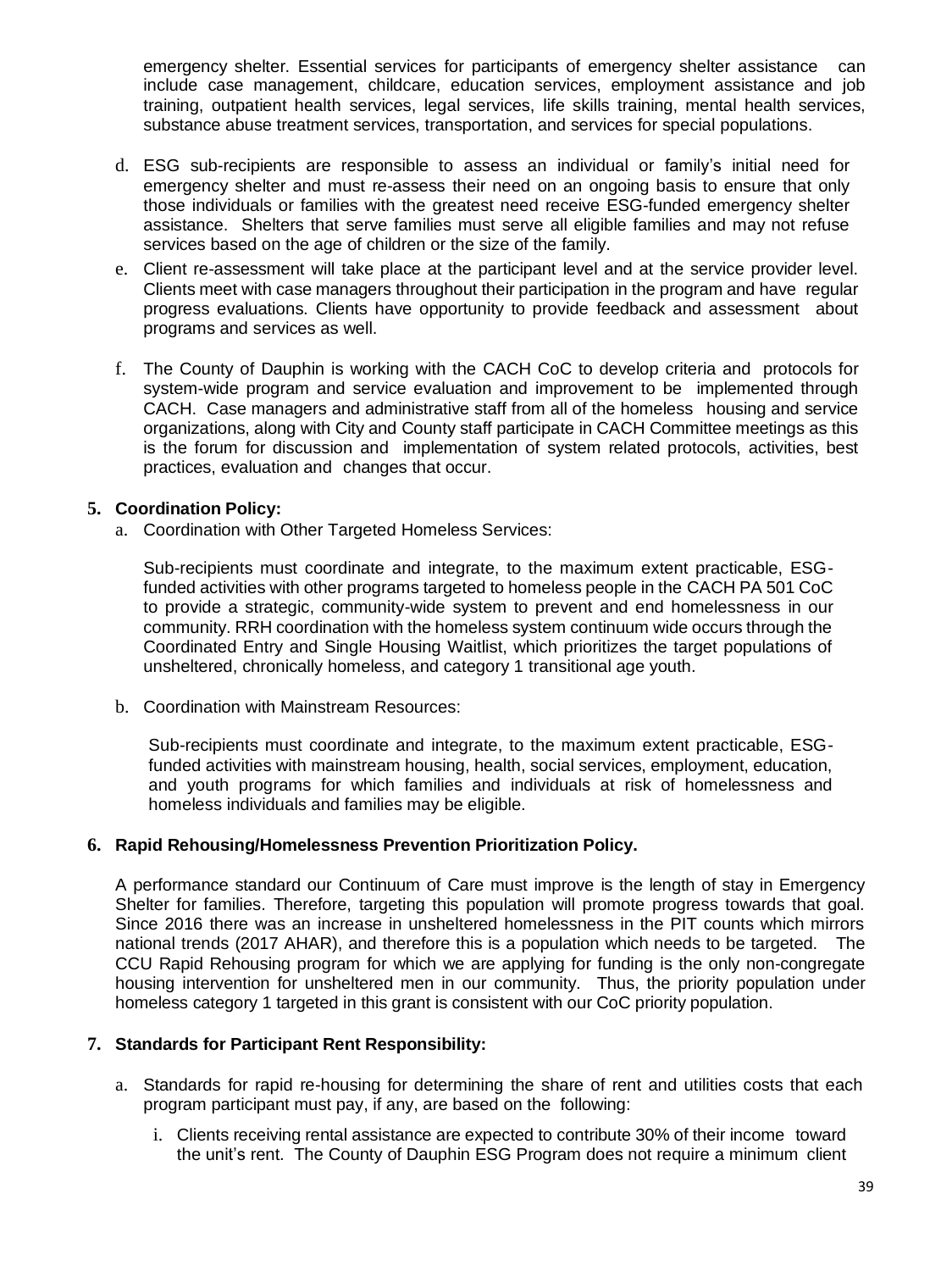emergency shelter. Essential services for participants of emergency shelter assistance can include case management, childcare, education services, employment assistance and job training, outpatient health services, legal services, life skills training, mental health services, substance abuse treatment services, transportation, and services for special populations.

- d. ESG sub-recipients are responsible to assess an individual or family's initial need for emergency shelter and must re-assess their need on an ongoing basis to ensure that only those individuals or families with the greatest need receive ESG-funded emergency shelter assistance. Shelters that serve families must serve all eligible families and may not refuse services based on the age of children or the size of the family.
- e. Client re-assessment will take place at the participant level and at the service provider level. Clients meet with case managers throughout their participation in the program and have regular progress evaluations. Clients have opportunity to provide feedback and assessment about programs and services as well.
- f. The County of Dauphin is working with the CACH CoC to develop criteria and protocols for system-wide program and service evaluation and improvement to be implemented through CACH. Case managers and administrative staff from all of the homeless housing and service organizations, along with City and County staff participate in CACH Committee meetings as this is the forum for discussion and implementation of system related protocols, activities, best practices, evaluation and changes that occur.

#### **5. Coordination Policy:**

a. Coordination with Other Targeted Homeless Services:

Sub-recipients must coordinate and integrate, to the maximum extent practicable, ESGfunded activities with other programs targeted to homeless people in the CACH PA 501 CoC to provide a strategic, community-wide system to prevent and end homelessness in our community. RRH coordination with the homeless system continuum wide occurs through the Coordinated Entry and Single Housing Waitlist, which prioritizes the target populations of unsheltered, chronically homeless, and category 1 transitional age youth.

b. Coordination with Mainstream Resources:

Sub-recipients must coordinate and integrate, to the maximum extent practicable, ESGfunded activities with mainstream housing, health, social services, employment, education, and youth programs for which families and individuals at risk of homelessness and homeless individuals and families may be eligible.

#### **6. Rapid Rehousing/Homelessness Prevention Prioritization Policy.**

A performance standard our Continuum of Care must improve is the length of stay in Emergency Shelter for families. Therefore, targeting this population will promote progress towards that goal. Since 2016 there was an increase in unsheltered homelessness in the PIT counts which mirrors national trends (2017 AHAR), and therefore this is a population which needs to be targeted. The CCU Rapid Rehousing program for which we are applying for funding is the only non-congregate housing intervention for unsheltered men in our community. Thus, the priority population under homeless category 1 targeted in this grant is consistent with our CoC priority population.

#### **7. Standards for Participant Rent Responsibility:**

- a. Standards for rapid re-housing for determining the share of rent and utilities costs that each program participant must pay, if any, are based on the following:
	- i. Clients receiving rental assistance are expected to contribute 30% of their income toward the unit's rent. The County of Dauphin ESG Program does not require a minimum client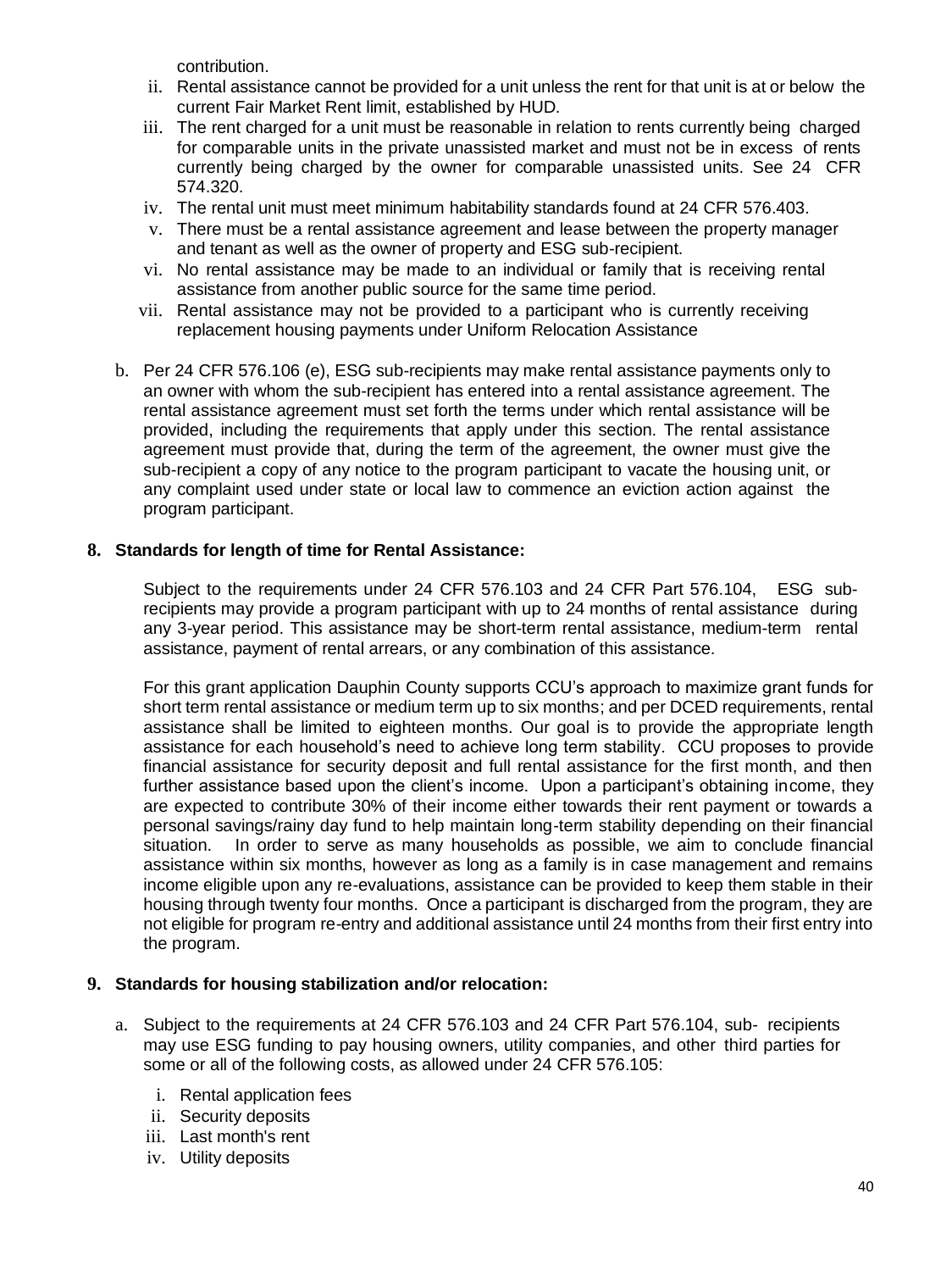contribution.

- ii. Rental assistance cannot be provided for a unit unless the rent for that unit is at or below the current Fair Market Rent limit, established by HUD.
- iii. The rent charged for a unit must be reasonable in relation to rents currently being charged for comparable units in the private unassisted market and must not be in excess of rents currently being charged by the owner for comparable unassisted units. See 24 CFR 574.320.
- iv. The rental unit must meet minimum habitability standards found at 24 CFR 576.403.
- v. There must be a rental assistance agreement and lease between the property manager and tenant as well as the owner of property and ESG sub-recipient.
- vi. No rental assistance may be made to an individual or family that is receiving rental assistance from another public source for the same time period.
- vii. Rental assistance may not be provided to a participant who is currently receiving replacement housing payments under Uniform Relocation Assistance
- b. Per 24 CFR 576.106 (e), ESG sub-recipients may make rental assistance payments only to an owner with whom the sub-recipient has entered into a rental assistance agreement. The rental assistance agreement must set forth the terms under which rental assistance will be provided, including the requirements that apply under this section. The rental assistance agreement must provide that, during the term of the agreement, the owner must give the sub-recipient a copy of any notice to the program participant to vacate the housing unit, or any complaint used under state or local law to commence an eviction action against the program participant.

#### **8. Standards for length of time for Rental Assistance:**

Subject to the requirements under 24 CFR 576.103 and 24 CFR Part 576.104, ESG subrecipients may provide a program participant with up to 24 months of rental assistance during any 3-year period. This assistance may be short-term rental assistance, medium-term rental assistance, payment of rental arrears, or any combination of this assistance.

For this grant application Dauphin County supports CCU's approach to maximize grant funds for short term rental assistance or medium term up to six months; and per DCED requirements, rental assistance shall be limited to eighteen months. Our goal is to provide the appropriate length assistance for each household's need to achieve long term stability. CCU proposes to provide financial assistance for security deposit and full rental assistance for the first month, and then further assistance based upon the client's income. Upon a participant's obtaining income, they are expected to contribute 30% of their income either towards their rent payment or towards a personal savings/rainy day fund to help maintain long-term stability depending on their financial situation. In order to serve as many households as possible, we aim to conclude financial assistance within six months, however as long as a family is in case management and remains income eligible upon any re-evaluations, assistance can be provided to keep them stable in their housing through twenty four months. Once a participant is discharged from the program, they are not eligible for program re-entry and additional assistance until 24 months from their first entry into the program.

#### **9. Standards for housing stabilization and/or relocation:**

- a. Subject to the requirements at 24 CFR 576.103 and 24 CFR Part 576.104, sub- recipients may use ESG funding to pay housing owners, utility companies, and other third parties for some or all of the following costs, as allowed under 24 CFR 576.105:
	- i. Rental application fees
	- ii. Security deposits
	- iii. Last month's rent
	- iv. Utility deposits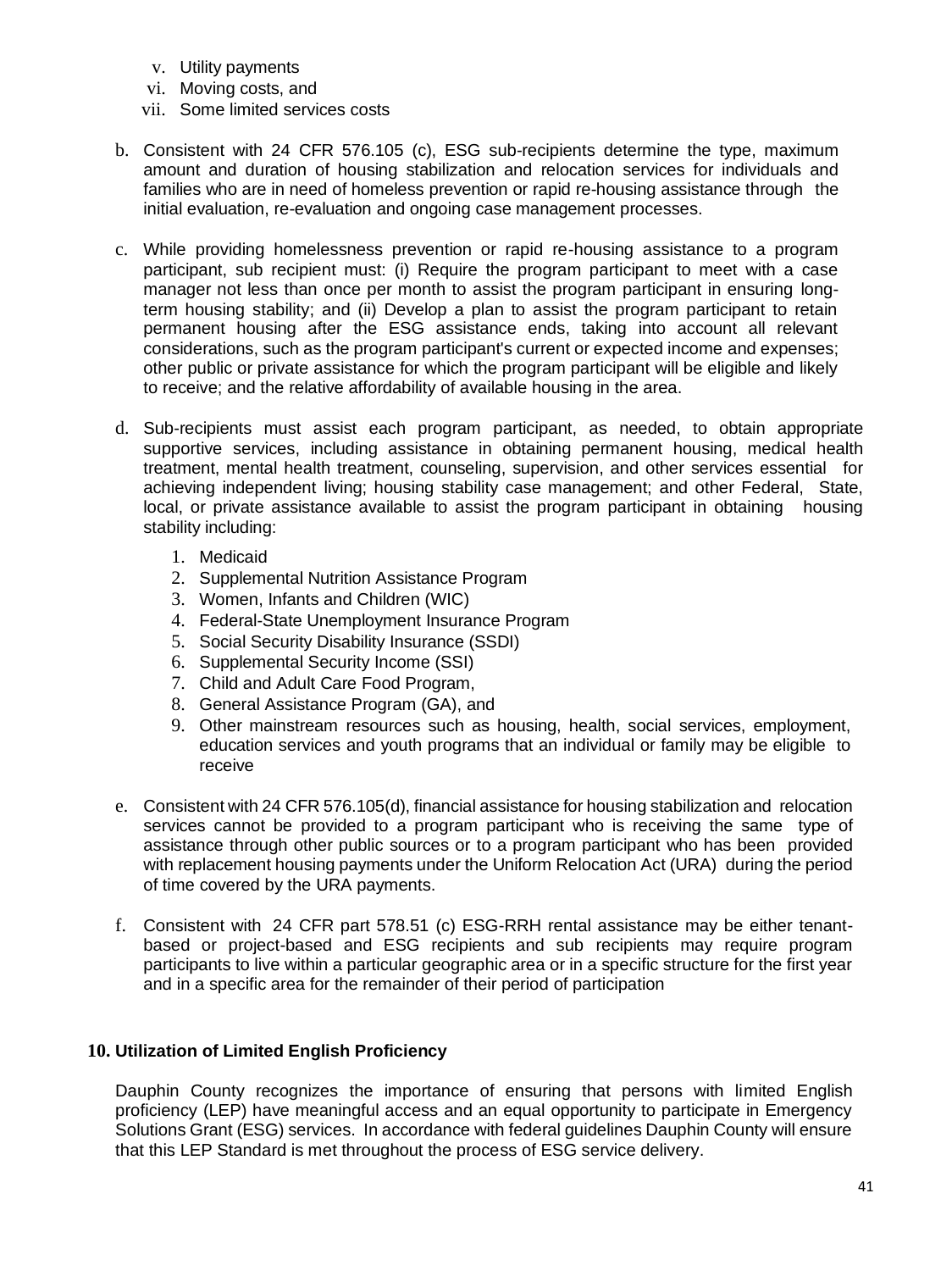- v. Utility payments
- vi. Moving costs, and
- vii. Some limited services costs
- b. Consistent with 24 CFR 576.105 (c), ESG sub-recipients determine the type, maximum amount and duration of housing stabilization and relocation services for individuals and families who are in need of homeless prevention or rapid re-housing assistance through the initial evaluation, re-evaluation and ongoing case management processes.
- c. While providing homelessness prevention or rapid re-housing assistance to a program participant, sub recipient must: (i) Require the program participant to meet with a case manager not less than once per month to assist the program participant in ensuring longterm housing stability; and (ii) Develop a plan to assist the program participant to retain permanent housing after the ESG assistance ends, taking into account all relevant considerations, such as the program participant's current or expected income and expenses; other public or private assistance for which the program participant will be eligible and likely to receive; and the relative affordability of available housing in the area.
- d. Sub-recipients must assist each program participant, as needed, to obtain appropriate supportive services, including assistance in obtaining permanent housing, medical health treatment, mental health treatment, counseling, supervision, and other services essential for achieving independent living; housing stability case management; and other Federal, State, local, or private assistance available to assist the program participant in obtaining housing stability including:
	- 1. Medicaid
	- 2. Supplemental Nutrition Assistance Program
	- 3. Women, Infants and Children (WIC)
	- 4. Federal-State Unemployment Insurance Program
	- 5. Social Security Disability Insurance (SSDI)
	- 6. Supplemental Security Income (SSI)
	- 7. Child and Adult Care Food Program,
	- 8. General Assistance Program (GA), and
	- 9. Other mainstream resources such as housing, health, social services, employment, education services and youth programs that an individual or family may be eligible to receive
- e. Consistent with 24 CFR 576.105(d), financial assistance for housing stabilization and relocation services cannot be provided to a program participant who is receiving the same type of assistance through other public sources or to a program participant who has been provided with replacement housing payments under the Uniform Relocation Act (URA) during the period of time covered by the URA payments.
- f. Consistent with 24 CFR part 578.51 (c) ESG-RRH rental assistance may be either tenantbased or project-based and ESG recipients and sub recipients may require program participants to live within a particular geographic area or in a specific structure for the first year and in a specific area for the remainder of their period of participation

#### **10. Utilization of Limited English Proficiency**

Dauphin County recognizes the importance of ensuring that persons with limited English proficiency (LEP) have meaningful access and an equal opportunity to participate in Emergency Solutions Grant (ESG) services. In accordance with federal guidelines Dauphin County will ensure that this LEP Standard is met throughout the process of ESG service delivery.